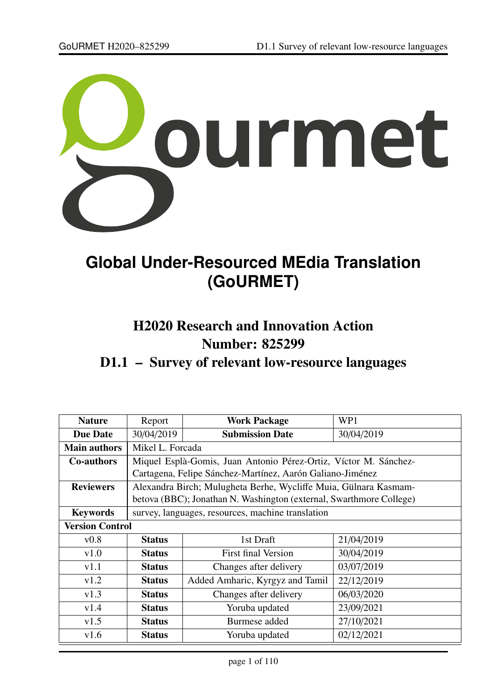

# **Global Under-Resourced MEdia Translation (GoURMET)**

# H2020 Research and Innovation Action Number: 825299

D1.1 – Survey of relevant low-resource languages

| <b>Nature</b>          | Report        | <b>Work Package</b>                                                 | WP1        |  |  |  |  |  |
|------------------------|---------------|---------------------------------------------------------------------|------------|--|--|--|--|--|
| <b>Due Date</b>        | 30/04/2019    | <b>Submission Date</b>                                              | 30/04/2019 |  |  |  |  |  |
| <b>Main authors</b>    |               | Mikel L. Forcada                                                    |            |  |  |  |  |  |
| Co-authors             |               | Miquel Esplà-Gomis, Juan Antonio Pérez-Ortiz, Víctor M. Sánchez-    |            |  |  |  |  |  |
|                        |               | Cartagena, Felipe Sánchez-Martínez, Aarón Galiano-Jiménez           |            |  |  |  |  |  |
| <b>Reviewers</b>       |               | Alexandra Birch; Mulugheta Berhe, Wycliffe Muia, Gülnara Kasmam-    |            |  |  |  |  |  |
|                        |               | betova (BBC); Jonathan N. Washington (external, Swarthmore College) |            |  |  |  |  |  |
| <b>Keywords</b>        |               | survey, languages, resources, machine translation                   |            |  |  |  |  |  |
| <b>Version Control</b> |               |                                                                     |            |  |  |  |  |  |
| v0.8                   | <b>Status</b> | 1st Draft                                                           | 21/04/2019 |  |  |  |  |  |
| v1.0                   | <b>Status</b> | <b>First final Version</b>                                          | 30/04/2019 |  |  |  |  |  |
| v1.1                   | <b>Status</b> | Changes after delivery                                              | 03/07/2019 |  |  |  |  |  |
| v1.2                   | <b>Status</b> | 22/12/2019<br>Added Amharic, Kyrgyz and Tamil                       |            |  |  |  |  |  |
| v1.3                   | <b>Status</b> | Changes after delivery<br>06/03/2020                                |            |  |  |  |  |  |
| v1.4                   | <b>Status</b> | Yoruba updated                                                      | 23/09/2021 |  |  |  |  |  |
| v1.5                   | <b>Status</b> | Burmese added                                                       | 27/10/2021 |  |  |  |  |  |
| v1.6                   | <b>Status</b> | Yoruba updated                                                      | 02/12/2021 |  |  |  |  |  |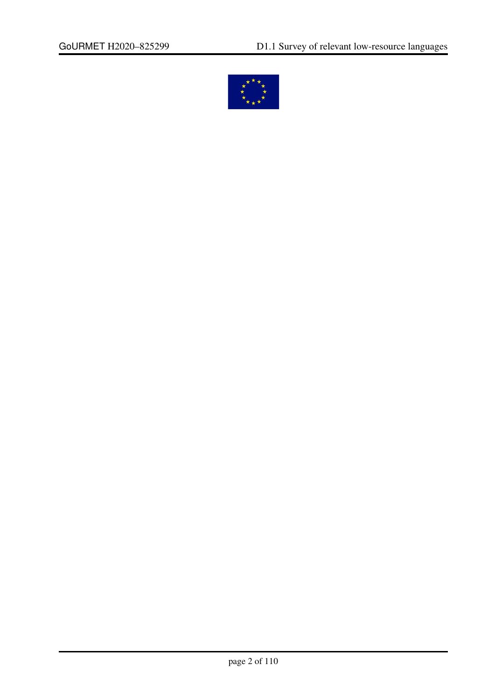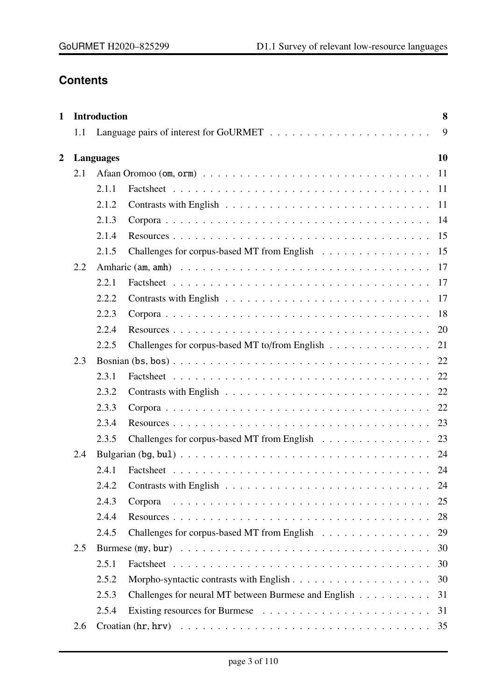# **Contents**

| $\mathbf{1}$ |     | <b>Introduction</b> |                                                      | 8  |
|--------------|-----|---------------------|------------------------------------------------------|----|
|              | 1.1 |                     |                                                      | 9  |
| 2            |     | <b>Languages</b>    |                                                      | 10 |
|              | 2.1 |                     |                                                      | 11 |
|              |     | 2.1.1               |                                                      | 11 |
|              |     | 2.1.2               |                                                      | 11 |
|              |     | 2.1.3               |                                                      | 14 |
|              |     | 2.1.4               |                                                      | 15 |
|              |     | 2.1.5               | Challenges for corpus-based MT from English          | 15 |
|              | 2.2 |                     |                                                      | 17 |
|              |     | 2.2.1               |                                                      | 17 |
|              |     | 2.2.2               |                                                      | 17 |
|              |     | 2.2.3               |                                                      | 18 |
|              |     | 2.2.4               |                                                      | 20 |
|              |     | 2.2.5               | Challenges for corpus-based MT to/from English       | 21 |
|              | 2.3 |                     |                                                      | 22 |
|              |     | 2.3.1               |                                                      | 22 |
|              |     | 2.3.2               |                                                      | 22 |
|              |     | 2.3.3               |                                                      | 22 |
|              |     | 2.3.4               |                                                      | 23 |
|              |     | 2.3.5               | Challenges for corpus-based MT from English          | 23 |
|              | 2.4 |                     |                                                      | 24 |
|              |     | 2.4.1               |                                                      | 24 |
|              |     |                     |                                                      | 24 |
|              |     | 2.4.3               | Corpora                                              | 25 |
|              |     | 2.4.4               |                                                      | 28 |
|              |     | 2.4.5               | Challenges for corpus-based MT from English          | 29 |
|              | 2.5 |                     |                                                      | 30 |
|              |     | 2.5.1               |                                                      | 30 |
|              |     | 2.5.2               |                                                      | 30 |
|              |     | 2.5.3               | Challenges for neural MT between Burmese and English | 31 |
|              |     | 2.5.4               |                                                      | 31 |
|              | 2.6 |                     |                                                      | 35 |
|              |     |                     |                                                      |    |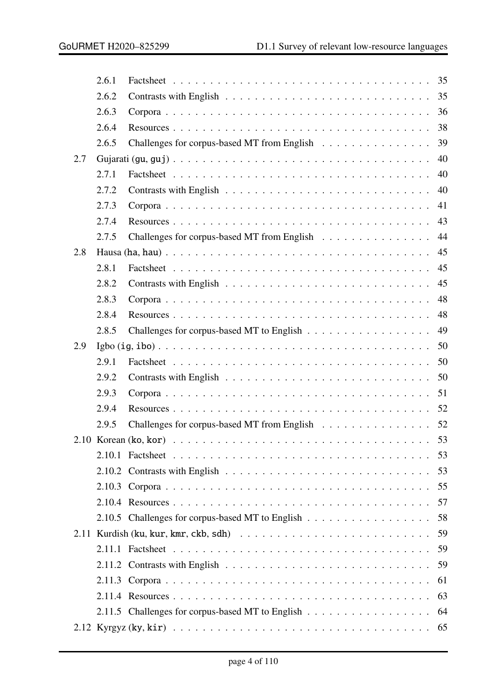|     | 2.6.1 |                                                                                                       | 35 |
|-----|-------|-------------------------------------------------------------------------------------------------------|----|
|     | 2.6.2 |                                                                                                       |    |
|     | 2.6.3 |                                                                                                       | 36 |
|     | 2.6.4 |                                                                                                       | 38 |
|     | 2.6.5 | Challenges for corpus-based MT from English                                                           | 39 |
| 2.7 |       |                                                                                                       | 40 |
|     | 2.7.1 |                                                                                                       | 40 |
|     | 2.7.2 |                                                                                                       | 40 |
|     | 2.7.3 |                                                                                                       | 41 |
|     | 2.7.4 |                                                                                                       | 43 |
|     | 2.7.5 | Challenges for corpus-based MT from English                                                           | 44 |
| 2.8 |       | Hausa (ha, hau) $\ldots \ldots \ldots \ldots \ldots \ldots \ldots \ldots \ldots \ldots \ldots \ldots$ | 45 |
|     | 2.8.1 |                                                                                                       | 45 |
|     | 2.8.2 |                                                                                                       | 45 |
|     | 2.8.3 |                                                                                                       | 48 |
|     | 2.8.4 |                                                                                                       |    |
|     | 2.8.5 |                                                                                                       | 49 |
| 2.9 |       |                                                                                                       |    |
|     | 2.9.1 |                                                                                                       | 50 |
|     | 2.9.2 |                                                                                                       | 50 |
|     | 2.9.3 |                                                                                                       | 51 |
|     | 2.9.4 |                                                                                                       | 52 |
|     | 2.9.5 | Challenges for corpus-based MT from English                                                           | 52 |
|     |       |                                                                                                       | 53 |
|     |       |                                                                                                       |    |
|     |       |                                                                                                       |    |
|     |       |                                                                                                       |    |
|     |       |                                                                                                       |    |
|     |       | 2.10.5 Challenges for corpus-based MT to English 58                                                   |    |
|     |       |                                                                                                       |    |
|     |       |                                                                                                       |    |
|     |       |                                                                                                       | 59 |
|     |       |                                                                                                       | 61 |
|     |       |                                                                                                       | 63 |
|     |       |                                                                                                       | 64 |
|     |       |                                                                                                       |    |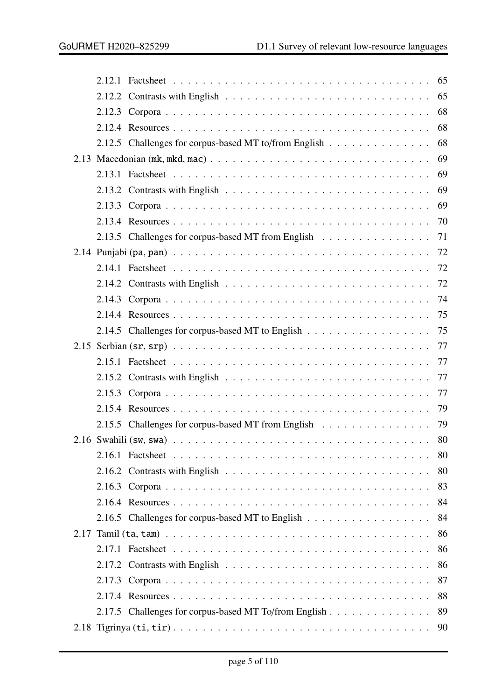|  |                                                       | 65 |
|--|-------------------------------------------------------|----|
|  |                                                       | 68 |
|  |                                                       | 68 |
|  | 2.12.5 Challenges for corpus-based MT to/from English | 68 |
|  |                                                       | 69 |
|  |                                                       | 69 |
|  |                                                       | 69 |
|  |                                                       |    |
|  |                                                       | 70 |
|  | 2.13.5 Challenges for corpus-based MT from English 71 |    |
|  |                                                       |    |
|  |                                                       | 72 |
|  |                                                       |    |
|  |                                                       |    |
|  |                                                       |    |
|  |                                                       | 75 |
|  |                                                       |    |
|  |                                                       |    |
|  |                                                       | 77 |
|  |                                                       | 77 |
|  |                                                       | 79 |
|  | 2.15.5 Challenges for corpus-based MT from English    | 79 |
|  |                                                       | 80 |
|  |                                                       | 80 |
|  |                                                       | 80 |
|  |                                                       | 83 |
|  |                                                       | 84 |
|  |                                                       | 84 |
|  |                                                       | 86 |
|  |                                                       | 86 |
|  |                                                       | 86 |
|  |                                                       | 87 |
|  |                                                       | 88 |
|  | 2.17.5 Challenges for corpus-based MT To/from English | 89 |
|  |                                                       | 90 |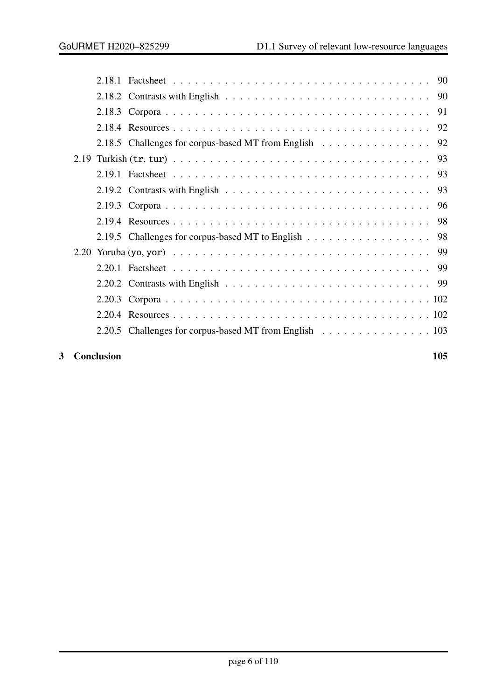| 3 | <b>Conclusion</b> |                                                        | 105 |
|---|-------------------|--------------------------------------------------------|-----|
|   |                   | 2.20.5 Challenges for corpus-based MT from English 103 |     |
|   |                   |                                                        |     |
|   |                   |                                                        |     |
|   |                   |                                                        |     |
|   |                   |                                                        |     |
|   |                   |                                                        |     |
|   |                   | 2.19.5 Challenges for corpus-based MT to English 98    |     |
|   |                   |                                                        |     |
|   |                   |                                                        |     |
|   |                   |                                                        |     |
|   |                   |                                                        |     |
|   |                   |                                                        |     |
|   |                   | 2.18.5 Challenges for corpus-based MT from English 92  |     |
|   |                   |                                                        |     |
|   |                   |                                                        |     |
|   |                   |                                                        |     |
|   |                   |                                                        |     |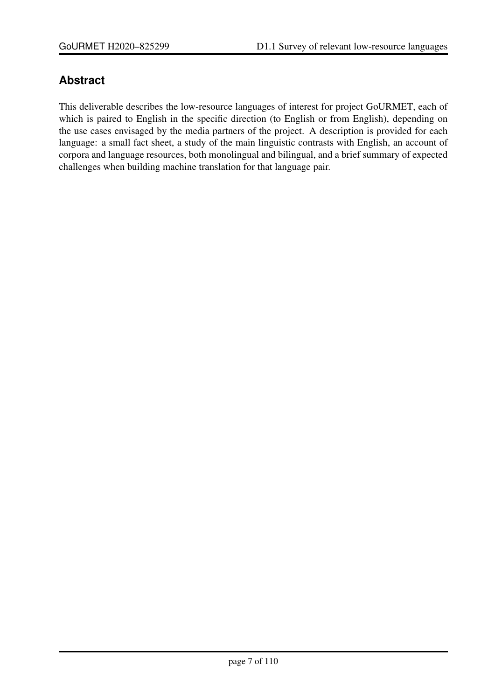## **Abstract**

This deliverable describes the low-resource languages of interest for project GoURMET, each of which is paired to English in the specific direction (to English or from English), depending on the use cases envisaged by the media partners of the project. A description is provided for each language: a small fact sheet, a study of the main linguistic contrasts with English, an account of corpora and language resources, both monolingual and bilingual, and a brief summary of expected challenges when building machine translation for that language pair.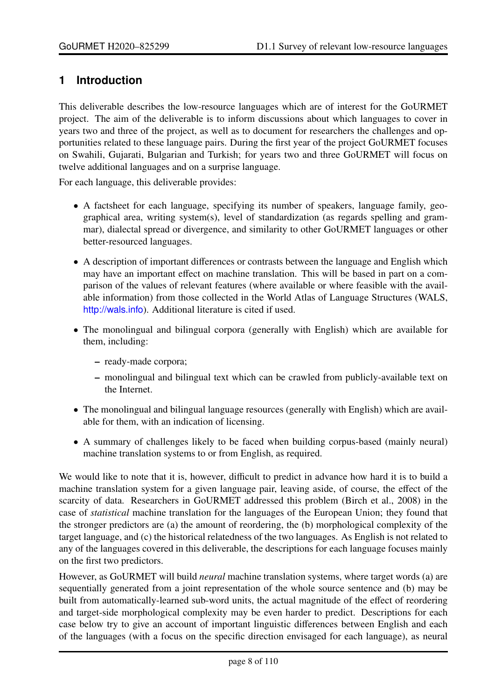## <span id="page-7-0"></span>**1 Introduction**

This deliverable describes the low-resource languages which are of interest for the GoURMET project. The aim of the deliverable is to inform discussions about which languages to cover in years two and three of the project, as well as to document for researchers the challenges and opportunities related to these language pairs. During the first year of the project GoURMET focuses on Swahili, Gujarati, Bulgarian and Turkish; for years two and three GoURMET will focus on twelve additional languages and on a surprise language.

For each language, this deliverable provides:

- A factsheet for each language, specifying its number of speakers, language family, geographical area, writing system(s), level of standardization (as regards spelling and grammar), dialectal spread or divergence, and similarity to other GoURMET languages or other better-resourced languages.
- A description of important differences or contrasts between the language and English which may have an important effect on machine translation. This will be based in part on a comparison of the values of relevant features (where available or where feasible with the available information) from those collected in the World Atlas of Language Structures (WALS, <http://wals.info>). Additional literature is cited if used.
- The monolingual and bilingual corpora (generally with English) which are available for them, including:
	- ready-made corpora;
	- monolingual and bilingual text which can be crawled from publicly-available text on the Internet.
- The monolingual and bilingual language resources (generally with English) which are available for them, with an indication of licensing.
- A summary of challenges likely to be faced when building corpus-based (mainly neural) machine translation systems to or from English, as required.

We would like to note that it is, however, difficult to predict in advance how hard it is to build a machine translation system for a given language pair, leaving aside, of course, the effect of the scarcity of data. Researchers in GoURMET addressed this problem [\(Birch et al.,](#page-105-0) [2008\)](#page-105-0) in the case of *statistical* machine translation for the languages of the European Union; they found that the stronger predictors are (a) the amount of reordering, the (b) morphological complexity of the target language, and (c) the historical relatedness of the two languages. As English is not related to any of the languages covered in this deliverable, the descriptions for each language focuses mainly on the first two predictors.

However, as GoURMET will build *neural* machine translation systems, where target words (a) are sequentially generated from a joint representation of the whole source sentence and (b) may be built from automatically-learned sub-word units, the actual magnitude of the effect of reordering and target-side morphological complexity may be even harder to predict. Descriptions for each case below try to give an account of important linguistic differences between English and each of the languages (with a focus on the specific direction envisaged for each language), as neural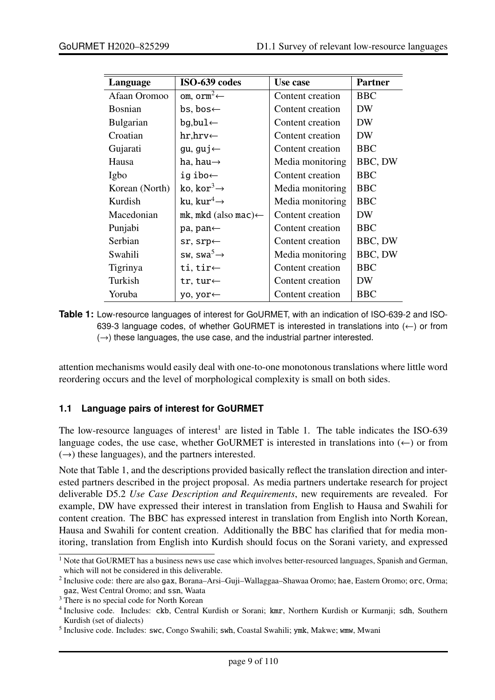<span id="page-8-1"></span>

| Language       | ISO-639 codes                      | Use case         | <b>Partner</b> |
|----------------|------------------------------------|------------------|----------------|
| Afaan Oromoo   | om, orm <sup>2</sup> $\leftarrow$  | Content creation | <b>BBC</b>     |
| <b>Bosnian</b> | bs, bos $\leftarrow$               | Content creation | <b>DW</b>      |
| Bulgarian      | $bg, bul \leftarrow$               | Content creation | DW             |
| Croatian       | $hr, hrv \leftarrow$               | Content creation | <b>DW</b>      |
| Gujarati       | gu, guj $\leftarrow$               | Content creation | <b>BBC</b>     |
| Hausa          | ha, hau $\rightarrow$              | Media monitoring | BBC, DW        |
| Igbo           | ig ibo←                            | Content creation | <b>BBC</b>     |
| Korean (North) | ko, ko $r^3 \rightarrow$           | Media monitoring | <b>BBC</b>     |
| Kurdish        | ku, kur <sup>4</sup> $\rightarrow$ | Media monitoring | <b>BBC</b>     |
| Macedonian     | mk, mkd (also mac) $\leftarrow$    | Content creation | <b>DW</b>      |
| Punjabi        | pa, pan←                           | Content creation | <b>BBC</b>     |
| Serbian        | $sr$ , srp $\leftarrow$            | Content creation | BBC, DW        |
| Swahili        | SW, SW $a^5 \rightarrow$           | Media monitoring | BBC, DW        |
| Tigrinya       | ti, tir←                           | Content creation | <b>BBC</b>     |
| Turkish        | $tr, tur \leftarrow$               | Content creation | <b>DW</b>      |
| Yoruba         | yo, yor←                           | Content creation | <b>BBC</b>     |

**Table 1:** Low-resource languages of interest for GoURMET, with an indication of ISO-639-2 and ISO-639-3 language codes, of whether GoURMET is interested in translations into (←) or from  $(\rightarrow)$  these languages, the use case, and the industrial partner interested.

attention mechanisms would easily deal with one-to-one monotonous translations where little word reordering occurs and the level of morphological complexity is small on both sides.

#### <span id="page-8-0"></span>**1.1 Language pairs of interest for GoURMET**

The low-resource languages of interest<sup>1</sup> are listed in Table [1.](#page-8-1) The table indicates the ISO-639 language codes, the use case, whether GoURMET is interested in translations into  $(\leftarrow)$  or from  $(\rightarrow)$  these languages), and the partners interested.

Note that Table [1,](#page-8-1) and the descriptions provided basically reflect the translation direction and interested partners described in the project proposal. As media partners undertake research for project deliverable D5.2 *Use Case Description and Requirements*, new requirements are revealed. For example, DW have expressed their interest in translation from English to Hausa and Swahili for content creation. The BBC has expressed interest in translation from English into North Korean, Hausa and Swahili for content creation. Additionally the BBC has clarified that for media monitoring, translation from English into Kurdish should focus on the Sorani variety, and expressed

<sup>&</sup>lt;sup>1</sup> Note that GoURMET has a business news use case which involves better-resourced languages, Spanish and German, which will not be considered in this deliverable.

<sup>&</sup>lt;sup>2</sup> Inclusive code: there are also gax, Borana–Arsi–Guji–Wallaggaa–Shawaa Oromo; hae, Eastern Oromo; orc, Orma; gaz, West Central Oromo; and ssn, Waata

<sup>&</sup>lt;sup>3</sup> There is no special code for North Korean

<sup>&</sup>lt;sup>4</sup> Inclusive code. Includes: ckb, Central Kurdish or Sorani; kmr, Northern Kurdish or Kurmanji; sdh, Southern Kurdish (set of dialects)

<sup>&</sup>lt;sup>5</sup> Inclusive code. Includes: swc, Congo Swahili; swh, Coastal Swahili; ymk, Makwe; wmw, Mwani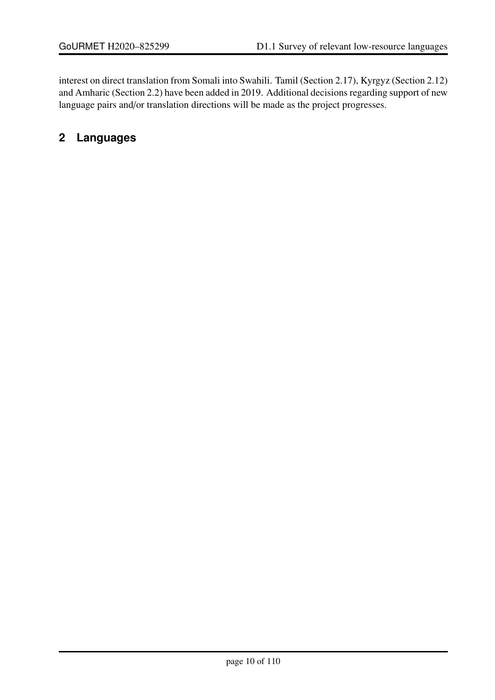interest on direct translation from Somali into Swahili. Tamil (Section [2.17\)](#page-85-0), Kyrgyz (Section [2.12\)](#page-64-0) and Amharic (Section [2.2\)](#page-16-0) have been added in 2019. Additional decisions regarding support of new language pairs and/or translation directions will be made as the project progresses.

## <span id="page-9-0"></span>**2 Languages**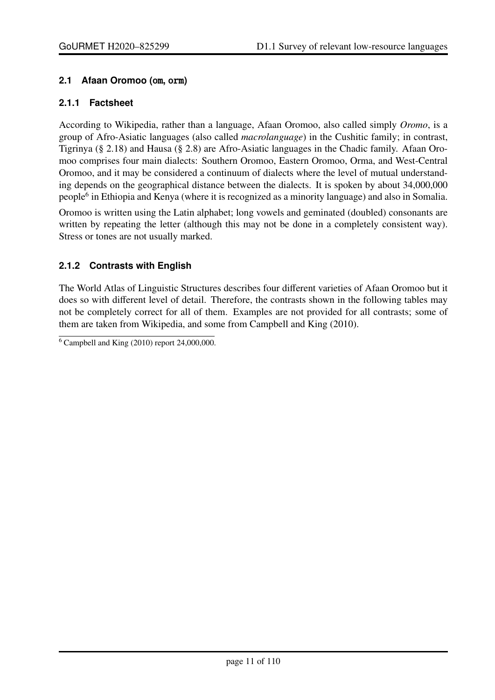#### <span id="page-10-0"></span>**2.1 Afaan Oromoo (**om**,** orm**)**

#### <span id="page-10-1"></span>**2.1.1 Factsheet**

According to Wikipedia, rather than a language, Afaan Oromoo, also called simply *Oromo*, is a group of Afro-Asiatic languages (also called *macrolanguage*) in the Cushitic family; in contrast, Tigrinya (§ [2.18\)](#page-89-0) and Hausa (§ [2.8\)](#page-44-0) are Afro-Asiatic languages in the Chadic family. Afaan Oromoo comprises four main dialects: Southern Oromoo, Eastern Oromoo, Orma, and West-Central Oromoo, and it may be considered a continuum of dialects where the level of mutual understanding depends on the geographical distance between the dialects. It is spoken by about 34,000,000 people<sup>6</sup> in Ethiopia and Kenya (where it is recognized as a minority language) and also in Somalia.

Oromoo is written using the Latin alphabet; long vowels and geminated (doubled) consonants are written by repeating the letter (although this may not be done in a completely consistent way). Stress or tones are not usually marked.

#### <span id="page-10-2"></span>**2.1.2 Contrasts with English**

The World Atlas of Linguistic Structures describes four different varieties of Afaan Oromoo but it does so with different level of detail. Therefore, the contrasts shown in the following tables may not be completely correct for all of them. Examples are not provided for all contrasts; some of them are taken from Wikipedia, and some from [Campbell and King](#page-105-1) [\(2010\)](#page-105-1).

 $\sqrt{6}$  [Campbell and King](#page-105-1) [\(2010\)](#page-105-1) report 24,000,000.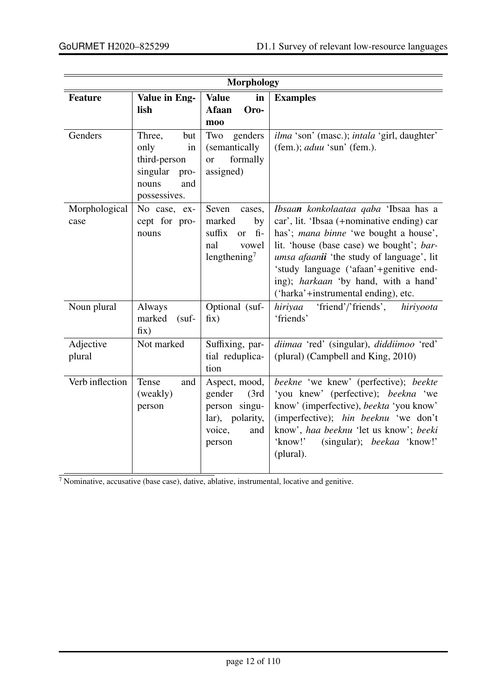| <b>Morphology</b>     |                                                                                                 |                                                                                                                 |                                                                                                                                                                                                                                                                                                                                               |  |
|-----------------------|-------------------------------------------------------------------------------------------------|-----------------------------------------------------------------------------------------------------------------|-----------------------------------------------------------------------------------------------------------------------------------------------------------------------------------------------------------------------------------------------------------------------------------------------------------------------------------------------|--|
| <b>Feature</b>        | Value in Eng-<br>lish                                                                           | <b>Value</b><br>in<br><b>Afaan</b><br>Oro-<br>moo                                                               | <b>Examples</b>                                                                                                                                                                                                                                                                                                                               |  |
| Genders               | Three,<br>but<br>only<br>in<br>third-person<br>singular<br>pro-<br>and<br>nouns<br>possessives. | genders<br>Two<br>(semantically<br>formally<br><sub>or</sub><br>assigned)                                       | <i>ilma</i> 'son' (masc.); <i>intala</i> 'girl, daughter'<br>(fem.); $aduu$ 'sun' (fem.).                                                                                                                                                                                                                                                     |  |
| Morphological<br>case | No case, ex-<br>cept for pro-<br>nouns                                                          | Seven<br>cases,<br>marked<br>by<br>suffix<br>$fi-$<br><sub>or</sub><br>nal<br>vowel<br>lengthening <sup>7</sup> | Ibsaan konkolaataa qaba 'Ibsaa has a<br>car', lit. 'Ibsaa (+nominative ending) car<br>has'; mana binne 'we bought a house',<br>lit. 'house (base case) we bought'; bar-<br>umsa afaanii 'the study of language', lit<br>'study language ('afaan'+genitive end-<br>ing); harkaan 'by hand, with a hand'<br>('harka'+instrumental ending), etc. |  |
| Noun plural           | Always<br>marked<br>$(suf -$<br>fix)                                                            | Optional (suf-<br>fix)                                                                                          | 'friend'/'friends',<br>hiriyaa<br>hiriyoota<br>'friends'                                                                                                                                                                                                                                                                                      |  |
| Adjective<br>plural   | Not marked                                                                                      | Suffixing, par-<br>tial reduplica-<br>tion                                                                      | diimaa 'red' (singular), diddiimoo 'red'<br>(plural) (Campbell and King, 2010)                                                                                                                                                                                                                                                                |  |
| Verb inflection       | Tense<br>and<br>(weakly)<br>person                                                              | Aspect, mood,<br>gender<br>(3rd)<br>person singu-<br>lar), polarity,<br>voice,<br>and<br>person                 | beekne 'we knew' (perfective); beekte<br>'you knew' (perfective); beekna 'we<br>know' (imperfective), beekta 'you know'<br>(imperfective); hin beeknu 'we don't<br>know', haa beeknu 'let us know'; beeki<br>'know!'<br>(singular); <i>beekaa</i> 'know!'<br>(plural).                                                                        |  |

 $\frac{1}{7}$  Nominative, accusative (base case), dative, ablative, instrumental, locative and genitive.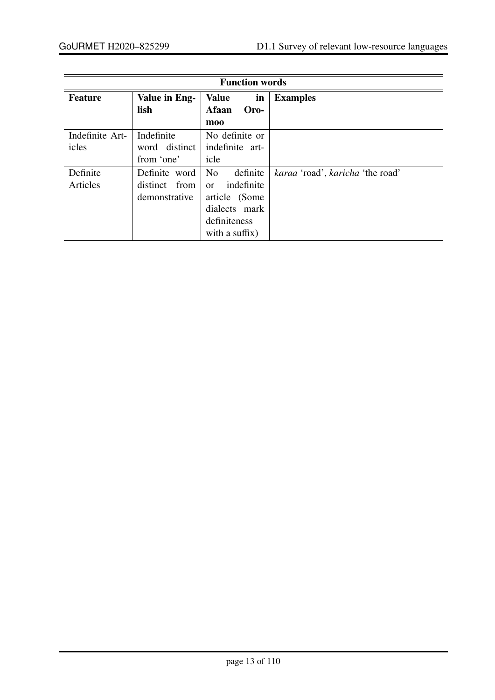| <b>Function words</b> |               |                            |                                  |  |  |  |
|-----------------------|---------------|----------------------------|----------------------------------|--|--|--|
| <b>Feature</b>        | Value in Eng- | in<br><b>Value</b>         | <b>Examples</b>                  |  |  |  |
|                       | lish          | Afaan<br>Oro-              |                                  |  |  |  |
|                       |               | moo                        |                                  |  |  |  |
| Indefinite Art-       | Indefinite    | No definite or             |                                  |  |  |  |
| icles                 | word distinct | indefinite art-            |                                  |  |  |  |
|                       | from 'one'    | icle                       |                                  |  |  |  |
| Definite              | Definite word | definite<br>N <sub>0</sub> | karaa 'road', karicha 'the road' |  |  |  |
| Articles              | distinct from | indefinite<br>or           |                                  |  |  |  |
|                       | demonstrative | article (Some)             |                                  |  |  |  |
|                       |               | dialects mark              |                                  |  |  |  |
|                       |               | definiteness               |                                  |  |  |  |
|                       |               | with a suffix)             |                                  |  |  |  |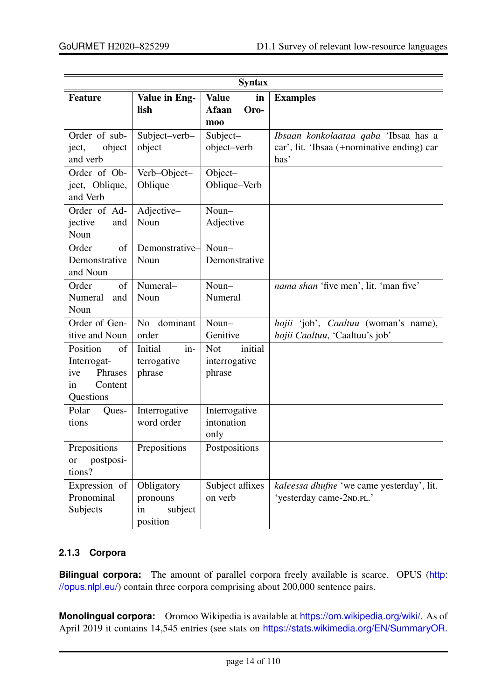| <b>Syntax</b>                                                                 |                                                     |                                                  |                                                                                            |  |
|-------------------------------------------------------------------------------|-----------------------------------------------------|--------------------------------------------------|--------------------------------------------------------------------------------------------|--|
| <b>Feature</b>                                                                | Value in Eng-<br>lish                               | <b>Value</b><br>in<br>Afaan<br>Oro-<br>moo       | <b>Examples</b>                                                                            |  |
| Order of sub-<br>object<br>ject,<br>and verb                                  | Subject-verb-<br>object                             | Subject-<br>object-verb                          | Ibsaan konkolaataa qaba 'Ibsaa has a<br>car', lit. 'Ibsaa (+nominative ending) car<br>has' |  |
| Order of Ob-<br>ject, Oblique,<br>and Verb                                    | Verb-Object-<br>Oblique                             | Object-<br>Oblique–Verb                          |                                                                                            |  |
| Order of Ad-<br>jective<br>and<br>Noun                                        | Adjective-<br>Noun                                  | Noun-<br>Adjective                               |                                                                                            |  |
| Order<br>of<br>Demonstrative<br>and Noun                                      | Demonstrative-<br>Noun                              | Noun-<br>Demonstrative                           |                                                                                            |  |
| Order<br>of<br>Numeral<br>and<br>Noun                                         | Numeral-<br>Noun                                    | Noun-<br>Numeral                                 | nama shan 'five men', lit. 'man five'                                                      |  |
| Order of Gen-<br>itive and Noun                                               | dominant<br>N <sub>o</sub><br>order                 | Noun-<br>Genitive                                | hojii 'job', Caaltuu (woman's name),<br>hojii Caaltuu, 'Caaltuu's job'                     |  |
| Position<br>of<br>Interrogat-<br>Phrases<br>ive<br>Content<br>in<br>Questions | Initial<br>in-<br>terrogative<br>phrase             | initial<br><b>Not</b><br>interrogative<br>phrase |                                                                                            |  |
| Polar<br>Ques-<br>tions                                                       | Interrogative<br>word order                         | Interrogative<br>intonation<br>only              |                                                                                            |  |
| Prepositions<br>postposi-<br>or<br>tions?                                     | Prepositions                                        | Postpositions                                    |                                                                                            |  |
| Expression of<br>Pronominal<br>Subjects                                       | Obligatory<br>pronouns<br>subject<br>in<br>position | Subject affixes<br>on verb                       | kaleessa dhufne 'we came yesterday', lit.<br>'yesterday came-2ND.PL.'                      |  |

#### <span id="page-13-0"></span>**2.1.3 Corpora**

**Bilingual corpora:** The amount of parallel corpora freely available is scarce. OPUS ([http:](http://opus.nlpl.eu/) [//opus.nlpl.eu/](http://opus.nlpl.eu/)) contain three corpora comprising about 200,000 sentence pairs.

**Monolingual corpora:** Oromoo Wikipedia is available at <https://om.wikipedia.org/wiki/>. As of April 2019 it contains 14,545 entries (see stats on [https://stats.wikimedia.org/EN/SummaryOR.](https://stats.wikimedia.org/EN/SummaryOR.htm)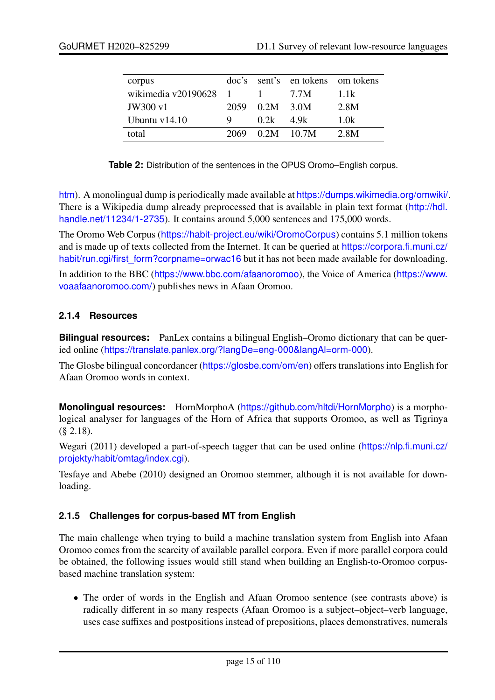| corpus                  |      |                | doc's sent's en tokens om tokens |      |
|-------------------------|------|----------------|----------------------------------|------|
| wikimedia $v20190628$ 1 |      |                | 7.7M                             | 1.1k |
| JW300 v1                |      | 2059 0.2M 3.0M |                                  | 2.8M |
| Ubuntu $v14.10$         | 9    | 0.2k           | 4.9k                             | 1.0k |
| total                   | 2069 | $0.2M$ 10.7M   |                                  | 2.8M |

**Table 2:** Distribution of the sentences in the OPUS Oromo–English corpus.

[htm](https://stats.wikimedia.org/EN/SummaryOR.htm)). A monolingual dump is periodically made available at <https://dumps.wikimedia.org/omwiki/>. There is a Wikipedia dump already preprocessed that is available in plain text format ([http://hdl.](http://hdl.handle.net/11234/1-2735) [handle.net/11234/1-2735](http://hdl.handle.net/11234/1-2735)). It contains around 5,000 sentences and 175,000 words.

The Oromo Web Corpus (<https://habit-project.eu/wiki/OromoCorpus>) contains 5.1 million tokens and is made up of texts collected from the Internet. It can be queried at [https://corpora.fi.muni.cz/](https://corpora.fi.muni.cz/habit/run.cgi/first_form?corpname=orwac16) [habit/run.cgi/first\\_form?corpname=orwac16](https://corpora.fi.muni.cz/habit/run.cgi/first_form?corpname=orwac16) but it has not been made available for downloading.

In addition to the BBC (<https://www.bbc.com/afaanoromoo>), the Voice of America ([https://www.](https://www.voaafaanoromoo.com/) [voaafaanoromoo.com/](https://www.voaafaanoromoo.com/)) publishes news in Afaan Oromoo.

#### <span id="page-14-0"></span>**2.1.4 Resources**

**Bilingual resources:** PanLex contains a bilingual English–Oromo dictionary that can be queried online (<https://translate.panlex.org/?langDe=eng-000&langAl=orm-000>).

The Glosbe bilingual concordancer (<https://glosbe.com/om/en>) offers translations into English for Afaan Oromoo words in context.

**Monolingual resources:** HornMorphoA (<https://github.com/hltdi/HornMorpho>) is a morphological analyser for languages of the Horn of Africa that supports Oromoo, as well as Tigrinya (§ [2.18\)](#page-89-0).

[Wegari](#page-108-0) [\(2011\)](#page-108-0) developed a part-of-speech tagger that can be used online ([https://nlp.fi.muni.cz/](https://nlp.fi.muni.cz/projekty/habit/omtag/index.cgi) [projekty/habit/omtag/index.cgi](https://nlp.fi.muni.cz/projekty/habit/omtag/index.cgi)).

[Tesfaye and Abebe](#page-108-1) [\(2010\)](#page-108-1) designed an Oromoo stemmer, although it is not available for downloading.

#### <span id="page-14-1"></span>**2.1.5 Challenges for corpus-based MT from English**

The main challenge when trying to build a machine translation system from English into Afaan Oromoo comes from the scarcity of available parallel corpora. Even if more parallel corpora could be obtained, the following issues would still stand when building an English-to-Oromoo corpusbased machine translation system:

• The order of words in the English and Afaan Oromoo sentence (see contrasts above) is radically different in so many respects (Afaan Oromoo is a subject–object–verb language, uses case suffixes and postpositions instead of prepositions, places demonstratives, numerals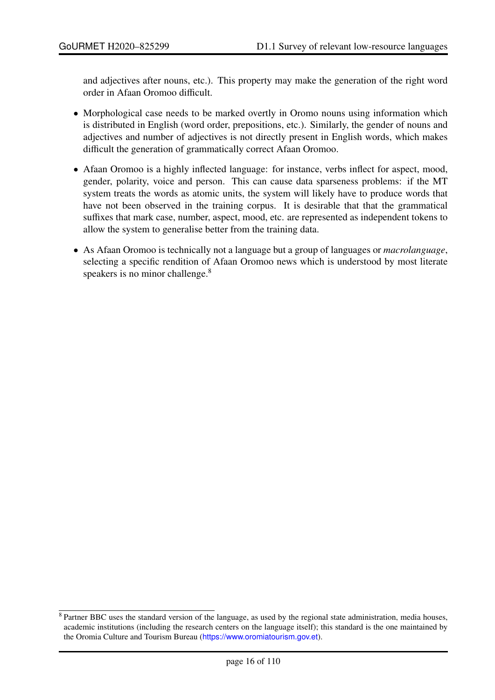and adjectives after nouns, etc.). This property may make the generation of the right word order in Afaan Oromoo difficult.

- Morphological case needs to be marked overtly in Oromo nouns using information which is distributed in English (word order, prepositions, etc.). Similarly, the gender of nouns and adjectives and number of adjectives is not directly present in English words, which makes difficult the generation of grammatically correct Afaan Oromoo.
- Afaan Oromoo is a highly inflected language: for instance, verbs inflect for aspect, mood, gender, polarity, voice and person. This can cause data sparseness problems: if the MT system treats the words as atomic units, the system will likely have to produce words that have not been observed in the training corpus. It is desirable that that the grammatical suffixes that mark case, number, aspect, mood, etc. are represented as independent tokens to allow the system to generalise better from the training data.
- As Afaan Oromoo is technically not a language but a group of languages or *macrolanguage*, selecting a specific rendition of Afaan Oromoo news which is understood by most literate speakers is no minor challenge.<sup>8</sup>

 $8$  Partner BBC uses the standard version of the language, as used by the regional state administration, media houses, academic institutions (including the research centers on the language itself); this standard is the one maintained by the Oromia Culture and Tourism Bureau (<https://www.oromiatourism.gov.et>).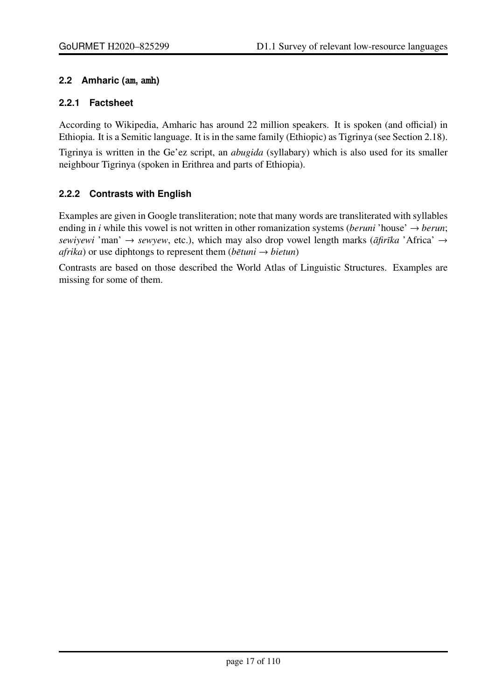#### <span id="page-16-0"></span>**2.2 Amharic (**am**,** amh**)**

#### <span id="page-16-1"></span>**2.2.1 Factsheet**

According to Wikipedia, Amharic has around 22 million speakers. It is spoken (and official) in Ethiopia. It is a Semitic language. It is in the same family (Ethiopic) as Tigrinya (see Section [2.18\)](#page-89-0).

Tigrinya is written in the Ge'ez script, an *abugida* (syllabary) which is also used for its smaller neighbour Tigrinya (spoken in Erithrea and parts of Ethiopia).

#### <span id="page-16-2"></span>**2.2.2 Contrasts with English**

Examples are given in Google transliteration; note that many words are transliterated with syllables ending in *i* while this vowel is not written in other romanization systems (*beruni* 'house'  $\rightarrow$  *berun*; *sewiyewi* 'man' → *sewyew*, etc.), which may also drop vowel length marks ( $\bar{a}$ firīka 'Africa' → *afrika*) or use diphtongs to represent them ( $b\bar{e}tuni \rightarrow bietun$ )

Contrasts are based on those described the World Atlas of Linguistic Structures. Examples are missing for some of them.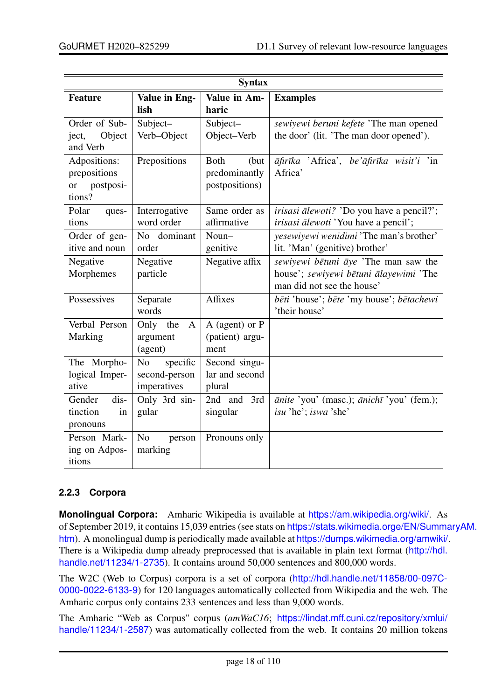| <b>Syntax</b>           |                              |                                 |                                             |  |  |
|-------------------------|------------------------------|---------------------------------|---------------------------------------------|--|--|
| <b>Feature</b>          | Value in Eng-                | Value in Am-                    | <b>Examples</b>                             |  |  |
|                         | lish                         | haric                           |                                             |  |  |
| Order of Sub-           | Subject-                     | Subject-                        | sewiyewi beruni kefete 'The man opened      |  |  |
| Object<br>ject,         | Verb-Object                  | Object-Verb                     | the door' (lit. 'The man door opened').     |  |  |
| and Verb                |                              |                                 |                                             |  |  |
| Adpositions:            | Prepositions                 | <b>Both</b><br>(but             | āfirīka 'Africa', be'āfirīka wisit'i 'in    |  |  |
| prepositions            |                              | predominantly                   | Africa'                                     |  |  |
| postposi-<br>or         |                              | postpositions)                  |                                             |  |  |
| tions?                  |                              |                                 |                                             |  |  |
| Polar<br>ques-          | Interrogative                | Same order as                   | irisasi ālewoti? 'Do you have a pencil?';   |  |  |
| tions                   | word order                   | affirmative                     | <i>irisasi ālewoti</i> 'You have a pencil'; |  |  |
| Order of gen-           | No dominant                  | Noun-                           | yesewiyewi wenidimi 'The man's brother'     |  |  |
| itive and noun          | order                        | genitive                        | lit. 'Man' (genitive) brother'              |  |  |
| Negative                | Negative                     | Negative affix                  | sewiyewi bētuni āye 'The man saw the        |  |  |
| Morphemes               | particle                     |                                 | house'; sewiyewi bētuni ālayewimi 'The      |  |  |
|                         |                              |                                 | man did not see the house'                  |  |  |
| Possessives             | Separate                     | Affixes                         | bēti 'house'; bēte 'my house'; bētachewi    |  |  |
|                         | words                        |                                 | 'their house'                               |  |  |
| Verbal Person           | Only the<br>$\mathbf{A}$     | A (agent) or $P$                |                                             |  |  |
| Marking                 | argument                     | (patient) argu-                 |                                             |  |  |
|                         | (agent)                      | ment                            |                                             |  |  |
| The Morpho-             | N <sub>o</sub><br>specific   | Second singu-<br>lar and second |                                             |  |  |
| logical Imper-<br>ative | second-person<br>imperatives | plural                          |                                             |  |  |
| dis-<br>Gender          | Only 3rd sin-                | 2nd and<br>3rd                  | ānite 'you' (masc.); ānichī 'you' (fem.);   |  |  |
| tinction<br>in          | gular                        | singular                        | isu 'he'; iswa 'she'                        |  |  |
| pronouns                |                              |                                 |                                             |  |  |
| Person Mark-            | N <sub>o</sub><br>person     | Pronouns only                   |                                             |  |  |
| ing on Adpos-           | marking                      |                                 |                                             |  |  |
| itions                  |                              |                                 |                                             |  |  |

#### <span id="page-17-0"></span>**2.2.3 Corpora**

**Monolingual Corpora:** Amharic Wikipedia is available at <https://am.wikipedia.org/wiki/>. As of September 2019, it contains 15,039 entries (see stats on [https://stats.wikimedia.orge/EN/Summa](https://stats.wikimedia.orge/EN/SummaryAM.htm)ryAM. [htm](https://stats.wikimedia.orge/EN/SummaryAM.htm)). A monolingual dump is periodically made available at <https://dumps.wikimedia.org/amwiki/>. There is a Wikipedia dump already preprocessed that is available in plain text format ([http://hdl.](http://hdl.handle.net/11234/1-2735) [handle.net/11234/1-2735](http://hdl.handle.net/11234/1-2735)). It contains around 50,000 sentences and 800,000 words.

The W2C (Web to Corpus) corpora is a set of corpora ([http://hdl.handle.net/11858/00-097C-](http://hdl.handle.net/11858/00-097C-0000-0022-6133-9)[0000-0022-6133-9](http://hdl.handle.net/11858/00-097C-0000-0022-6133-9)) for 120 languages automatically collected from Wikipedia and the web. The Amharic corpus only contains 233 sentences and less than 9,000 words.

The Amharic "Web as Corpus" corpus (*amWaC16*; [https://lindat.mff.cuni.cz/repository/xmlui/](https://lindat.mff.cuni.cz/repository/xmlui/handle/11234/1-2587) [handle/11234/1-2587](https://lindat.mff.cuni.cz/repository/xmlui/handle/11234/1-2587)) was automatically collected from the web. It contains 20 million tokens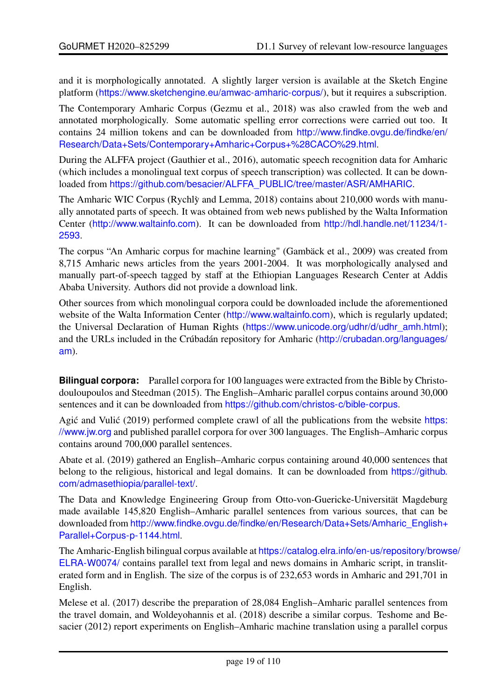and it is morphologically annotated. A slightly larger version is available at the Sketch Engine platform (<https://www.sketchengine.eu/amwac-amharic-corpus/>), but it requires a subscription.

The Contemporary Amharic Corpus [\(Gezmu et al.,](#page-106-0) [2018\)](#page-106-0) was also crawled from the web and annotated morphologically. Some automatic spelling error corrections were carried out too. It contains 24 million tokens and can be downloaded from [http://www.findke.ovgu.de/findke/en/](http://www.findke.ovgu.de/findke/en/Research/Data+Sets/Contemporary+Amharic+Corpus+%28CACO%29.html) [Research/Data+Sets/Contemporary+Amharic+Corpus+%28CACO%29.html](http://www.findke.ovgu.de/findke/en/Research/Data+Sets/Contemporary+Amharic+Corpus+%28CACO%29.html).

During the ALFFA project [\(Gauthier et al.,](#page-106-1) [2016\)](#page-106-1), automatic speech recognition data for Amharic (which includes a monolingual text corpus of speech transcription) was collected. It can be downloaded from [https://github.com/besacier/ALFFA\\_PUBLIC/tree/master/ASR/AMHARIC](https://github.com/besacier/ALFFA_PUBLIC/tree/master/ASR/AMHARIC).

The Amharic WIC Corpus (Rychl $\hat{y}$  and Lemma, [2018\)](#page-107-0) contains about 210,000 words with manually annotated parts of speech. It was obtained from web news published by the Walta Information Center (<http://www.waltainfo.com>). It can be downloaded from [http://hdl.handle.net/11234/1-](http://hdl.handle.net/11234/1-2593) [2593](http://hdl.handle.net/11234/1-2593).

The corpus "An Amharic corpus for machine learning" [\(Gambäck et al.,](#page-106-2) [2009\)](#page-106-2) was created from 8,715 Amharic news articles from the years 2001-2004. It was morphologically analysed and manually part-of-speech tagged by staff at the Ethiopian Languages Research Center at Addis Ababa University. Authors did not provide a download link.

Other sources from which monolingual corpora could be downloaded include the aforementioned website of the Walta Information Center (<http://www.waltainfo.com>), which is regularly updated; the Universal Declaration of Human Rights ([https://www.unicode.org/udhr/d/udhr\\_amh.html](https://www.unicode.org/udhr/d/udhr_amh.html)); and the URLs included in the Crúbadán repository for Amharic ([http://crubadan.org/languages/](http://crubadan.org/languages/am) [am](http://crubadan.org/languages/am)).

**Bilingual corpora:** Parallel corpora for 100 languages were extracted from the Bible by [Christo](#page-105-2)[douloupoulos and Steedman](#page-105-2) [\(2015\)](#page-105-2). The English–Amharic parallel corpus contains around 30,000 sentences and it can be downloaded from <https://github.com/christos-c/bible-corpus>.

Agić and Vulić [\(2019\)](#page-105-3) performed complete crawl of all the publications from the website [https:](https://www.jw.org) [//www.jw.org](https://www.jw.org) and published parallel corpora for over 300 languages. The English–Amharic corpus contains around 700,000 parallel sentences.

[Abate et al.](#page-105-4) [\(2019\)](#page-105-4) gathered an English–Amharic corpus containing around 40,000 sentences that belong to the religious, historical and legal domains. It can be downloaded from [https://github.](https://github.com/admasethiopia/parallel-text/) [com/admasethiopia/parallel-text/](https://github.com/admasethiopia/parallel-text/).

The Data and Knowledge Engineering Group from Otto-von-Guericke-Universität Magdeburg made available 145,820 English–Amharic parallel sentences from various sources, that can be downloaded from [http://www.findke.ovgu.de/findke/en/Research/Data+Sets/Amharic\\_English+](http://www.findke.ovgu.de/findke/en/Research/Data+Sets/Amharic_English+Parallel+Corpus-p-1144.html) [Parallel+Corpus-p-1144.html](http://www.findke.ovgu.de/findke/en/Research/Data+Sets/Amharic_English+Parallel+Corpus-p-1144.html).

The Amharic-English bilingual corpus available at [https://catalog.elra.info/en-us/repository/brows](https://catalog.elra.info/en-us/repository/browse/ELRA-W0074/)e/ [ELRA-W0074/](https://catalog.elra.info/en-us/repository/browse/ELRA-W0074/) contains parallel text from legal and news domains in Amharic script, in transliterated form and in English. The size of the corpus is of 232,653 words in Amharic and 291,701 in English.

[Melese et al.](#page-107-1) [\(2017\)](#page-107-1) describe the preparation of 28,084 English–Amharic parallel sentences from the travel domain, and [Woldeyohannis et al.](#page-108-2) [\(2018\)](#page-108-2) describe a similar corpus. [Teshome and Be](#page-108-3)[sacier](#page-108-3) [\(2012\)](#page-108-3) report experiments on English–Amharic machine translation using a parallel corpus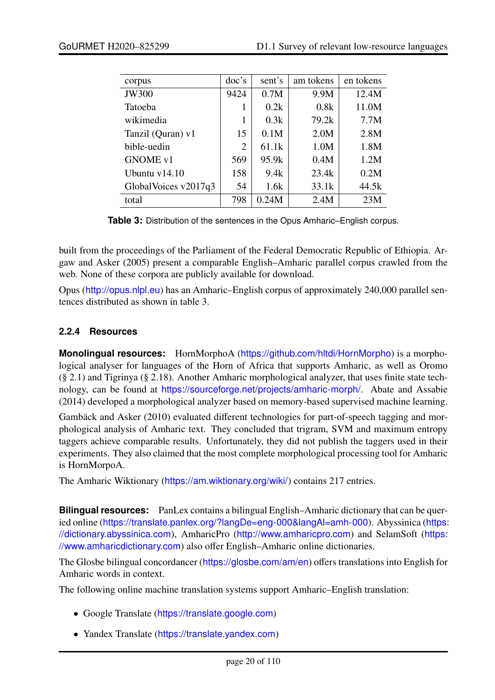<span id="page-19-2"></span>

| corpus               | doc's          | sent's | am tokens | en tokens |
|----------------------|----------------|--------|-----------|-----------|
| JW300                | 9424           | 0.7M   | 9.9M      | 12.4M     |
| Tatoeba              | 1              | 0.2k   | 0.8k      | 11.0M     |
| wikimedia            | 1              | 0.3k   | 79.2k     | 7.7M      |
| Tanzil (Quran) v1    | 15             | 0.1M   | 2.0M      | 2.8M      |
| bible-uedin          | $\overline{2}$ | 61.1k  | 1.0M      | 1.8M      |
| <b>GNOME</b> v1      | 569            | 95.9k  | 0.4M      | 1.2M      |
| Ubuntu $v14.10$      | 158            | 9.4k   | 23.4k     | 0.2M      |
| GlobalVoices v2017q3 | 54             | 1.6k   | 33.1k     | 44.5k     |
| total                | 798            | 0.24M  | 2.4M      | 23M       |

| Table 3: Distribution of the sentences in the Opus Amharic-English corpus. |  |  |
|----------------------------------------------------------------------------|--|--|
|----------------------------------------------------------------------------|--|--|

built from the proceedings of the Parliament of the Federal Democratic Republic of Ethiopia. [Ar](#page-105-5)[gaw and Asker](#page-105-5) [\(2005\)](#page-105-5) present a comparable English–Amharic parallel corpus crawled from the web. None of these corpora are publicly available for download.

<span id="page-19-0"></span>Opus (<http://opus.nlpl.eu>) has an Amharic–English corpus of approximately 240,000 parallel sentences distributed as shown in table [3.](#page-19-2)

#### **2.2.4 Resources**

**Monolingual resources:** HornMorphoA (<https://github.com/hltdi/HornMorpho>) is a morphological analyser for languages of the Horn of Africa that supports Amharic, as well as Oromo (§ [2.1\)](#page-10-0) and Tigrinya (§ [2.18\)](#page-89-0). Another Amharic morphological analyzer, that uses finite state technology, can be found at <https://sourceforge.net/projects/amharic-morph/>. [Abate and Assabie](#page-105-6) [\(2014\)](#page-105-6) developed a morphological analyzer based on memory-based supervised machine learning.

[Gambäck and Asker](#page-106-3) [\(2010\)](#page-106-3) evaluated different technologies for part-of-speech tagging and morphological analysis of Amharic text. They concluded that trigram, SVM and maximum entropy taggers achieve comparable results. Unfortunately, they did not publish the taggers used in their experiments. They also claimed that the most complete morphological processing tool for Amharic is HornMorpoA.

The Amharic Wiktionary (<https://am.wiktionary.org/wiki/>) contains 217 entries.

**Bilingual resources:** PanLex contains a bilingual English–Amharic dictionary that can be queried online (<https://translate.panlex.org/?langDe=eng-000&langAl=amh-000>). Abyssinica ([https:](https://dictionary.abyssinica.com) [//dictionary.abyssinica.com](https://dictionary.abyssinica.com)), AmharicPro (<http://www.amharicpro.com>) and SelamSoft ([https:](https://www.amharicdictionary.com) [//www.amharicdictionary.com](https://www.amharicdictionary.com)) also offer English–Amharic online dictionaries.

The Glosbe bilingual concordancer (<https://glosbe.com/am/en>) offers translations into English for Amharic words in context.

The following online machine translation systems support Amharic–English translation:

- Google Translate (<https://translate.google.com>)
- <span id="page-19-1"></span>• Yandex Translate (<https://translate.yandex.com>)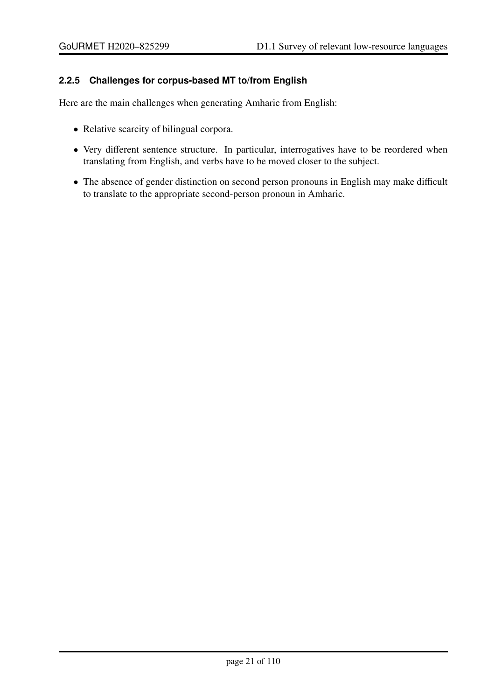#### **2.2.5 Challenges for corpus-based MT to/from English**

Here are the main challenges when generating Amharic from English:

- Relative scarcity of bilingual corpora.
- Very different sentence structure. In particular, interrogatives have to be reordered when translating from English, and verbs have to be moved closer to the subject.
- The absence of gender distinction on second person pronouns in English may make difficult to translate to the appropriate second-person pronoun in Amharic.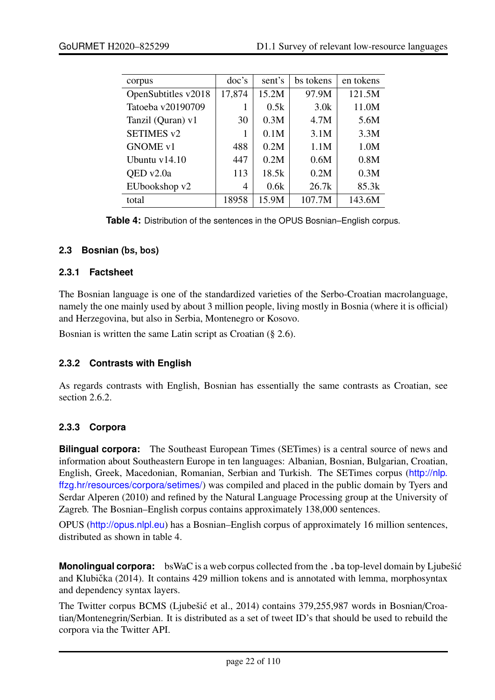<span id="page-21-4"></span>

| corpus              | doc's  | sent's | bs tokens | en tokens |
|---------------------|--------|--------|-----------|-----------|
| OpenSubtitles v2018 | 17,874 | 15.2M  | 97.9M     | 121.5M    |
| Tatoeba v20190709   | 1      | 0.5k   | 3.0k      | 11.0M     |
| Tanzil (Quran) v1   | 30     | 0.3M   | 4.7M      | 5.6M      |
| <b>SETIMES</b> v2   | 1      | 0.1M   | 3.1M      | 3.3M      |
| <b>GNOME v1</b>     | 488    | 0.2M   | 1.1M      | 1.0M      |
| Ubuntu $v14.10$     | 447    | 0.2M   | 0.6M      | 0.8M      |
| QED v2.0a           | 113    | 18.5k  | 0.2M      | 0.3M      |
| EUbookshop v2       | 4      | 0.6k   | 26.7k     | 85.3k     |
| total               | 18958  | 15.9M  | 107.7M    | 143.6M    |

**Table 4:** Distribution of the sentences in the OPUS Bosnian–English corpus.

#### <span id="page-21-0"></span>**2.3 Bosnian (**bs**,** bos**)**

#### <span id="page-21-1"></span>**2.3.1 Factsheet**

The Bosnian language is one of the standardized varieties of the Serbo-Croatian macrolanguage, namely the one mainly used by about 3 million people, living mostly in Bosnia (where it is official) and Herzegovina, but also in Serbia, Montenegro or Kosovo.

<span id="page-21-2"></span>Bosnian is written the same Latin script as Croatian (§ [2.6\)](#page-34-0).

#### **2.3.2 Contrasts with English**

<span id="page-21-3"></span>As regards contrasts with English, Bosnian has essentially the same contrasts as Croatian, see section [2.6.2.](#page-34-2)

#### **2.3.3 Corpora**

**Bilingual corpora:** The Southeast European Times (SETimes) is a central source of news and information about Southeastern Europe in ten languages: Albanian, Bosnian, Bulgarian, Croatian, English, Greek, Macedonian, Romanian, Serbian and Turkish. The SETimes corpus ([http://nlp.](http://nlp.ffzg.hr/resources/corpora/setimes/) [ffzg.hr/resources/corpora/setimes/](http://nlp.ffzg.hr/resources/corpora/setimes/)) was compiled and placed in the public domain by [Tyers and](#page-108-4) [Serdar Alperen](#page-108-4) [\(2010\)](#page-108-4) and refined by the Natural Language Processing group at the University of Zagreb. The Bosnian–English corpus contains approximately 138,000 sentences.

OPUS (<http://opus.nlpl.eu>) has a Bosnian–English corpus of approximately 16 million sentences, distributed as shown in table [4.](#page-21-4)

**Monolingual corpora:** bsWaC is a web corpus collected from the .ba top-level domain by [Ljube](#page-106-4)šic´ and Klubička [\(2014\)](#page-106-4). It contains 429 million tokens and is annotated with lemma, morphosyntax and dependency syntax layers.

The Twitter corpus BCMS (Ljubešić et al., [2014\)](#page-106-5) contains 379,255,987 words in Bosnian/Croatian/Montenegrin/Serbian. It is distributed as a set of tweet ID's that should be used to rebuild the corpora via the Twitter API.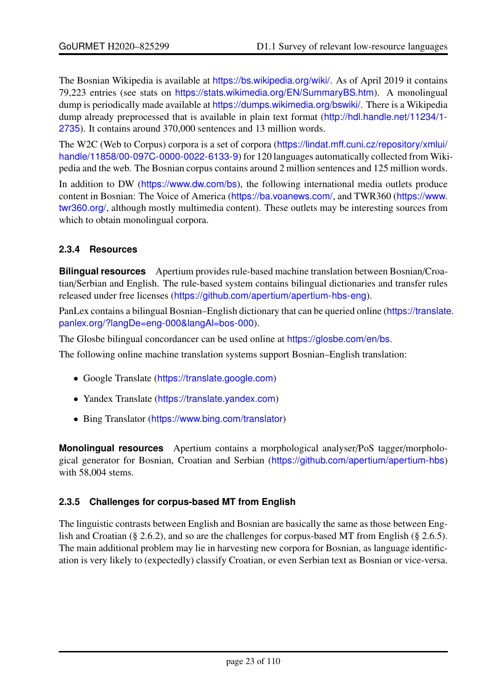The Bosnian Wikipedia is available at <https://bs.wikipedia.org/wiki/>. As of April 2019 it contains 79,223 entries (see stats on <https://stats.wikimedia.org/EN/SummaryBS.htm>). A monolingual dump is periodically made available at <https://dumps.wikimedia.org/bswiki/>. There is a Wikipedia dump already preprocessed that is available in plain text format ([http://hdl.handle.net/11234/1-](http://hdl.handle.net/11234/1-2735) [2735](http://hdl.handle.net/11234/1-2735)). It contains around 370,000 sentences and 13 million words.

The W2C (Web to Corpus) corpora is a set of corpora ([https://lindat.mff.cuni.cz/repository/xmlui/](https://lindat.mff.cuni.cz/repository/xmlui/handle/11858/00-097C-0000-0022-6133-9) [handle/11858/00-097C-0000-0022-6133-9](https://lindat.mff.cuni.cz/repository/xmlui/handle/11858/00-097C-0000-0022-6133-9)) for 120 languages automatically collected from Wikipedia and the web. The Bosnian corpus contains around 2 million sentences and 125 million words.

In addition to DW (<https://www.dw.com/bs>), the following international media outlets produce content in Bosnian: The Voice of America (<https://ba.voanews.com/>, and TWR360 ([https://www.](https://www.twr360.org/) [twr360.org/](https://www.twr360.org/), although mostly multimedia content). These outlets may be interesting sources from which to obtain monolingual corpora.

#### <span id="page-22-0"></span>**2.3.4 Resources**

**Bilingual resources** Apertium provides rule-based machine translation between Bosnian/Croatian/Serbian and English. The rule-based system contains bilingual dictionaries and transfer rules released under free licenses (<https://github.com/apertium/apertium-hbs-eng>).

PanLex contains a bilingual Bosnian–English dictionary that can be queried online ([https://translate](https://translate.panlex.org/?langDe=eng-000&langAl=bos-000). [panlex.org/?langDe=eng-000&langAl=bos-000](https://translate.panlex.org/?langDe=eng-000&langAl=bos-000)).

The Glosbe bilingual concordancer can be used online at <https://glosbe.com/en/bs>.

The following online machine translation systems support Bosnian–English translation:

- Google Translate (<https://translate.google.com>)
- Yandex Translate (<https://translate.yandex.com>)
- Bing Translator (<https://www.bing.com/translator>)

**Monolingual resources** Apertium contains a morphological analyser/PoS tagger/morphological generator for Bosnian, Croatian and Serbian (<https://github.com/apertium/apertium-hbs>) with 58,004 stems.

#### <span id="page-22-1"></span>**2.3.5 Challenges for corpus-based MT from English**

The linguistic contrasts between English and Bosnian are basically the same as those between English and Croatian (§ [2.6.2\)](#page-34-2), and so are the challenges for corpus-based MT from English (§ [2.6.5\)](#page-37-1). The main additional problem may lie in harvesting new corpora for Bosnian, as language identification is very likely to (expectedly) classify Croatian, or even Serbian text as Bosnian or vice-versa.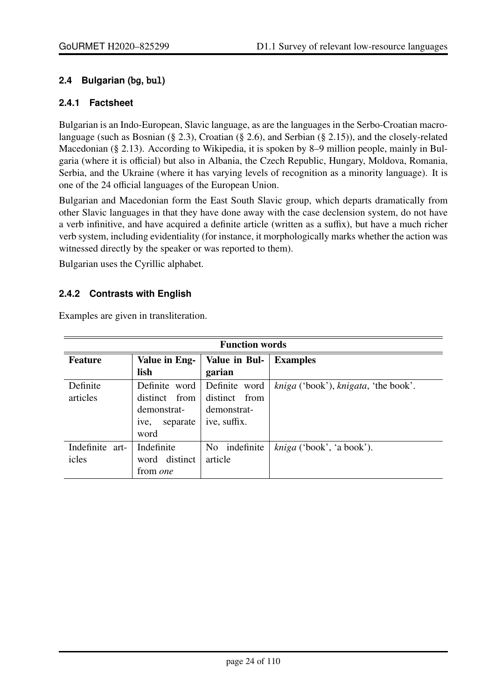#### <span id="page-23-0"></span>**2.4 Bulgarian (**bg**,** bul**)**

#### <span id="page-23-1"></span>**2.4.1 Factsheet**

Bulgarian is an Indo-European, Slavic language, as are the languages in the Serbo-Croatian macrolanguage (such as Bosnian (§ [2.3\)](#page-21-0), Croatian (§ [2.6\)](#page-34-0), and Serbian (§ [2.15\)](#page-76-0)), and the closely-related Macedonian (§ [2.13\)](#page-68-0). According to Wikipedia, it is spoken by 8–9 million people, mainly in Bulgaria (where it is official) but also in Albania, the Czech Republic, Hungary, Moldova, Romania, Serbia, and the Ukraine (where it has varying levels of recognition as a minority language). It is one of the 24 official languages of the European Union.

Bulgarian and Macedonian form the East South Slavic group, which departs dramatically from other Slavic languages in that they have done away with the case declension system, do not have a verb infinitive, and have acquired a definite article (written as a suffix), but have a much richer verb system, including evidentiality (for instance, it morphologically marks whether the action was witnessed directly by the speaker or was reported to them).

<span id="page-23-2"></span>Bulgarian uses the Cyrillic alphabet.

#### **2.4.2 Contrasts with English**

Examples are given in transliteration.

| <b>Function words</b> |                   |                  |                                      |
|-----------------------|-------------------|------------------|--------------------------------------|
| <b>Feature</b>        | Value in Eng-     | Value in Bul-    | <b>Examples</b>                      |
|                       | lish              | garian           |                                      |
| Definite              | Definite word     | Definite word    | kniga ('book'), knigata, 'the book'. |
| articles              | from<br>distinct. | distinct<br>from |                                      |
|                       | demonstrat-       | demonstrat-      |                                      |
|                       | separate<br>ive,  | ive, suffix.     |                                      |
|                       | word              |                  |                                      |
| Indefinite art-       | Indefinite        | No indefinite    | <i>kniga</i> ('book', 'a book').     |
| icles                 | distinct<br>word  | article          |                                      |
|                       | from <i>one</i>   |                  |                                      |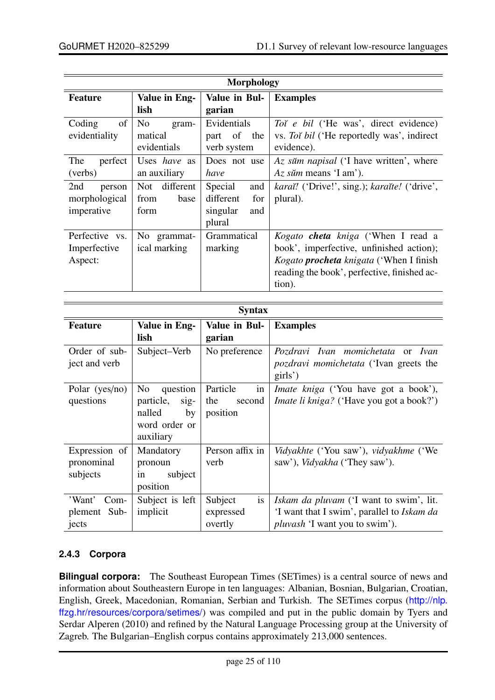| <b>Morphology</b> |                         |                  |                                                |  |
|-------------------|-------------------------|------------------|------------------------------------------------|--|
| <b>Feature</b>    | Value in Eng-           | Value in Bul-    | <b>Examples</b>                                |  |
|                   | lish                    | garian           |                                                |  |
| Coding<br>of      | N <sub>0</sub><br>gram- | Evidentials      | Tot e bil ('He was', direct evidence)          |  |
| evidentiality     | matical                 | part of the      | vs. Toï bil ('He reportedly was', indirect     |  |
|                   | evidentials             | verb system      | evidence).                                     |  |
| The<br>perfect    | Uses <i>have</i> as     | Does not use     | Az sum napisal ('I have written', where        |  |
| (verbs)           | an auxiliary            | have             | $Az \, \textit{sum}$ means 'I am').            |  |
| 2nd<br>person     | different<br>Not        | Special<br>and   | karaĭ! ('Drive!', sing.); karaĭte! ('drive',   |  |
| morphological     | from<br>base            | different<br>for | plural).                                       |  |
| imperative        | form                    | singular<br>and  |                                                |  |
|                   |                         | plural           |                                                |  |
| Perfective vs.    | No grammat-             | Grammatical      | <i>Kogato cheta kniga</i> ('When I read a      |  |
| Imperfective      | ical marking            | marking          | book', imperfective, unfinished action);       |  |
| Aspect:           |                         |                  | <i>Kogato procheta knigata</i> ('When I finish |  |
|                   |                         |                  | reading the book', perfective, finished ac-    |  |
|                   |                         |                  | tion).                                         |  |

| <b>Syntax</b>    |                            |                 |                                                   |  |
|------------------|----------------------------|-----------------|---------------------------------------------------|--|
| <b>Feature</b>   | Value in Eng-              | Value in Bul-   | <b>Examples</b>                                   |  |
|                  | lish                       | garian          |                                                   |  |
| Order of sub-    | Subject-Verb               | No preference   | Pozdravi Ivan momichetata or Ivan                 |  |
| ject and verb    |                            |                 | <i>pozdravi momichetata</i> ('Ivan greets the     |  |
|                  |                            |                 | girls'                                            |  |
| Polar (yes/no)   | question<br>N <sub>0</sub> | in<br>Particle  | <i>Imate kniga</i> ('You have got a book'),       |  |
| questions        | particle,<br>$sig-$        | the<br>second   | <i>Imate li kniga?</i> ('Have you got a book?')   |  |
|                  | nalled<br>by               | position        |                                                   |  |
|                  | word order or              |                 |                                                   |  |
|                  | auxiliary                  |                 |                                                   |  |
| Expression of    | Mandatory                  | Person affix in | Vidyakhte ('You saw'), vidyakhme ('We             |  |
| pronominal       | pronoun                    | verb            | saw'), <i>Vidyakha</i> ('They saw').              |  |
| subjects         | subject<br>1n              |                 |                                                   |  |
|                  | position                   |                 |                                                   |  |
| 'Want'<br>$Com-$ | Subject is left            | is<br>Subject   | <i>Iskam da pluvam</i> ('I want to swim', lit.    |  |
| plement Sub-     | implicit                   | expressed       | 'I want that I swim', parallel to <i>Iskam da</i> |  |
| jects            |                            | overtly         | <i>pluvash</i> 'I want you to swim').             |  |

#### <span id="page-24-0"></span>**2.4.3 Corpora**

**Bilingual corpora:** The Southeast European Times (SETimes) is a central source of news and information about Southeastern Europe in ten languages: Albanian, Bosnian, Bulgarian, Croatian, English, Greek, Macedonian, Romanian, Serbian and Turkish. The SETimes corpus ([http://nlp.](http://nlp.ffzg.hr/resources/corpora/setimes/) [ffzg.hr/resources/corpora/setimes/](http://nlp.ffzg.hr/resources/corpora/setimes/)) was compiled and put in the public domain by [Tyers and](#page-108-4) [Serdar Alperen](#page-108-4) [\(2010\)](#page-108-4) and refined by the Natural Language Processing group at the University of Zagreb. The Bulgarian–English corpus contains approximately 213,000 sentences.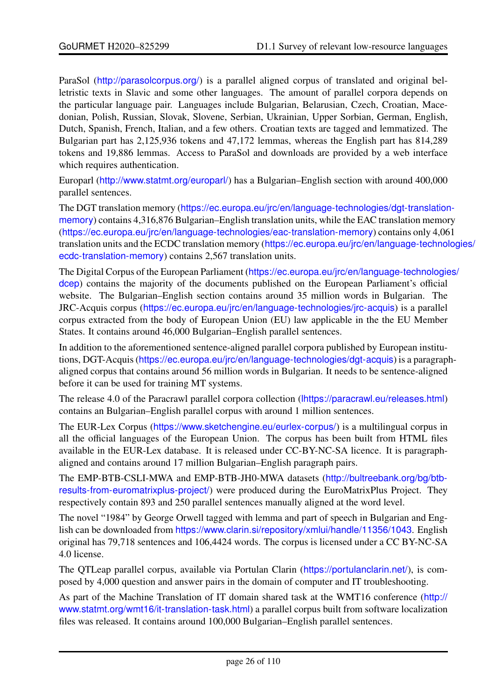ParaSol (<http://parasolcorpus.org/>) is a parallel aligned corpus of translated and original belletristic texts in Slavic and some other languages. The amount of parallel corpora depends on the particular language pair. Languages include Bulgarian, Belarusian, Czech, Croatian, Macedonian, Polish, Russian, Slovak, Slovene, Serbian, Ukrainian, Upper Sorbian, German, English, Dutch, Spanish, French, Italian, and a few others. Croatian texts are tagged and lemmatized. The Bulgarian part has 2,125,936 tokens and 47,172 lemmas, whereas the English part has 814,289 tokens and 19,886 lemmas. Access to ParaSol and downloads are provided by a web interface which requires authentication.

Europarl (<http://www.statmt.org/europarl/>) has a Bulgarian–English section with around 400,000 parallel sentences.

The DGT translation memory ([https://ec.europa.eu/jrc/en/language-technologies/dgt-translation](https://ec.europa.eu/jrc/en/language-technologies/dgt-translation-memory)[memory](https://ec.europa.eu/jrc/en/language-technologies/dgt-translation-memory)) contains 4,316,876 Bulgarian–English translation units, while the EAC translation memory (<https://ec.europa.eu/jrc/en/language-technologies/eac-translation-memory>) contains only 4,061 translation units and the ECDC translation memory ([https://ec.europa.eu/jrc/en/language-technol](https://ec.europa.eu/jrc/en/language-technologies/ecdc-translation-memory)ogies/ [ecdc-translation-memory](https://ec.europa.eu/jrc/en/language-technologies/ecdc-translation-memory)) contains 2,567 translation units.

The Digital Corpus of the European Parliament ([https://ec.europa.eu/jrc/en/language-technologie](https://ec.europa.eu/jrc/en/language-technologies/dcep)s/ [dcep](https://ec.europa.eu/jrc/en/language-technologies/dcep)) contains the majority of the documents published on the European Parliament's official website. The Bulgarian–English section contains around 35 million words in Bulgarian. The JRC-Acquis corpus (<https://ec.europa.eu/jrc/en/language-technologies/jrc-acquis>) is a parallel corpus extracted from the body of European Union (EU) law applicable in the the EU Member States. It contains around 46,000 Bulgarian–English parallel sentences.

In addition to the aforementioned sentence-aligned parallel corpora published by European institutions, DGT-Acquis (<https://ec.europa.eu/jrc/en/language-technologies/dgt-acquis>) is a paragraphaligned corpus that contains around 56 million words in Bulgarian. It needs to be sentence-aligned before it can be used for training MT systems.

The release 4.0 of the Paracrawl parallel corpora collection (<lhttps://paracrawl.eu/releases.html>) contains an Bulgarian–English parallel corpus with around 1 million sentences.

The EUR-Lex Corpus (<https://www.sketchengine.eu/eurlex-corpus/>) is a multilingual corpus in all the official languages of the European Union. The corpus has been built from HTML files available in the EUR-Lex database. It is released under CC-BY-NC-SA licence. It is paragraphaligned and contains around 17 million Bulgarian–English paragraph pairs.

The EMP-BTB-CSLI-MWA and EMP-BTB-JH0-MWA datasets ([http://bultreebank.org/bg/btb](http://bultreebank.org/bg/btb-results-from-euromatrixplus-project/)[results-from-euromatrixplus-project/](http://bultreebank.org/bg/btb-results-from-euromatrixplus-project/)) were produced during the EuroMatrixPlus Project. They respectively contain 893 and 250 parallel sentences manually aligned at the word level.

The novel "1984" by George Orwell tagged with lemma and part of speech in Bulgarian and English can be downloaded from <https://www.clarin.si/repository/xmlui/handle/11356/1043>. English original has 79,718 sentences and 106,4424 words. The corpus is licensed under a CC BY-NC-SA 4.0 license.

The QTLeap parallel corpus, available via Portulan Clarin (<https://portulanclarin.net/>), is composed by 4,000 question and answer pairs in the domain of computer and IT troubleshooting.

As part of the Machine Translation of IT domain shared task at the WMT16 conference ([http://](http://www.statmt.org/wmt16/it-translation-task.html) [www.statmt.org/wmt16/it-translation-task.html](http://www.statmt.org/wmt16/it-translation-task.html)) a parallel corpus built from software localization files was released. It contains around 100,000 Bulgarian–English parallel sentences.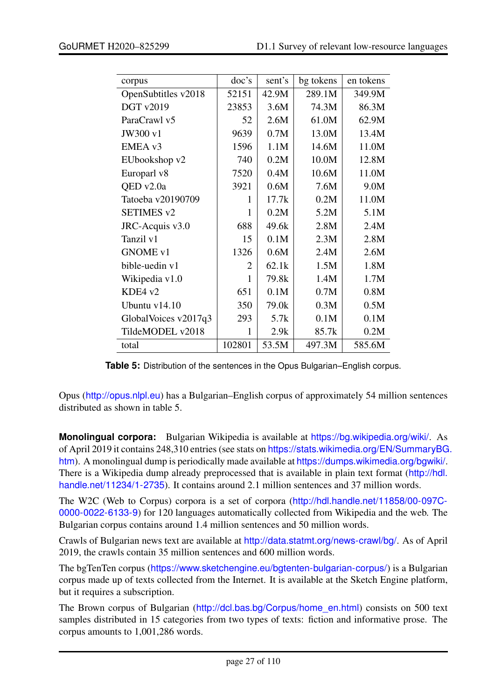<span id="page-26-0"></span>

| corpus               | doc's  | sent's | bg tokens | en tokens |
|----------------------|--------|--------|-----------|-----------|
| OpenSubtitles v2018  | 52151  | 42.9M  | 289.1M    | 349.9M    |
| DGT v2019            | 23853  | 3.6M   | 74.3M     | 86.3M     |
| ParaCrawl v5         | 52     | 2.6M   | 61.0M     | 62.9M     |
| JW300 v1             | 9639   | 0.7M   | 13.0M     | 13.4M     |
| EMEA <sub>v3</sub>   | 1596   | 1.1M   | 14.6M     | 11.0M     |
| EUbookshop v2        | 740    | 0.2M   | 10.0M     | 12.8M     |
| Europarl v8          | 7520   | 0.4M   | 10.6M     | 11.0M     |
| QED v2.0a            | 3921   | 0.6M   | 7.6M      | 9.0M      |
| Tatoeba v20190709    | 1      | 17.7k  | 0.2M      | 11.0M     |
| <b>SETIMES v2</b>    | 1      | 0.2M   | 5.2M      | 5.1M      |
| JRC-Acquis v3.0      | 688    | 49.6k  | 2.8M      | 2.4M      |
| Tanzil v1            | 15     | 0.1M   | 2.3M      | 2.8M      |
| <b>GNOME v1</b>      | 1326   | 0.6M   | 2.4M      | 2.6M      |
| bible-uedin v1       | 2      | 62.1k  | 1.5M      | 1.8M      |
| Wikipedia v1.0       | 1      | 79.8k  | 1.4M      | 1.7M      |
| KDE4 v2              | 651    | 0.1M   | 0.7M      | 0.8M      |
| Ubuntu $v14.10$      | 350    | 79.0k  | 0.3M      | 0.5M      |
| GlobalVoices v2017q3 | 293    | 5.7k   | 0.1M      | 0.1M      |
| TildeMODEL v2018     | 1      | 2.9k   | 85.7k     | 0.2M      |
| total                | 102801 | 53.5M  | 497.3M    | 585.6M    |

**Table 5:** Distribution of the sentences in the Opus Bulgarian–English corpus.

Opus (<http://opus.nlpl.eu>) has a Bulgarian–English corpus of approximately 54 million sentences distributed as shown in table [5.](#page-26-0)

**Monolingual corpora:** Bulgarian Wikipedia is available at <https://bg.wikipedia.org/wiki/>. As of April 2019 it contains 248,310 entries (see stats on [https://stats.wikimedia.org/EN/SummaryBG](https://stats.wikimedia.org/EN/SummaryBG.htm). [htm](https://stats.wikimedia.org/EN/SummaryBG.htm)). A monolingual dump is periodically made available at <https://dumps.wikimedia.org/bgwiki/>. There is a Wikipedia dump already preprocessed that is available in plain text format ([http://hdl.](http://hdl.handle.net/11234/1-2735) [handle.net/11234/1-2735](http://hdl.handle.net/11234/1-2735)). It contains around 2.1 million sentences and 37 million words.

The W2C (Web to Corpus) corpora is a set of corpora ([http://hdl.handle.net/11858/00-097C-](http://hdl.handle.net/11858/00-097C-0000-0022-6133-9)[0000-0022-6133-9](http://hdl.handle.net/11858/00-097C-0000-0022-6133-9)) for 120 languages automatically collected from Wikipedia and the web. The Bulgarian corpus contains around 1.4 million sentences and 50 million words.

Crawls of Bulgarian news text are available at <http://data.statmt.org/news-crawl/bg/>. As of April 2019, the crawls contain 35 million sentences and 600 million words.

The bgTenTen corpus (<https://www.sketchengine.eu/bgtenten-bulgarian-corpus/>) is a Bulgarian corpus made up of texts collected from the Internet. It is available at the Sketch Engine platform, but it requires a subscription.

The Brown corpus of Bulgarian ([http://dcl.bas.bg/Corpus/home\\_en.html](http://dcl.bas.bg/Corpus/home_en.html)) consists on 500 text samples distributed in 15 categories from two types of texts: fiction and informative prose. The corpus amounts to 1,001,286 words.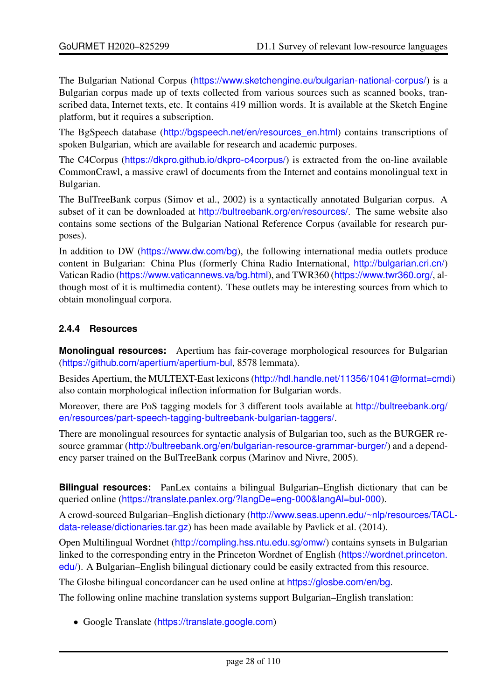The Bulgarian National Corpus (<https://www.sketchengine.eu/bulgarian-national-corpus/>) is a Bulgarian corpus made up of texts collected from various sources such as scanned books, transcribed data, Internet texts, etc. It contains 419 million words. It is available at the Sketch Engine platform, but it requires a subscription.

The BgSpeech database ([http://bgspeech.net/en/resources\\_en.html](http://bgspeech.net/en/resources_en.html)) contains transcriptions of spoken Bulgarian, which are available for research and academic purposes.

The C4Corpus (<https://dkpro.github.io/dkpro-c4corpus/>) is extracted from the on-line available CommonCrawl, a massive crawl of documents from the Internet and contains monolingual text in Bulgarian.

The BulTreeBank corpus [\(Simov et al.,](#page-107-2) [2002\)](#page-107-2) is a syntactically annotated Bulgarian corpus. A subset of it can be downloaded at <http://bultreebank.org/en/resources/>. The same website also contains some sections of the Bulgarian National Reference Corpus (available for research purposes).

In addition to DW (<https://www.dw.com/bg>), the following international media outlets produce content in Bulgarian: China Plus (formerly China Radio International, <http://bulgarian.cri.cn/>) Vatican Radio (<https://www.vaticannews.va/bg.html>), and TWR360 (<https://www.twr360.org/>, although most of it is multimedia content). These outlets may be interesting sources from which to obtain monolingual corpora.

#### <span id="page-27-0"></span>**2.4.4 Resources**

**Monolingual resources:** Apertium has fair-coverage morphological resources for Bulgarian (<https://github.com/apertium/apertium-bul>, 8578 lemmata).

Besides Apertium, the MULTEXT-East lexicons (<http://hdl.handle.net/11356/1041@format=cmdi>) also contain morphological inflection information for Bulgarian words.

Moreover, there are PoS tagging models for 3 different tools available at [http://bultreebank.org/](http://bultreebank.org/en/resources/part-speech-tagging-bultreebank-bulgarian-taggers/) [en/resources/part-speech-tagging-bultreebank-bulgarian-taggers/](http://bultreebank.org/en/resources/part-speech-tagging-bultreebank-bulgarian-taggers/).

There are monolingual resources for syntactic analysis of Bulgarian too, such as the BURGER resource grammar (<http://bultreebank.org/en/bulgarian-resource-grammar-burger/>) and a dependency parser trained on the BulTreeBank corpus [\(Marinov and Nivre,](#page-107-3) [2005\)](#page-107-3).

**Bilingual resources:** PanLex contains a bilingual Bulgarian–English dictionary that can be queried online (<https://translate.panlex.org/?langDe=eng-000&langAl=bul-000>).

A crowd-sourced Bulgarian–English dictionary ([http://www.seas.upenn.edu/~nlp/resources/TAC](http://www.seas.upenn.edu/~nlp/resources/TACL-data-release/dictionaries.tar.gz)L[data-release/dictionaries.tar.gz](http://www.seas.upenn.edu/~nlp/resources/TACL-data-release/dictionaries.tar.gz)) has been made available by [Pavlick et al.](#page-107-4) [\(2014\)](#page-107-4).

Open Multilingual Wordnet (<http://compling.hss.ntu.edu.sg/omw/>) contains synsets in Bulgarian linked to the corresponding entry in the Princeton Wordnet of English ([https://wordnet.princeton.](https://wordnet.princeton.edu/) [edu/](https://wordnet.princeton.edu/)). A Bulgarian–English bilingual dictionary could be easily extracted from this resource.

The Glosbe bilingual concordancer can be used online at <https://glosbe.com/en/bg>.

The following online machine translation systems support Bulgarian–English translation:

• Google Translate (<https://translate.google.com>)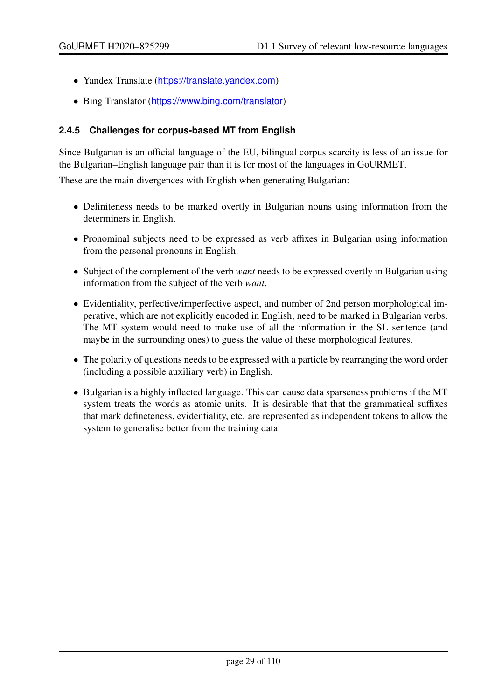- Yandex Translate (<https://translate.yandex.com>)
- Bing Translator (<https://www.bing.com/translator>)

#### <span id="page-28-0"></span>**2.4.5 Challenges for corpus-based MT from English**

Since Bulgarian is an official language of the EU, bilingual corpus scarcity is less of an issue for the Bulgarian–English language pair than it is for most of the languages in GoURMET.

These are the main divergences with English when generating Bulgarian:

- Definiteness needs to be marked overtly in Bulgarian nouns using information from the determiners in English.
- Pronominal subjects need to be expressed as verb affixes in Bulgarian using information from the personal pronouns in English.
- Subject of the complement of the verb *want* needs to be expressed overtly in Bulgarian using information from the subject of the verb *want*.
- Evidentiality, perfective/imperfective aspect, and number of 2nd person morphological imperative, which are not explicitly encoded in English, need to be marked in Bulgarian verbs. The MT system would need to make use of all the information in the SL sentence (and maybe in the surrounding ones) to guess the value of these morphological features.
- The polarity of questions needs to be expressed with a particle by rearranging the word order (including a possible auxiliary verb) in English.
- Bulgarian is a highly inflected language. This can cause data sparseness problems if the MT system treats the words as atomic units. It is desirable that that the grammatical suffixes that mark defineteness, evidentiality, etc. are represented as independent tokens to allow the system to generalise better from the training data.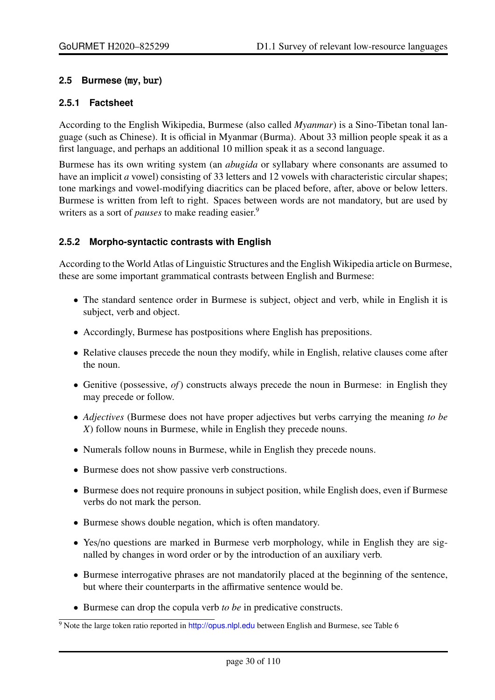#### <span id="page-29-0"></span>**2.5 Burmese (**my**,** bur**)**

#### <span id="page-29-1"></span>**2.5.1 Factsheet**

According to the English Wikipedia, Burmese (also called *Myanmar*) is a Sino-Tibetan tonal language (such as Chinese). It is official in Myanmar (Burma). About 33 million people speak it as a first language, and perhaps an additional 10 million speak it as a second language.

Burmese has its own writing system (an *abugida* or syllabary where consonants are assumed to have an implicit *a* vowel) consisting of 33 letters and 12 vowels with characteristic circular shapes; tone markings and vowel-modifying diacritics can be placed before, after, above or below letters. Burmese is written from left to right. Spaces between words are not mandatory, but are used by writers as a sort of *pauses* to make reading easier.<sup>9</sup>

#### <span id="page-29-2"></span>**2.5.2 Morpho-syntactic contrasts with English**

According to the World Atlas of Linguistic Structures and the English Wikipedia article on Burmese, these are some important grammatical contrasts between English and Burmese:

- The standard sentence order in Burmese is subject, object and verb, while in English it is subject, verb and object.
- Accordingly, Burmese has postpositions where English has prepositions.
- Relative clauses precede the noun they modify, while in English, relative clauses come after the noun.
- Genitive (possessive, *of*) constructs always precede the noun in Burmese: in English they may precede or follow.
- *Adjectives* (Burmese does not have proper adjectives but verbs carrying the meaning *to be X*) follow nouns in Burmese, while in English they precede nouns.
- Numerals follow nouns in Burmese, while in English they precede nouns.
- Burmese does not show passive verb constructions.
- Burmese does not require pronouns in subject position, while English does, even if Burmese verbs do not mark the person.
- Burmese shows double negation, which is often mandatory.
- Yes/no questions are marked in Burmese verb morphology, while in English they are signalled by changes in word order or by the introduction of an auxiliary verb.
- Burmese interrogative phrases are not mandatorily placed at the beginning of the sentence, but where their counterparts in the affirmative sentence would be.
- Burmese can drop the copula verb *to be* in predicative constructs.

<sup>9</sup> Note the large token ratio reported in <http://opus.nlpl.edu> between English and Burmese, see Table [6](#page-33-0)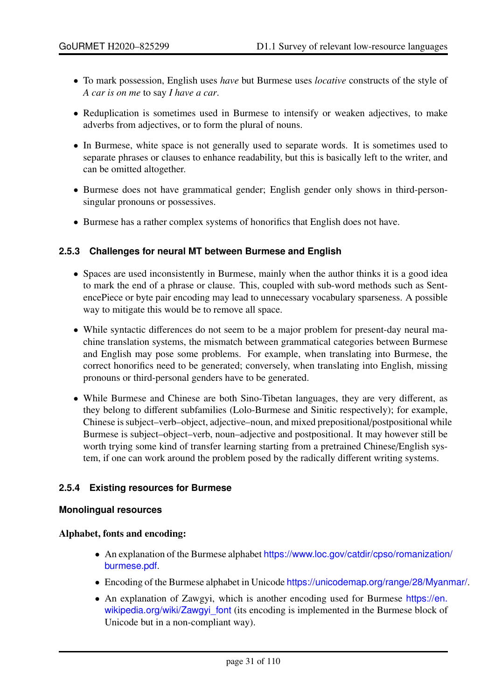- To mark possession, English uses *have* but Burmese uses *locative* constructs of the style of *A car is on me* to say *I have a car*.
- Reduplication is sometimes used in Burmese to intensify or weaken adjectives, to make adverbs from adjectives, or to form the plural of nouns.
- In Burmese, white space is not generally used to separate words. It is sometimes used to separate phrases or clauses to enhance readability, but this is basically left to the writer, and can be omitted altogether.
- Burmese does not have grammatical gender; English gender only shows in third-personsingular pronouns or possessives.
- Burmese has a rather complex systems of honorifics that English does not have.

#### <span id="page-30-0"></span>**2.5.3 Challenges for neural MT between Burmese and English**

- Spaces are used inconsistently in Burmese, mainly when the author thinks it is a good idea to mark the end of a phrase or clause. This, coupled with sub-word methods such as SentencePiece or byte pair encoding may lead to unnecessary vocabulary sparseness. A possible way to mitigate this would be to remove all space.
- While syntactic differences do not seem to be a major problem for present-day neural machine translation systems, the mismatch between grammatical categories between Burmese and English may pose some problems. For example, when translating into Burmese, the correct honorifics need to be generated; conversely, when translating into English, missing pronouns or third-personal genders have to be generated.
- While Burmese and Chinese are both Sino-Tibetan languages, they are very different, as they belong to different subfamilies (Lolo-Burmese and Sinitic respectively); for example, Chinese is subject–verb–object, adjective–noun, and mixed prepositional/postpositional while Burmese is subject–object–verb, noun–adjective and postpositional. It may however still be worth trying some kind of transfer learning starting from a pretrained Chinese/English system, if one can work around the problem posed by the radically different writing systems.

#### <span id="page-30-1"></span>**2.5.4 Existing resources for Burmese**

#### **Monolingual resources**

#### Alphabet, fonts and encoding:

- An explanation of the Burmese alphabet [https://www.loc.gov/catdir/cpso/romanization](https://www.loc.gov/catdir/cpso/romanization/burmese.pdf)/ [burmese.pdf](https://www.loc.gov/catdir/cpso/romanization/burmese.pdf).
- Encoding of the Burmese alphabet in Unicode <https://unicodemap.org/range/28/Myanmar/>.
- An explanation of Zawgyi, which is another encoding used for Burmese [https://en.](https://en.wikipedia.org/wiki/Zawgyi_font) [wikipedia.org/wiki/Zawgyi\\_font](https://en.wikipedia.org/wiki/Zawgyi_font) (its encoding is implemented in the Burmese block of Unicode but in a non-compliant way).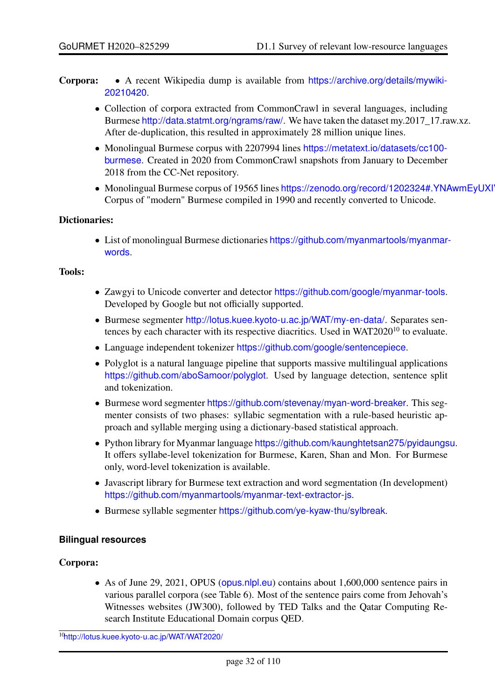- Corpora: A recent Wikipedia dump is available from [https://archive.org/details/mywiki-](https://archive.org/details/mywiki-20210420)[20210420](https://archive.org/details/mywiki-20210420).
	- Collection of corpora extracted from CommonCrawl in several languages, including Burmese <http://data.statmt.org/ngrams/raw/>. We have taken the dataset my.2017\_17.raw.xz. After de-duplication, this resulted in approximately 28 million unique lines.
	- Monolingual Burmese corpus with 2207994 lines [https://metatext.io/datasets/cc100](https://metatext.io/datasets/cc100-burmese) [burmese](https://metatext.io/datasets/cc100-burmese). Created in 2020 from CommonCrawl snapshots from January to December 2018 from the CC-Net repository.
	- Monolingual Burmese corpus of 19565 lines https://zenodo.org/record/1202324#.YNAwmEyUXI Corpus of "modern" Burmese compiled in 1990 and recently converted to Unicode.

#### Dictionaries:

• List of monolingual Burmese dictionaries [https://github.com/myanmartools/myanmar](https://github.com/myanmartools/myanmar-words)[words](https://github.com/myanmartools/myanmar-words).

#### Tools:

- Zawgyi to Unicode converter and detector <https://github.com/google/myanmar-tools>. Developed by Google but not officially supported.
- Burmese segmenter <http://lotus.kuee.kyoto-u.ac.jp/WAT/my-en-data/>. Separates sentences by each character with its respective diacritics. Used in  $WAT2020^{10}$  to evaluate.
- Language independent tokenizer <https://github.com/google/sentencepiece>.
- Polyglot is a natural language pipeline that supports massive multilingual applications <https://github.com/aboSamoor/polyglot>. Used by language detection, sentence split and tokenization.
- Burmese word segmenter <https://github.com/stevenay/myan-word-breaker>. This segmenter consists of two phases: syllabic segmentation with a rule-based heuristic approach and syllable merging using a dictionary-based statistical approach.
- Python library for Myanmar language <https://github.com/kaunghtetsan275/pyidaungsu>. It offers syllabe-level tokenization for Burmese, Karen, Shan and Mon. For Burmese only, word-level tokenization is available.
- Javascript library for Burmese text extraction and word segmentation (In development) <https://github.com/myanmartools/myanmar-text-extractor-js>.
- Burmese syllable segmenter <https://github.com/ye-kyaw-thu/sylbreak>.

#### **Bilingual resources**

#### Corpora:

• As of June 29, 2021, OPUS (<opus.nlpl.eu>) contains about 1,600,000 sentence pairs in various parallel corpora (see Table [6\)](#page-33-0). Most of the sentence pairs come from Jehovah's Witnesses websites (JW300), followed by TED Talks and the Qatar Computing Research Institute Educational Domain corpus QED.

<sup>10</sup><http://lotus.kuee.kyoto-u.ac.jp/WAT/WAT2020/>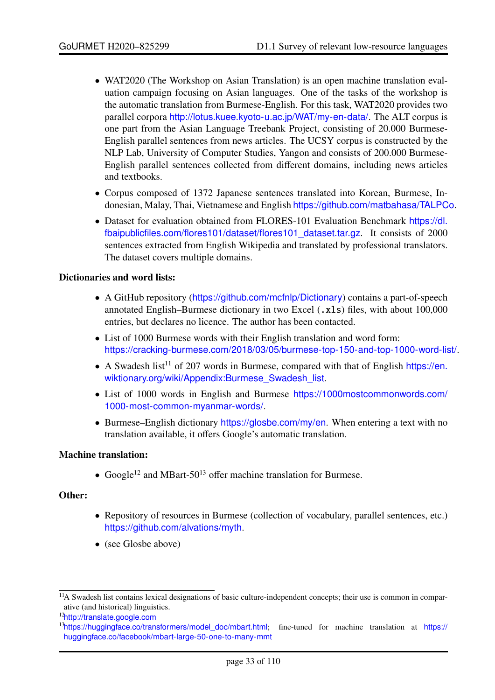- WAT2020 (The Workshop on Asian Translation) is an open machine translation evaluation campaign focusing on Asian languages. One of the tasks of the workshop is the automatic translation from Burmese-English. For this task, WAT2020 provides two parallel corpora <http://lotus.kuee.kyoto-u.ac.jp/WAT/my-en-data/>. The ALT corpus is one part from the Asian Language Treebank Project, consisting of 20.000 Burmese-English parallel sentences from news articles. The UCSY corpus is constructed by the NLP Lab, University of Computer Studies, Yangon and consists of 200.000 Burmese-English parallel sentences collected from different domains, including news articles and textbooks.
- Corpus composed of 1372 Japanese sentences translated into Korean, Burmese, Indonesian, Malay, Thai, Vietnamese and English <https://github.com/matbahasa/TALPCo>.
- Dataset for evaluation obtained from FLORES-101 Evaluation Benchmark [https://dl.](https://dl.fbaipublicfiles.com/flores101/dataset/flores101_dataset.tar.gz) [fbaipublicfiles.com/flores101/dataset/flores101\\_dataset.tar.gz](https://dl.fbaipublicfiles.com/flores101/dataset/flores101_dataset.tar.gz). It consists of 2000 sentences extracted from English Wikipedia and translated by professional translators. The dataset covers multiple domains.

#### Dictionaries and word lists:

- A GitHub repository (<https://github.com/mcfnlp/Dictionary>) contains a part-of-speech annotated English–Burmese dictionary in two Excel (.xls) files, with about 100,000 entries, but declares no licence. The author has been contacted.
- List of 1000 Burmese words with their English translation and word form: <https://cracking-burmese.com/2018/03/05/burmese-top-150-and-top-1000-word-list/>.
- A Swadesh list<sup>11</sup> of 207 words in Burmese, compared with that of English [https://en.](https://en.wiktionary.org/wiki/Appendix:Burmese_Swadesh_list) [wiktionary.org/wiki/Appendix:Burmese\\_Swadesh\\_list](https://en.wiktionary.org/wiki/Appendix:Burmese_Swadesh_list).
- List of 1000 words in English and Burmese [https://1000mostcommonwords.com/](https://1000mostcommonwords.com/1000-most-common-myanmar-words/) [1000-most-common-myanmar-words/](https://1000mostcommonwords.com/1000-most-common-myanmar-words/).
- Burmese–English dictionary <https://glosbe.com/my/en>. When entering a text with no translation available, it offers Google's automatic translation.

#### Machine translation:

• Google<sup>12</sup> and MBart-50<sup>13</sup> offer machine translation for Burmese.

#### Other:

- Repository of resources in Burmese (collection of vocabulary, parallel sentences, etc.) <https://github.com/alvations/myth>.
- (see Glosbe above)

 $<sup>11</sup>A$  Swadesh list contains lexical designations of basic culture-independent concepts; their use is common in compar-</sup> ative (and historical) linguistics.

<sup>12</sup><http://translate.google.com>

 $13$ [https://huggingface.co/transformers/model\\_doc/mbart.html](https://huggingface.co/transformers/model_doc/mbart.html); fine-tuned for machine translation at [https://](https://huggingface.co/facebook/mbart-large-50-one-to-many-mmt) [huggingface.co/facebook/mbart-large-50-one-to-many-mmt](https://huggingface.co/facebook/mbart-large-50-one-to-many-mmt)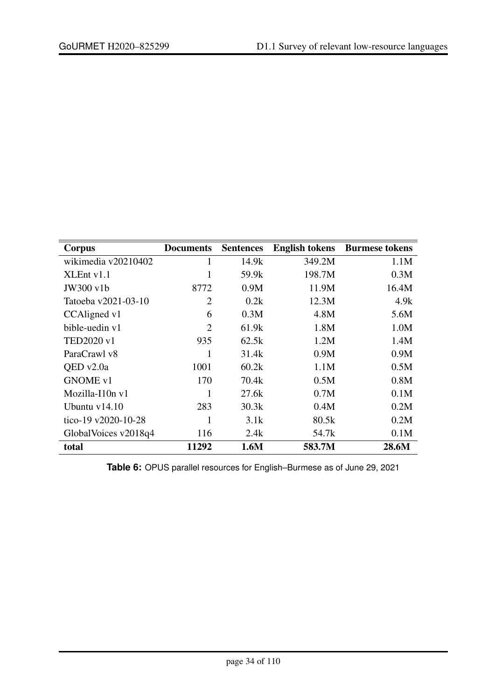<span id="page-33-0"></span>

| <b>Corpus</b>         | <b>Documents</b> | <b>Sentences</b> | <b>English tokens</b> | <b>Burmese tokens</b> |
|-----------------------|------------------|------------------|-----------------------|-----------------------|
| wikimedia v20210402   | 1                | 14.9k            | 349.2M                | 1.1M                  |
| XLEntv1.1             | 1                | 59.9k            | 198.7M                | 0.3M                  |
| JW300 v1b             | 8772             | 0.9M             | 11.9M                 | 16.4M                 |
| Tatoeba v2021-03-10   | $\overline{2}$   | 0.2k             | 12.3M                 | 4.9k                  |
| CCAligned v1          | 6                | 0.3M             | 4.8M                  | 5.6M                  |
| bible-uedin v1        | $\overline{2}$   | 61.9k            | 1.8M                  | 1.0M                  |
| TED2020 v1            | 935              | 62.5k            | 1.2M                  | 1.4M                  |
| ParaCrawl v8          | 1                | 31.4k            | 0.9M                  | 0.9M                  |
| QED v2.0a             | 1001             | 60.2k            | 1.1M                  | 0.5M                  |
| GNOME <sub>v1</sub>   | 170              | 70.4k            | 0.5M                  | 0.8M                  |
| Mozilla-I10n v1       | 1                | 27.6k            | 0.7M                  | 0.1M                  |
| Ubuntu $v14.10$       | 283              | 30.3k            | 0.4M                  | 0.2M                  |
| tico-19 v2020-10-28   | 1                | 3.1k             | 80.5k                 | 0.2M                  |
| Global Voices v2018q4 | 116              | 2.4k             | 54.7k                 | 0.1M                  |
| total                 | 11292            | 1.6M             | 583.7M                | 28.6M                 |

**Table 6:** OPUS parallel resources for English–Burmese as of June 29, 2021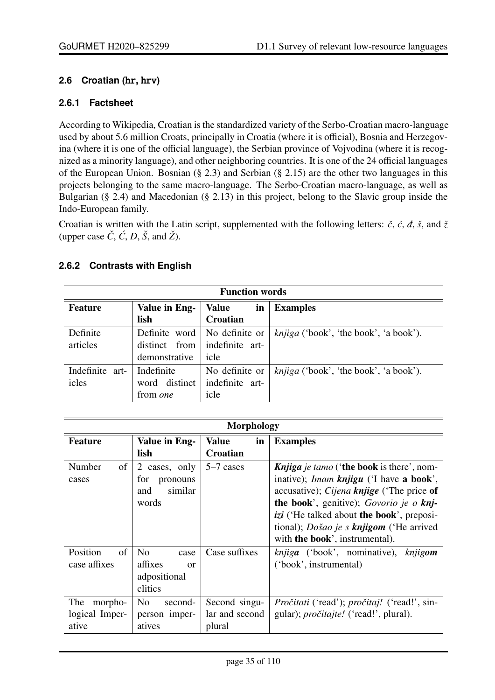### <span id="page-34-0"></span>**2.6 Croatian (**hr**,** hrv**)**

#### <span id="page-34-1"></span>**2.6.1 Factsheet**

According to Wikipedia, Croatian is the standardized variety of the Serbo-Croatian macro-language used by about 5.6 million Croats, principally in Croatia (where it is official), Bosnia and Herzegovina (where it is one of the official language), the Serbian province of Vojvodina (where it is recognized as a minority language), and other neighboring countries. It is one of the 24 official languages of the European Union. Bosnian (§ [2.3\)](#page-21-0) and Serbian (§ [2.15\)](#page-76-0) are the other two languages in this projects belonging to the same macro-language. The Serbo-Croatian macro-language, as well as Bulgarian (§ [2.4\)](#page-23-0) and Macedonian (§ [2.13\)](#page-68-0) in this project, belong to the Slavic group inside the Indo-European family.

Croatian is written with the Latin script, supplemented with the following letters:  $\check{c}$ ,  $\acute{c}$ ,  $\check{d}$ ,  $\check{s}$ , and  $\check{z}$ (upper case  $\check{C}$ ,  $\acute{C}$ ,  $\acute{D}$ ,  $\check{S}$ , and  $\check{Z}$ ).

| <b>Function words</b> |                  |                 |                                               |
|-----------------------|------------------|-----------------|-----------------------------------------------|
| <b>Feature</b>        | Value in Eng-    | in<br>Value     | <b>Examples</b>                               |
|                       | lish             | <b>Croatian</b> |                                               |
| Definite              | Definite word    | No definite or  | <i>knjiga</i> ('book', 'the book', 'a book'). |
| articles              | from<br>distinct | indefinite art- |                                               |
|                       | demonstrative    | icle            |                                               |
| Indefinite art-       | Indefinite       | No definite or  | knjiga ('book', 'the book', 'a book').        |
| icles                 | word distinct    | indefinite art- |                                               |
|                       | from <i>one</i>  | icle            |                                               |

#### <span id="page-34-2"></span>**2.6.2 Contrasts with English**

| <b>Morphology</b> |                           |                    |                                                            |  |
|-------------------|---------------------------|--------------------|------------------------------------------------------------|--|
| <b>Feature</b>    | Value in Eng-             | <b>Value</b><br>in | <b>Examples</b>                                            |  |
|                   | lish                      | Croatian           |                                                            |  |
| of<br>Number      | 2<br>cases, only          | $5-7$ cases        | Knjiga je tamo ('the book is there', nom-                  |  |
| cases             | for<br>pronouns           |                    | inative); <i>Imam knjigu</i> ('I have a book',             |  |
|                   | similar<br>and            |                    | accusative); Cijena knjige ('The price of                  |  |
|                   | words                     |                    | the book', genitive); Govorio je o knj-                    |  |
|                   |                           |                    | <i>izi</i> ('He talked about <b>the book</b> ', preposi-   |  |
|                   |                           |                    | tional); <i>Došao je s knjigom</i> ('He arrived            |  |
|                   |                           |                    | with <b>the book</b> ', instrumental).                     |  |
| Position<br>of    | N <sub>0</sub><br>case    | Case suffixes      | knjiga ('book', nominative),<br>knjig <b>om</b>            |  |
| case affixes      | affixes<br>$\alpha$       |                    | ('book', instrumental)                                     |  |
|                   | adpositional              |                    |                                                            |  |
|                   | clitics                   |                    |                                                            |  |
| morpho-<br>The    | N <sub>0</sub><br>second- | Second singu-      | <i>Pročitati</i> ('read'); <i>pročitaj!</i> ('read!', sin- |  |
| logical Imper-    | person imper-             | lar and second     | gular); <i>pročitajte!</i> ('read!', plural).              |  |
| ative             | atives                    | plural             |                                                            |  |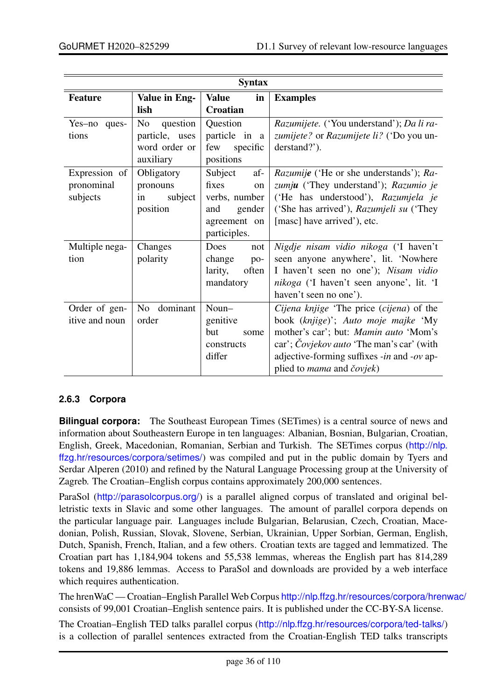| <b>Syntax</b>                           |                                                                            |                                                                                                 |                                                                                                                                                                                                                                                                     |  |
|-----------------------------------------|----------------------------------------------------------------------------|-------------------------------------------------------------------------------------------------|---------------------------------------------------------------------------------------------------------------------------------------------------------------------------------------------------------------------------------------------------------------------|--|
| <b>Feature</b>                          | Value in Eng-                                                              | <b>Value</b><br>in                                                                              | <b>Examples</b>                                                                                                                                                                                                                                                     |  |
|                                         | lish                                                                       | Croatian                                                                                        |                                                                                                                                                                                                                                                                     |  |
| Yes-no ques-<br>tions                   | N <sub>o</sub><br>question<br>particle, uses<br>word order or<br>auxiliary | Question<br>particle in a<br>few<br>specific<br>positions                                       | Razumijete. ('You understand'); Da li ra-<br>zumijete? or Razumijete li? ('Do you un-<br>derstand?').                                                                                                                                                               |  |
| Expression of<br>pronominal<br>subjects | Obligatory<br>pronouns<br>subject<br>in<br>position                        | Subject<br>af-<br>fixes<br>on<br>verbs, number<br>gender<br>and<br>agreement on<br>participles. | Razumije ('He or she understands'); Ra-<br>zumju ('They understand'); Razumio je<br>('He has understood'), Razumjela je<br>('She has arrived'), Razumjeli su ('They<br>[masc] have arrived'), etc.                                                                  |  |
| Multiple nega-<br>tion                  | Changes<br>polarity                                                        | Does<br>not<br>change<br>po-<br>often<br>larity,<br>mandatory                                   | Nigdje nisam vidio nikoga ('I haven't<br>seen anyone anywhere', lit. 'Nowhere'<br>I haven't seen no one'); Nisam vidio<br><i>nikoga</i> ('I haven't seen anyone', lit. 'I<br>haven't seen no one').                                                                 |  |
| Order of gen-<br>itive and noun         | No dominant<br>order                                                       | Noun-<br>genitive<br>but<br>some<br>constructs<br>differ                                        | Cijena knjige 'The price (cijena) of the<br>book (knjige)'; Auto moje majke 'My<br>mother's car'; but: Mamin auto 'Mom's<br>car'; Covjekov auto 'The man's car' (with<br>adjective-forming suffixes $-in$ and $-ov$ ap-<br>plied to <i>mama</i> and <i>čovjek</i> ) |  |

#### <span id="page-35-0"></span>**2.6.3 Corpora**

**Bilingual corpora:** The Southeast European Times (SETimes) is a central source of news and information about Southeastern Europe in ten languages: Albanian, Bosnian, Bulgarian, Croatian, English, Greek, Macedonian, Romanian, Serbian and Turkish. The SETimes corpus ([http://nlp.](http://nlp.ffzg.hr/resources/corpora/setimes/) [ffzg.hr/resources/corpora/setimes/](http://nlp.ffzg.hr/resources/corpora/setimes/)) was compiled and put in the public domain by [Tyers and](#page-108-4) [Serdar Alperen](#page-108-4) [\(2010\)](#page-108-4) and refined by the Natural Language Processing group at the University of Zagreb. The Croatian–English corpus contains approximately 200,000 sentences.

ParaSol (<http://parasolcorpus.org/>) is a parallel aligned corpus of translated and original belletristic texts in Slavic and some other languages. The amount of parallel corpora depends on the particular language pair. Languages include Bulgarian, Belarusian, Czech, Croatian, Macedonian, Polish, Russian, Slovak, Slovene, Serbian, Ukrainian, Upper Sorbian, German, English, Dutch, Spanish, French, Italian, and a few others. Croatian texts are tagged and lemmatized. The Croatian part has 1,184,904 tokens and 55,538 lemmas, whereas the English part has 814,289 tokens and 19,886 lemmas. Access to ParaSol and downloads are provided by a web interface which requires authentication.

The hrenWaC — Croatian–English Parallel Web Corpus <http://nlp.ffzg.hr/resources/corpora/hrenwac/> consists of 99,001 Croatian–English sentence pairs. It is published under the CC-BY-SA license.

The Croatian–English TED talks parallel corpus (<http://nlp.ffzg.hr/resources/corpora/ted-talks/>) is a collection of parallel sentences extracted from the Croatian-English TED talks transcripts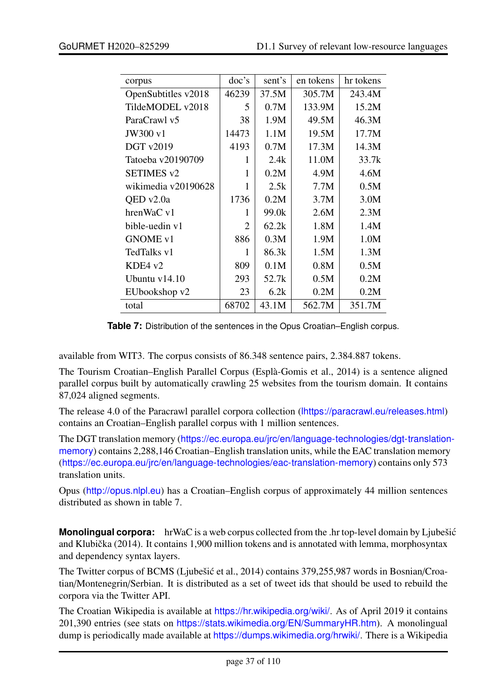<span id="page-36-0"></span>

| corpus              | doc's          | sent's | en tokens | hr tokens |
|---------------------|----------------|--------|-----------|-----------|
| OpenSubtitles v2018 | 46239          | 37.5M  | 305.7M    | 243.4M    |
| TildeMODEL v2018    | 5              | 0.7M   | 133.9M    | 15.2M     |
| ParaCrawl v5        | 38             | 1.9M   | 49.5M     | 46.3M     |
| JW300 v1            | 14473          | 1.1M   | 19.5M     | 17.7M     |
| <b>DGT</b> v2019    | 4193           | 0.7M   | 17.3M     | 14.3M     |
| Tatoeba v20190709   | 1              | 2.4k   | 11.0M     | 33.7k     |
| <b>SETIMES</b> v2   | 1              | 0.2M   | 4.9M      | 4.6M      |
| wikimedia v20190628 | 1              | 2.5k   | 7.7M      | 0.5M      |
| QED v2.0a           | 1736           | 0.2M   | 3.7M      | 3.0M      |
| hrenWaC v1          | 1              | 99.0k  | 2.6M      | 2.3M      |
| bible-uedin v1      | $\overline{2}$ | 62.2k  | 1.8M      | 1.4M      |
| <b>GNOME v1</b>     | 886            | 0.3M   | 1.9M      | 1.0M      |
| TedTalks v1         | 1              | 86.3k  | 1.5M      | 1.3M      |
| KDE4 v2             | 809            | 0.1M   | 0.8M      | 0.5M      |
| Ubuntu $v14.10$     | 293            | 52.7k  | 0.5M      | 0.2M      |
| EUbookshop v2       | 23             | 6.2k   | 0.2M      | 0.2M      |
| total               | 68702          | 43.1M  | 562.7M    | 351.7M    |

**Table 7:** Distribution of the sentences in the Opus Croatian–English corpus.

available from WIT3. The corpus consists of 86.348 sentence pairs, 2.384.887 tokens.

The Tourism Croatian–English Parallel Corpus [\(Esplà-Gomis et al.,](#page-105-0) [2014\)](#page-105-0) is a sentence aligned parallel corpus built by automatically crawling 25 websites from the tourism domain. It contains 87,024 aligned segments.

The release 4.0 of the Paracrawl parallel corpora collection (<lhttps://paracrawl.eu/releases.html>) contains an Croatian–English parallel corpus with 1 million sentences.

The DGT translation memory ([https://ec.europa.eu/jrc/en/language-technologies/dgt-translation](https://ec.europa.eu/jrc/en/language-technologies/dgt-translation-memory)[memory](https://ec.europa.eu/jrc/en/language-technologies/dgt-translation-memory)) contains 2,288,146 Croatian–English translation units, while the EAC translation memory (<https://ec.europa.eu/jrc/en/language-technologies/eac-translation-memory>) contains only 573 translation units.

Opus (<http://opus.nlpl.eu>) has a Croatian–English corpus of approximately 44 million sentences distributed as shown in table [7.](#page-36-0)

**Monolingual corpora:** hrWaC is a web corpus collected from the .hr top-level domain by [Ljubeš](#page-106-0)ic´ and Klubička [\(2014\)](#page-106-0). It contains 1,900 million tokens and is annotated with lemma, morphosyntax and dependency syntax layers.

The Twitter corpus of BCMS (Ljubešić et al., [2014\)](#page-106-1) contains 379,255,987 words in Bosnian/Croatian/Montenegrin/Serbian. It is distributed as a set of tweet ids that should be used to rebuild the corpora via the Twitter API.

The Croatian Wikipedia is available at <https://hr.wikipedia.org/wiki/>. As of April 2019 it contains 201,390 entries (see stats on <https://stats.wikimedia.org/EN/SummaryHR.htm>). A monolingual dump is periodically made available at <https://dumps.wikimedia.org/hrwiki/>. There is a Wikipedia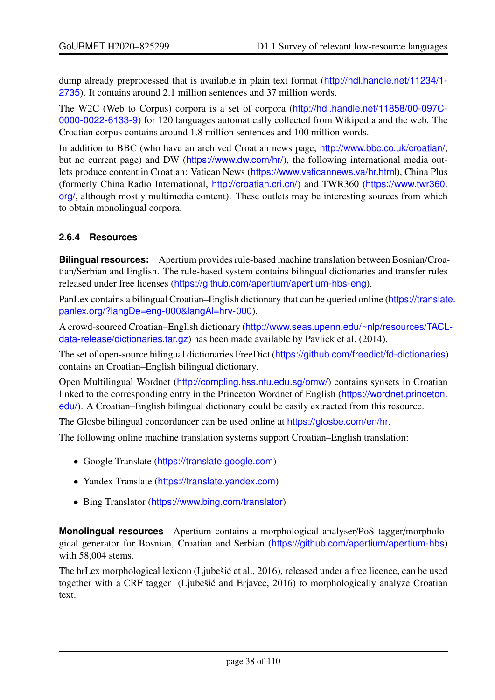dump already preprocessed that is available in plain text format ([http://hdl.handle.net/11234/1-](http://hdl.handle.net/11234/1-2735) [2735](http://hdl.handle.net/11234/1-2735)). It contains around 2.1 million sentences and 37 million words.

The W2C (Web to Corpus) corpora is a set of corpora ([http://hdl.handle.net/11858/00-097C-](http://hdl.handle.net/11858/00-097C-0000-0022-6133-9)[0000-0022-6133-9](http://hdl.handle.net/11858/00-097C-0000-0022-6133-9)) for 120 languages automatically collected from Wikipedia and the web. The Croatian corpus contains around 1.8 million sentences and 100 million words.

In addition to BBC (who have an archived Croatian news page, <http://www.bbc.co.uk/croatian/>, but no current page) and DW (<https://www.dw.com/hr/>), the following international media outlets produce content in Croatian: Vatican News (<https://www.vaticannews.va/hr.html>), China Plus (formerly China Radio International, <http://croatian.cri.cn/>) and TWR360 ([https://www.twr360.](https://www.twr360.org/) [org/](https://www.twr360.org/), although mostly multimedia content). These outlets may be interesting sources from which to obtain monolingual corpora.

### **2.6.4 Resources**

**Bilingual resources:** Apertium provides rule-based machine translation between Bosnian/Croatian/Serbian and English. The rule-based system contains bilingual dictionaries and transfer rules released under free licenses (<https://github.com/apertium/apertium-hbs-eng>).

PanLex contains a bilingual Croatian–English dictionary that can be queried online ([https://translate](https://translate.panlex.org/?langDe=eng-000&langAl=hrv-000). [panlex.org/?langDe=eng-000&langAl=hrv-000](https://translate.panlex.org/?langDe=eng-000&langAl=hrv-000)).

A crowd-sourced Croatian–English dictionary ([http://www.seas.upenn.edu/~nlp/resources/TACL](http://www.seas.upenn.edu/~nlp/resources/TACL-data-release/dictionaries.tar.gz)[data-release/dictionaries.tar.gz](http://www.seas.upenn.edu/~nlp/resources/TACL-data-release/dictionaries.tar.gz)) has been made available by [Pavlick et al.](#page-107-0) [\(2014\)](#page-107-0).

The set of open-source bilingual dictionaries FreeDict (<https://github.com/freedict/fd-dictionaries>) contains an Croatian–English bilingual dictionary.

Open Multilingual Wordnet (<http://compling.hss.ntu.edu.sg/omw/>) contains synsets in Croatian linked to the corresponding entry in the Princeton Wordnet of English ([https://wordnet.princeton.](https://wordnet.princeton.edu/) [edu/](https://wordnet.princeton.edu/)). A Croatian–English bilingual dictionary could be easily extracted from this resource.

The Glosbe bilingual concordancer can be used online at <https://glosbe.com/en/hr>.

The following online machine translation systems support Croatian–English translation:

- Google Translate (<https://translate.google.com>)
- Yandex Translate (<https://translate.yandex.com>)
- Bing Translator (<https://www.bing.com/translator>)

**Monolingual resources** Apertium contains a morphological analyser/PoS tagger/morphological generator for Bosnian, Croatian and Serbian (<https://github.com/apertium/apertium-hbs>) with 58,004 stems.

The hrLex morphological lexicon (Ljubešić et al., [2016\)](#page-107-1), released under a free licence, can be used together with a CRF tagger (Ljubešić and Erjavec, [2016\)](#page-107-2) to morphologically analyze Croatian text.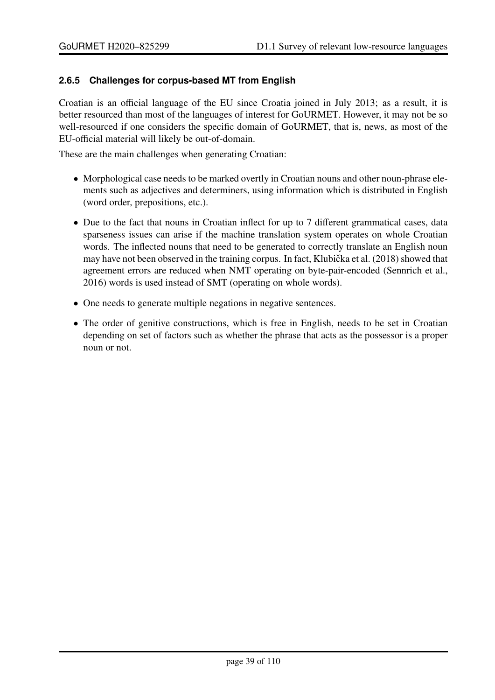### **2.6.5 Challenges for corpus-based MT from English**

Croatian is an official language of the EU since Croatia joined in July 2013; as a result, it is better resourced than most of the languages of interest for GoURMET. However, it may not be so well-resourced if one considers the specific domain of GoURMET, that is, news, as most of the EU-official material will likely be out-of-domain.

These are the main challenges when generating Croatian:

- Morphological case needs to be marked overtly in Croatian nouns and other noun-phrase elements such as adjectives and determiners, using information which is distributed in English (word order, prepositions, etc.).
- Due to the fact that nouns in Croatian inflect for up to 7 different grammatical cases, data sparseness issues can arise if the machine translation system operates on whole Croatian words. The inflected nouns that need to be generated to correctly translate an English noun may have not been observed in the training corpus. In fact, Klubička et al. [\(2018\)](#page-106-2) showed that agreement errors are reduced when NMT operating on byte-pair-encoded [\(Sennrich et al.,](#page-107-3) [2016\)](#page-107-3) words is used instead of SMT (operating on whole words).
- One needs to generate multiple negations in negative sentences.
- The order of genitive constructions, which is free in English, needs to be set in Croatian depending on set of factors such as whether the phrase that acts as the possessor is a proper noun or not.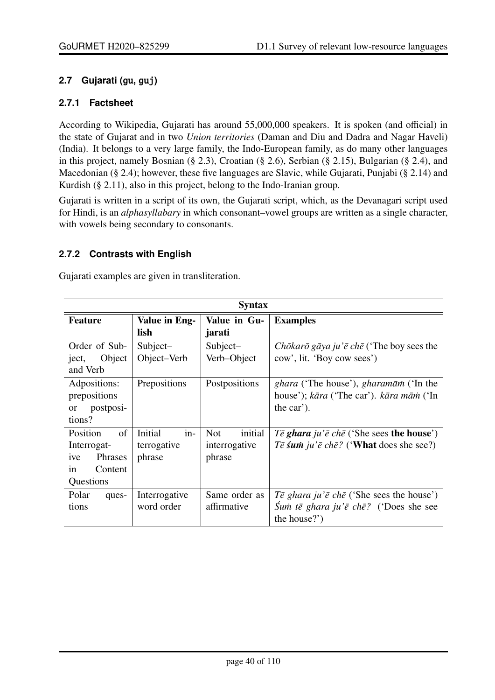# <span id="page-39-0"></span>**2.7 Gujarati (**gu**,** guj**)**

# **2.7.1 Factsheet**

According to Wikipedia, Gujarati has around 55,000,000 speakers. It is spoken (and official) in the state of Gujarat and in two *Union territories* (Daman and Diu and Dadra and Nagar Haveli) (India). It belongs to a very large family, the Indo-European family, as do many other languages in this project, namely Bosnian (§ [2.3\)](#page-21-0), Croatian (§ [2.6\)](#page-34-0), Serbian (§ [2.15\)](#page-76-0), Bulgarian (§ [2.4\)](#page-23-0), and Macedonian (§ [2.4\)](#page-23-0); however, these five languages are Slavic, while Gujarati, Punjabi (§ [2.14\)](#page-71-0) and Kurdish (§ [2.11\)](#page-58-0), also in this project, belong to the Indo-Iranian group.

Gujarati is written in a script of its own, the Gujarati script, which, as the Devanagari script used for Hindi, is an *alphasyllabary* in which consonant–vowel groups are written as a single character, with vowels being secondary to consonants.

# **2.7.2 Contrasts with English**

| <b>Syntax</b>                                                                 |                                         |                                                  |                                                                                                                                    |  |  |
|-------------------------------------------------------------------------------|-----------------------------------------|--------------------------------------------------|------------------------------------------------------------------------------------------------------------------------------------|--|--|
| <b>Feature</b>                                                                | Value in Eng-<br>lish                   | Value in Gu-<br>jarati                           | <b>Examples</b>                                                                                                                    |  |  |
| Order of Sub-<br>Object<br>ject,<br>and Verb                                  | Subject-<br>Object-Verb                 | Subject-<br>Verb-Object                          | <i>Chōkarō gāya ju'ē chē</i> ('The boy sees the<br>cow', lit. 'Boy cow sees')                                                      |  |  |
| Adpositions:<br>prepositions<br>postposi-<br><sub>or</sub><br>tions?          | Prepositions                            | Postpositions                                    | <i>ghara</i> ('The house'), <i>gharamām</i> ('In the<br>house'); kāra ('The car'). kāra mām ('In<br>the car').                     |  |  |
| of<br>Position<br>Interrogat-<br>Phrases<br>ive<br>Content<br>in<br>Questions | in-<br>Initial<br>terrogative<br>phrase | initial<br><b>Not</b><br>interrogative<br>phrase | Te ghara ju'e che ('She sees the house')<br>Tē śum ju'ē chē? ('What does she see?)                                                 |  |  |
| Polar<br>ques-<br>tions                                                       | Interrogative<br>word order             | Same order as<br>affirmative                     | $T\bar{e}$ ghara ju' $\bar{e}$ ch $\bar{e}$ ('She sees the house')<br><i>Sum tē ghara ju'ē chē?</i> ('Does she see<br>the house?') |  |  |

Gujarati examples are given in transliteration.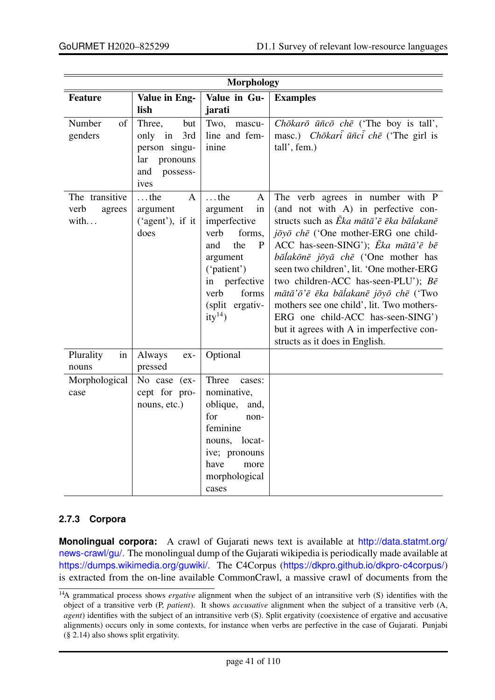| <b>Morphology</b>                        |                                                                                                |                                                                                                                                                                                          |                                                                                                                                                                                                                                                                                                                                                                                                                                                                                                                                                      |  |
|------------------------------------------|------------------------------------------------------------------------------------------------|------------------------------------------------------------------------------------------------------------------------------------------------------------------------------------------|------------------------------------------------------------------------------------------------------------------------------------------------------------------------------------------------------------------------------------------------------------------------------------------------------------------------------------------------------------------------------------------------------------------------------------------------------------------------------------------------------------------------------------------------------|--|
| <b>Feature</b>                           | Value in Eng-<br>lish                                                                          | Value in Gu-<br>jarati                                                                                                                                                                   | <b>Examples</b>                                                                                                                                                                                                                                                                                                                                                                                                                                                                                                                                      |  |
| Number<br>of<br>genders                  | but<br>Three,<br>3rd<br>only in<br>person singu-<br>lar<br>pronouns<br>and<br>possess-<br>ives | Two,<br>mascu-<br>line and fem-<br>inine                                                                                                                                                 | Chōkarō ūn̄cō chē ('The boy is tall',<br>masc.) <i>Chōkarī</i> $\bar{u}$ <i>ncī chē</i> ('The girl is<br>tall', fem.)                                                                                                                                                                                                                                                                                                                                                                                                                                |  |
| The transitive<br>verb<br>agrees<br>with | $\dots$ the<br>A<br>argument<br>$('agent'),$ if it<br>does                                     | $\dots$ the<br>A<br>argument<br>in<br>imperfective<br>verb<br>forms,<br>and<br>the<br>P<br>argument<br>('patient')<br>perfective<br>in<br>verb<br>forms<br>(split ergativ-<br>$ity^{14}$ | The verb agrees in number with P<br>(and not with A) in perfective con-<br>structs such as $\bar{E}$ ka mātā'ē ēka bālakanē<br>jōyō chē ('One mother-ERG one child-<br>ACC has-seen-SING'); Eka mātā'ē bē<br>$b\bar{a}$ lakonē jovā chē ('One mother has<br>seen two children', lit. 'One mother-ERG<br>two children-ACC has-seen-PLU'); Be<br>mātā'ō'ē ēka bālakanē jōyō chē ('Two<br>mothers see one child', lit. Two mothers-<br>ERG one child-ACC has-seen-SING')<br>but it agrees with A in imperfective con-<br>structs as it does in English. |  |
| Plurality<br>in<br>nouns                 | Always<br>ex-<br>pressed                                                                       | Optional                                                                                                                                                                                 |                                                                                                                                                                                                                                                                                                                                                                                                                                                                                                                                                      |  |
| Morphological<br>case                    | No case (ex-<br>cept for pro-<br>nouns, etc.)                                                  | Three<br>cases:<br>nominative,<br>oblique,<br>and,<br>for<br>non-<br>feminine<br>nouns, locat-<br>ive; pronouns<br>have<br>more<br>morphological<br>cases                                |                                                                                                                                                                                                                                                                                                                                                                                                                                                                                                                                                      |  |

# **2.7.3 Corpora**

**Monolingual corpora:** A crawl of Gujarati news text is available at [http://data.statmt.org/](http://data.statmt.org/news-crawl/gu/) [news-crawl/gu/](http://data.statmt.org/news-crawl/gu/). The monolingual dump of the Gujarati wikipedia is periodically made available at <https://dumps.wikimedia.org/guwiki/>. The C4Corpus (<https://dkpro.github.io/dkpro-c4corpus/>) is extracted from the on-line available CommonCrawl, a massive crawl of documents from the

<sup>&</sup>lt;sup>14</sup>A grammatical process shows *ergative* alignment when the subject of an intransitive verb (S) identifies with the object of a transitive verb (P, *patient*). It shows *accusative* alignment when the subject of a transitive verb (A, *agent*) identifies with the subject of an intransitive verb (S). Split ergativity (coexistence of ergative and accusative alignments) occurs only in some contexts, for instance when verbs are perfective in the case of Gujarati. Punjabi (§ [2.14\)](#page-71-0) also shows split ergativity.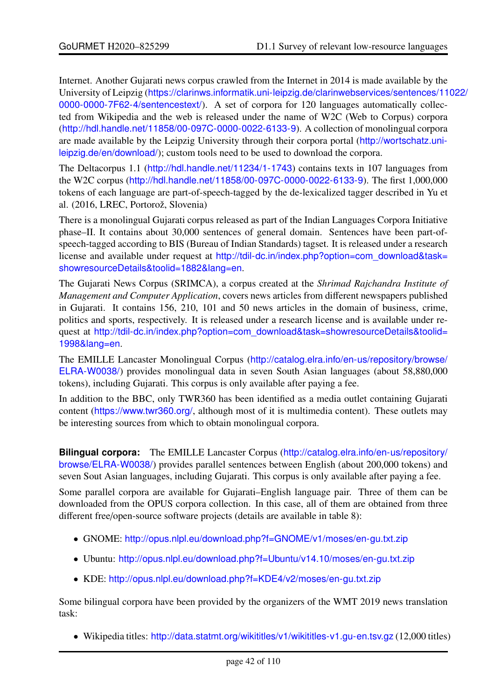Internet. Another Gujarati news corpus crawled from the Internet in 2014 is made available by the University of Leipzig ([https://clarinws.informatik.uni-leipzig.de/clarinwebservices/sentences/11](https://clarinws.informatik.uni-leipzig.de/clarinwebservices/sentences/11022/0000-0000-7F62-4/sentencestext/)022/ [0000-0000-7F62-4/sentencestext/](https://clarinws.informatik.uni-leipzig.de/clarinwebservices/sentences/11022/0000-0000-7F62-4/sentencestext/)). A set of corpora for 120 languages automatically collected from Wikipedia and the web is released under the name of W2C (Web to Corpus) corpora (<http://hdl.handle.net/11858/00-097C-0000-0022-6133-9>). A collection of monolingual corpora are made available by the Leipzig University through their corpora portal ([http://wortschatz.uni](http://wortschatz.uni-leipzig.de/en/download/)[leipzig.de/en/download/](http://wortschatz.uni-leipzig.de/en/download/)); custom tools need to be used to download the corpora.

The Deltacorpus 1.1 (<http://hdl.handle.net/11234/1-1743>) contains texts in 107 languages from the W2C corpus (<http://hdl.handle.net/11858/00-097C-0000-0022-6133-9>). The first 1,000,000 tokens of each language are part-of-speech-tagged by the de-lexicalized tagger described in Yu et al. (2016, LREC, Portorož, Slovenia)

There is a monolingual Gujarati corpus released as part of the Indian Languages Corpora Initiative phase–II. It contains about 30,000 sentences of general domain. Sentences have been part-ofspeech-tagged according to BIS (Bureau of Indian Standards) tagset. It is released under a research license and available under request at [http://tdil-dc.in/index.php?option=com\\_download&task=](http://tdil-dc.in/index.php?option=com_download&task=showresourceDetails&toolid=1882&lang=en) [showresourceDetails&toolid=1882&lang=en](http://tdil-dc.in/index.php?option=com_download&task=showresourceDetails&toolid=1882&lang=en).

The Gujarati News Corpus (SRIMCA), a corpus created at the *Shrimad Rajchandra Institute of Management and Computer Application*, covers news articles from different newspapers published in Gujarati. It contains 156, 210, 101 and 50 news articles in the domain of business, crime, politics and sports, respectively. It is released under a research license and is available under request at [http://tdil-dc.in/index.php?option=com\\_download&task=showresourceDetails&toolid=](http://tdil-dc.in/index.php?option=com_download&task=showresourceDetails&toolid=1998&lang=en) [1998&lang=en](http://tdil-dc.in/index.php?option=com_download&task=showresourceDetails&toolid=1998&lang=en).

The EMILLE Lancaster Monolingual Corpus ([http://catalog.elra.info/en-us/repository/browse/](http://catalog.elra.info/en-us/repository/browse/ELRA-W0038/) [ELRA-W0038/](http://catalog.elra.info/en-us/repository/browse/ELRA-W0038/)) provides monolingual data in seven South Asian languages (about 58,880,000 tokens), including Gujarati. This corpus is only available after paying a fee.

In addition to the BBC, only TWR360 has been identified as a media outlet containing Gujarati content (<https://www.twr360.org/>, although most of it is multimedia content). These outlets may be interesting sources from which to obtain monolingual corpora.

**Bilingual corpora:** The EMILLE Lancaster Corpus ([http://catalog.elra.info/en-us/repository/](http://catalog.elra.info/en-us/repository/browse/ELRA-W0038/) [browse/ELRA-W0038/](http://catalog.elra.info/en-us/repository/browse/ELRA-W0038/)) provides parallel sentences between English (about 200,000 tokens) and seven Sout Asian languages, including Gujarati. This corpus is only available after paying a fee.

Some parallel corpora are available for Gujarati–English language pair. Three of them can be downloaded from the OPUS corpora collection. In this case, all of them are obtained from three different free/open-source software projects (details are available in table [8\)](#page-42-0):

- GNOME: <http://opus.nlpl.eu/download.php?f=GNOME/v1/moses/en-gu.txt.zip>
- Ubuntu: <http://opus.nlpl.eu/download.php?f=Ubuntu/v14.10/moses/en-gu.txt.zip>
- KDE: <http://opus.nlpl.eu/download.php?f=KDE4/v2/moses/en-gu.txt.zip>

Some bilingual corpora have been provided by the organizers of the WMT 2019 news translation task:

• Wikipedia titles: <http://data.statmt.org/wikititles/v1/wikititles-v1.gu-en.tsv.gz> (12,000 titles)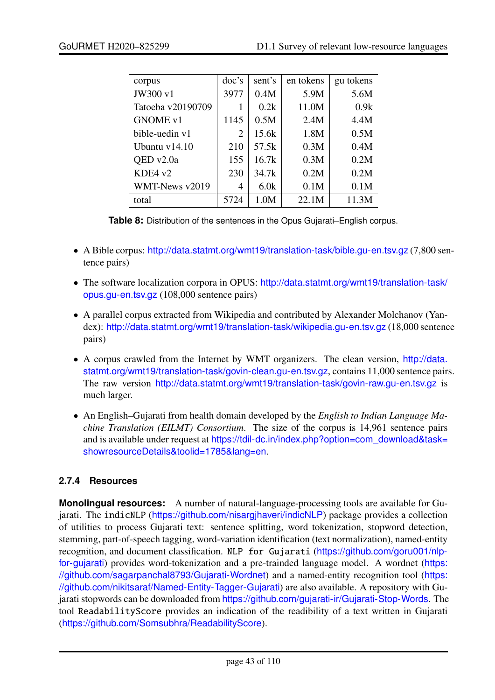<span id="page-42-0"></span>

| corpus            | doc's | sent's | en tokens | gu tokens |
|-------------------|-------|--------|-----------|-----------|
| JW300 v1          | 3977  | 0.4M   | 5.9M      | 5.6M      |
| Tatoeba v20190709 | 1     | 0.2k   | 11.0M     | 0.9k      |
| <b>GNOME</b> v1   | 1145  | 0.5M   | 2.4M      | 4.4M      |
| bible-uedin v1    | 2     | 15.6k  | 1.8M      | 0.5M      |
| Ubuntu $v14.10$   | 210   | 57.5k  | 0.3M      | 0.4M      |
| QED v2.0a         | 155   | 16.7k  | 0.3M      | 0.2M      |
| KDE4 v2           | 230   | 34.7k  | 0.2M      | 0.2M      |
| WMT-News v2019    | 4     | 6.0k   | 0.1M      | 0.1M      |
| total             | 5724  | 1.0M   | 22.1M     | 11.3M     |

**Table 8:** Distribution of the sentences in the Opus Gujarati–English corpus.

- A Bible corpus: <http://data.statmt.org/wmt19/translation-task/bible.gu-en.tsv.gz> (7,800 sentence pairs)
- The software localization corpora in OPUS: [http://data.statmt.org/wmt19/translation-task/](http://data.statmt.org/wmt19/translation-task/opus.gu-en.tsv.gz) [opus.gu-en.tsv.gz](http://data.statmt.org/wmt19/translation-task/opus.gu-en.tsv.gz) (108,000 sentence pairs)
- A parallel corpus extracted from Wikipedia and contributed by Alexander Molchanov (Yandex): <http://data.statmt.org/wmt19/translation-task/wikipedia.gu-en.tsv.gz> (18,000 sentence pairs)
- A corpus crawled from the Internet by WMT organizers. The clean version, [http://data.](http://data.statmt.org/wmt19/translation-task/govin-clean.gu-en.tsv.gz) [statmt.org/wmt19/translation-task/govin-clean.gu-en.tsv.gz](http://data.statmt.org/wmt19/translation-task/govin-clean.gu-en.tsv.gz), contains 11,000 sentence pairs. The raw version <http://data.statmt.org/wmt19/translation-task/govin-raw.gu-en.tsv.gz> is much larger.
- An English–Gujarati from health domain developed by the *English to Indian Language Machine Translation (EILMT) Consortium*. The size of the corpus is 14,961 sentence pairs and is available under request at [https://tdil-dc.in/index.php?option=com\\_download&task=](https://tdil-dc.in/index.php?option=com_download&task=showresourceDetails&toolid=1785&lang=en) [showresourceDetails&toolid=1785&lang=en](https://tdil-dc.in/index.php?option=com_download&task=showresourceDetails&toolid=1785&lang=en).

### **2.7.4 Resources**

**Monolingual resources:** A number of natural-language-processing tools are available for Gujarati. The indicNLP (<https://github.com/nisargjhaveri/indicNLP>) package provides a collection of utilities to process Gujarati text: sentence splitting, word tokenization, stopword detection, stemming, part-of-speech tagging, word-variation identification (text normalization), named-entity recognition, and document classification. NLP for Gujarati ([https://github.com/goru001/nlp](https://github.com/goru001/nlp-for-gujarati)[for-gujarati](https://github.com/goru001/nlp-for-gujarati)) provides word-tokenization and a pre-trainded language model. A wordnet ([https:](https://github.com/sagarpanchal8793/Gujarati-Wordnet) [//github.com/sagarpanchal8793/Gujarati-Wordnet](https://github.com/sagarpanchal8793/Gujarati-Wordnet)) and a named-entity recognition tool ([https:](https://github.com/nikitsaraf/Named-Entity-Tagger-Gujarati) [//github.com/nikitsaraf/Named-Entity-Tagger-Gujarati](https://github.com/nikitsaraf/Named-Entity-Tagger-Gujarati)) are also available. A repository with Gujarati stopwords can be downloaded from <https://github.com/gujarati-ir/Gujarati-Stop-Words>. The tool ReadabilityScore provides an indication of the readibility of a text written in Gujarati (<https://github.com/Somsubhra/ReadabilityScore>).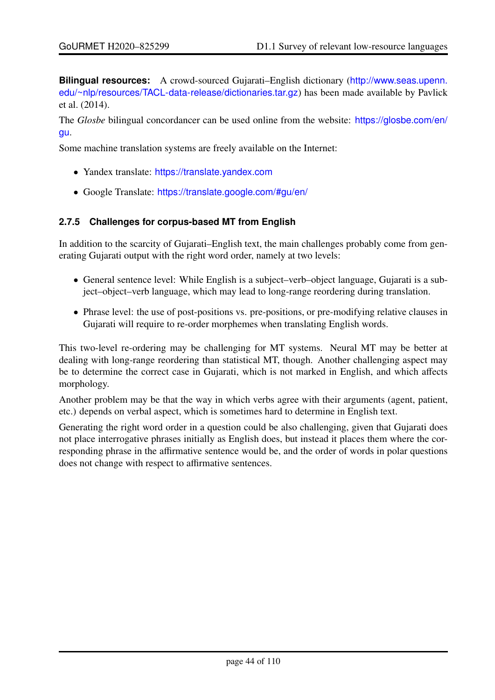**Bilingual resources:** A crowd-sourced Gujarati–English dictionary ([http://www.seas.upenn.](http://www.seas.upenn.edu/~nlp/resources/TACL-data-release/dictionaries.tar.gz) [edu/~nlp/resources/TACL-data-release/dictionaries.tar.gz](http://www.seas.upenn.edu/~nlp/resources/TACL-data-release/dictionaries.tar.gz)) has been made available by [Pavlick](#page-107-0) [et al.](#page-107-0) [\(2014\)](#page-107-0).

The *Glosbe* bilingual concordancer can be used online from the website: [https://glosbe.com/en/](https://glosbe.com/en/gu) [gu](https://glosbe.com/en/gu).

Some machine translation systems are freely available on the Internet:

- Yandex translate: <https://translate.yandex.com>
- Google Translate: <https://translate.google.com/#gu/en/>

### **2.7.5 Challenges for corpus-based MT from English**

In addition to the scarcity of Gujarati–English text, the main challenges probably come from generating Gujarati output with the right word order, namely at two levels:

- General sentence level: While English is a subject–verb–object language, Gujarati is a subject–object–verb language, which may lead to long-range reordering during translation.
- Phrase level: the use of post-positions vs. pre-positions, or pre-modifying relative clauses in Gujarati will require to re-order morphemes when translating English words.

This two-level re-ordering may be challenging for MT systems. Neural MT may be better at dealing with long-range reordering than statistical MT, though. Another challenging aspect may be to determine the correct case in Gujarati, which is not marked in English, and which affects morphology.

Another problem may be that the way in which verbs agree with their arguments (agent, patient, etc.) depends on verbal aspect, which is sometimes hard to determine in English text.

Generating the right word order in a question could be also challenging, given that Gujarati does not place interrogative phrases initially as English does, but instead it places them where the corresponding phrase in the affirmative sentence would be, and the order of words in polar questions does not change with respect to affirmative sentences.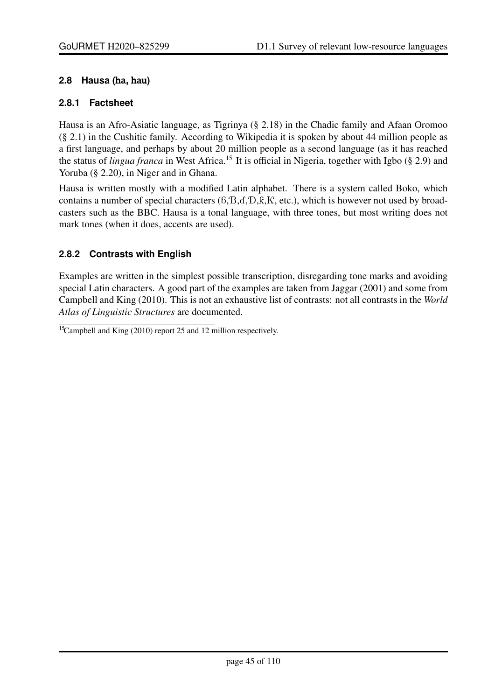# <span id="page-44-0"></span>**2.8 Hausa (**ha**,** hau**)**

# **2.8.1 Factsheet**

Hausa is an Afro-Asiatic language, as Tigrinya (§ [2.18\)](#page-89-0) in the Chadic family and Afaan Oromoo (§ [2.1\)](#page-10-0) in the Cushitic family. According to Wikipedia it is spoken by about 44 million people as a first language, and perhaps by about 20 million people as a second language (as it has reached the status of *lingua franca* in West Africa.<sup>15</sup> It is official in Nigeria, together with Igbo (§ [2.9\)](#page-49-0) and Yoruba (§ [2.20\)](#page-98-0), in Niger and in Ghana.

Hausa is written mostly with a modified Latin alphabet. There is a system called Boko, which contains a number of special characters  $(6, B, d, D, k, K, etc.)$ , which is however not used by broadcasters such as the BBC. Hausa is a tonal language, with three tones, but most writing does not mark tones (when it does, accents are used).

# **2.8.2 Contrasts with English**

Examples are written in the simplest possible transcription, disregarding tone marks and avoiding special Latin characters. A good part of the examples are taken from [Jaggar](#page-106-3) [\(2001\)](#page-106-3) and some from [Campbell and King](#page-105-1) [\(2010\)](#page-105-1). This is not an exhaustive list of contrasts: not all contrasts in the *World Atlas of Linguistic Structures* are documented.

<sup>15</sup>[Campbell and King](#page-105-1) [\(2010\)](#page-105-1) report 25 and 12 million respectively.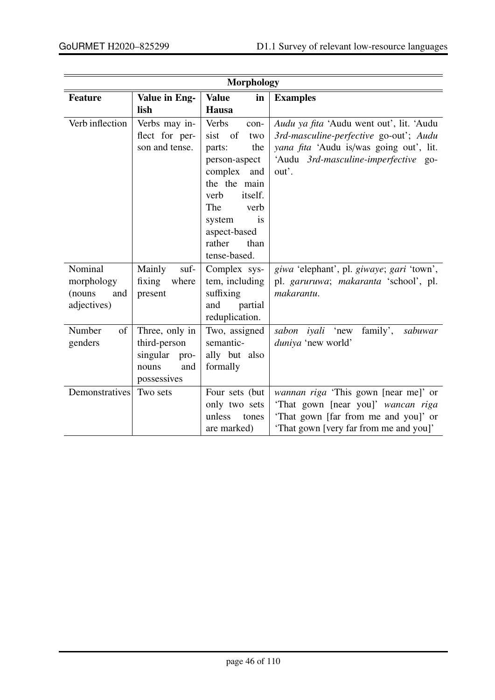| <b>Morphology</b> |                  |                    |                                           |  |
|-------------------|------------------|--------------------|-------------------------------------------|--|
| <b>Feature</b>    | Value in Eng-    | <b>Value</b><br>in | <b>Examples</b>                           |  |
|                   | lish             | Hausa              |                                           |  |
| Verb inflection   | Verbs may in-    | Verbs<br>con-      | Audu ya fita 'Audu went out', lit. 'Audu  |  |
|                   | flect for per-   | sist of<br>two     | 3rd-masculine-perfective go-out'; Audu    |  |
|                   | son and tense.   | the<br>parts:      | yana fita 'Audu is/was going out', lit.   |  |
|                   |                  | person-aspect      | 'Audu 3rd-masculine-imperfective go-      |  |
|                   |                  | complex<br>and     | out'.                                     |  |
|                   |                  | the the main       |                                           |  |
|                   |                  | itself.<br>verb    |                                           |  |
|                   |                  | The<br>verb        |                                           |  |
|                   |                  | system<br>is       |                                           |  |
|                   |                  | aspect-based       |                                           |  |
|                   |                  | rather<br>than     |                                           |  |
|                   |                  | tense-based.       |                                           |  |
| Nominal           | Mainly<br>suf-   | Complex sys-       | giwa 'elephant', pl. giwaye; gari 'town', |  |
| morphology        | fixing<br>where  | tem, including     | pl. garuruwa; makaranta 'school', pl.     |  |
| (nouns<br>and     | present          | suffixing          | makarantu.                                |  |
| adjectives)       |                  | and<br>partial     |                                           |  |
|                   |                  | reduplication.     |                                           |  |
| Number<br>of      | Three, only in   | Two, assigned      | sabon iyali 'new<br>family',<br>sabuwar   |  |
| genders           | third-person     | semantic-          | duniya 'new world'                        |  |
|                   | singular<br>pro- | ally but also      |                                           |  |
|                   | and<br>nouns     | formally           |                                           |  |
|                   | possessives      |                    |                                           |  |
| Demonstratives    | Two sets         | Four sets (but     | wannan riga 'This gown [near me]' or      |  |
|                   |                  | only two sets      | 'That gown [near you]' wancan riga        |  |
|                   |                  | unless<br>tones    | 'That gown [far from me and you]' or      |  |
|                   |                  | are marked)        | 'That gown [very far from me and you]'    |  |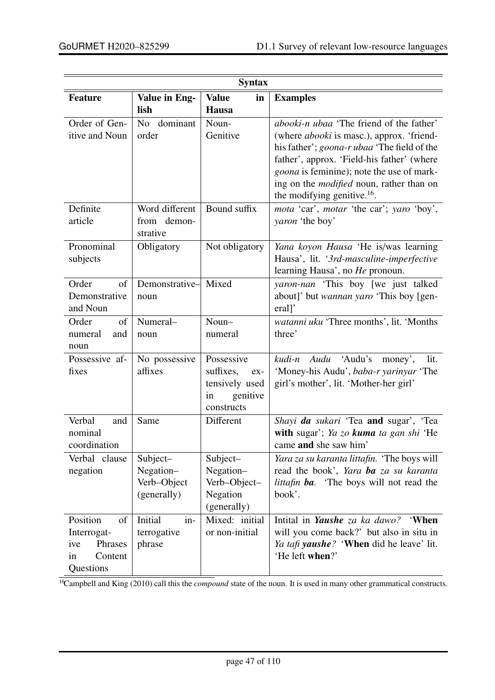| <b>Syntax</b>                            |                                           |                                                                                  |                                                                                                                                                                                                                                                                                                        |  |  |
|------------------------------------------|-------------------------------------------|----------------------------------------------------------------------------------|--------------------------------------------------------------------------------------------------------------------------------------------------------------------------------------------------------------------------------------------------------------------------------------------------------|--|--|
| <b>Feature</b>                           | Value in Eng-<br>lish                     | <b>Value</b><br>in<br>Hausa                                                      | <b>Examples</b>                                                                                                                                                                                                                                                                                        |  |  |
| Order of Gen-                            | No dominant                               | Noun-                                                                            | abooki-n ubaa 'The friend of the father'                                                                                                                                                                                                                                                               |  |  |
| itive and Noun                           | order                                     | Genitive                                                                         | (where <i>abooki</i> is masc.), approx. 'friend-<br>his father'; <i>goona-r ubaa</i> 'The field of the<br>father', approx. 'Field-his father' (where<br><i>goona</i> is feminine); note the use of mark-<br>ing on the <i>modified</i> noun, rather than on<br>the modifying genitive. <sup>16</sup> . |  |  |
| Definite<br>article                      | Word different<br>from demon-<br>strative | Bound suffix                                                                     | <i>mota</i> 'car', <i>motar</i> 'the car'; <i>yaro</i> 'boy',<br>yaron 'the boy'                                                                                                                                                                                                                       |  |  |
| Pronominal<br>subjects                   | Obligatory                                | Not obligatory                                                                   | Yana koyon Hausa 'He is/was learning<br>Hausa', lit. '3rd-masculine-imperfective<br>learning Hausa', no He pronoun.                                                                                                                                                                                    |  |  |
| of<br>Order<br>Demonstrative<br>and Noun | Demonstrative-<br>noun                    | Mixed                                                                            | yaron-nan 'This boy [we just talked<br>about]' but wannan yaro 'This boy [gen-<br>eral]'                                                                                                                                                                                                               |  |  |
| of<br>Order<br>numeral<br>and<br>noun    | Numeral-<br>noun                          | Noun-<br>numeral                                                                 | watanni uku 'Three months', lit. 'Months<br>three'                                                                                                                                                                                                                                                     |  |  |
| Possessive af-<br>fixes                  | No possessive<br>affixes                  | Possessive<br>suffixes,<br>ex-<br>tensively used<br>genitive<br>in<br>constructs | 'Audu's<br>kudi-n<br>Audu<br>lit.<br>money',<br>'Money-his Audu', baba-r yarinyar 'The<br>girl's mother', lit. 'Mother-her girl'                                                                                                                                                                       |  |  |
| Verbal<br>and<br>nominal<br>coordination | Same                                      | Different                                                                        | Shayi da sukari 'Tea and sugar', 'Tea<br>with sugar'; <i>Ya zo kuma ta gan shi</i> 'He<br>came <b>and</b> she saw him'                                                                                                                                                                                 |  |  |
| Verbal clause                            | Subject-                                  | Subject-                                                                         | Yara za su karanta littafin. 'The boys will                                                                                                                                                                                                                                                            |  |  |
| negation                                 | Negation-                                 | Negation-                                                                        | read the book', Yara ba za su karanta                                                                                                                                                                                                                                                                  |  |  |
|                                          | Verb-Object<br>(generally)                | Verb-Object-<br>Negation<br>(generally)                                          | <i>littafin ba.</i> 'The boys will not read the<br>book'.                                                                                                                                                                                                                                              |  |  |
| Position<br>of                           | Initial<br>in-                            | Mixed: initial                                                                   | Intital in Yaushe za ka dawo? 'When                                                                                                                                                                                                                                                                    |  |  |
| Interrogat-                              | terrogative                               | or non-initial                                                                   | will you come back?' but also in situ in                                                                                                                                                                                                                                                               |  |  |
| Phrases<br>ive                           | phrase                                    |                                                                                  | Ya tafi yaushe? 'When did he leave' lit.                                                                                                                                                                                                                                                               |  |  |
| Content<br>in<br>Questions               |                                           |                                                                                  | 'He left when?'                                                                                                                                                                                                                                                                                        |  |  |

<sup>16</sup>[Campbell and King](#page-105-1) [\(2010\)](#page-105-1) call this the *compound* state of the noun. It is used in many other grammatical constructs.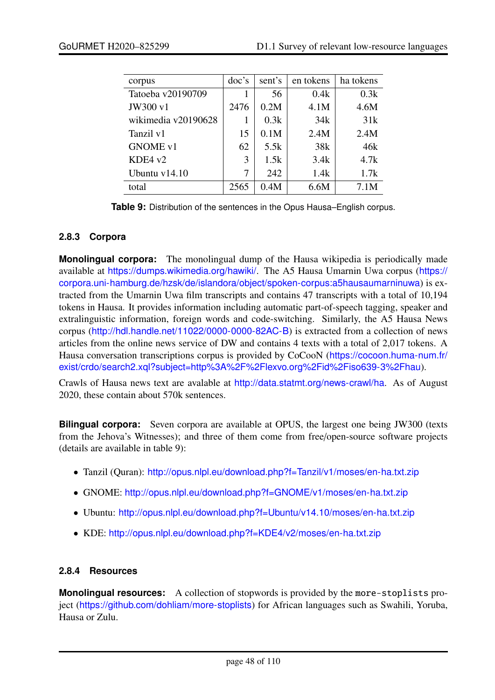<span id="page-47-0"></span>

| corpus              | doc's | sent's | en tokens | ha tokens |
|---------------------|-------|--------|-----------|-----------|
| Tatoeba v20190709   |       | 56     | 0.4k      | 0.3k      |
| JW300 v1            | 2476  | 0.2M   | 4.1M      | 4.6M      |
| wikimedia v20190628 |       | 0.3k   | 34k       | 31k       |
| Tanzil v1           | 15    | 0.1M   | 2.4M      | 2.4M      |
| <b>GNOME</b> v1     | 62    | 5.5k   | 38k       | 46k       |
| KDE4v2              | 3     | 1.5k   | 3.4k      | 4.7k      |
| Ubuntu $v14.10$     | 7     | 242    | 1.4k      | 1.7k      |
| total               | 2565  | 0.4M   | 6.6M      | 7.1M      |

**Table 9:** Distribution of the sentences in the Opus Hausa–English corpus.

# **2.8.3 Corpora**

**Monolingual corpora:** The monolingual dump of the Hausa wikipedia is periodically made available at <https://dumps.wikimedia.org/hawiki/>. The A5 Hausa Umarnin Uwa corpus ([https://](https://corpora.uni-hamburg.de/hzsk/de/islandora/object/spoken-corpus:a5hausaumarninuwa) [corpora.uni-hamburg.de/hzsk/de/islandora/object/spoken-corpus:a5hausaumarninuwa](https://corpora.uni-hamburg.de/hzsk/de/islandora/object/spoken-corpus:a5hausaumarninuwa)) is extracted from the Umarnin Uwa film transcripts and contains 47 transcripts with a total of 10,194 tokens in Hausa. It provides information including automatic part-of-speech tagging, speaker and extralinguistic information, foreign words and code-switching. Similarly, the A5 Hausa News corpus (<http://hdl.handle.net/11022/0000-0000-82AC-B>) is extracted from a collection of news articles from the online news service of DW and contains 4 texts with a total of 2,017 tokens. A Hausa conversation transcriptions corpus is provided by CoCooN ([https://cocoon.huma-num.fr/](https://cocoon.huma-num.fr/exist/crdo/search2.xql?subject=http%3A%2F%2Flexvo.org%2Fid%2Fiso639-3%2Fhau) [exist/crdo/search2.xql?subject=http%3A%2F%2Flexvo.org%2Fid%2Fiso639-3%2Fhau](https://cocoon.huma-num.fr/exist/crdo/search2.xql?subject=http%3A%2F%2Flexvo.org%2Fid%2Fiso639-3%2Fhau)).

Crawls of Hausa news text are avalable at <http://data.statmt.org/news-crawl/ha>. As of August 2020, these contain about 570k sentences.

**Bilingual corpora:** Seven corpora are available at OPUS, the largest one being JW300 (texts from the Jehova's Witnesses); and three of them come from free/open-source software projects (details are available in table [9\)](#page-47-0):

- Tanzil (Quran): <http://opus.nlpl.eu/download.php?f=Tanzil/v1/moses/en-ha.txt.zip>
- GNOME: <http://opus.nlpl.eu/download.php?f=GNOME/v1/moses/en-ha.txt.zip>
- Ubuntu: <http://opus.nlpl.eu/download.php?f=Ubuntu/v14.10/moses/en-ha.txt.zip>
- KDE: <http://opus.nlpl.eu/download.php?f=KDE4/v2/moses/en-ha.txt.zip>

### **2.8.4 Resources**

**Monolingual resources:** A collection of stopwords is provided by the more-stoplists project (<https://github.com/dohliam/more-stoplists>) for African languages such as Swahili, Yoruba, Hausa or Zulu.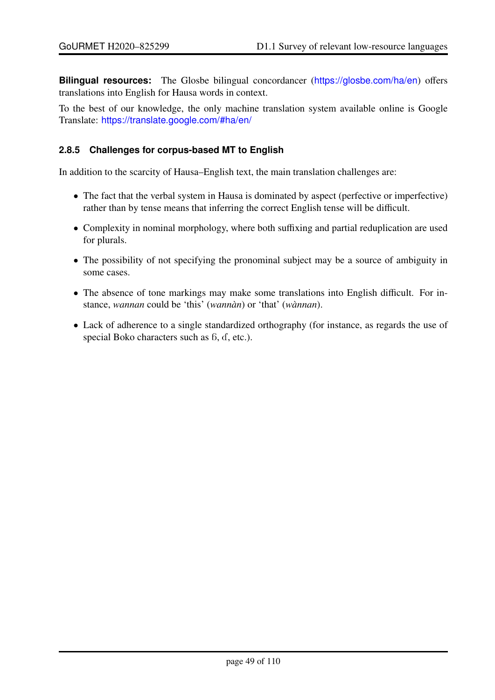**Bilingual resources:** The Glosbe bilingual concordancer (<https://glosbe.com/ha/en>) offers translations into English for Hausa words in context.

To the best of our knowledge, the only machine translation system available online is Google Translate: <https://translate.google.com/#ha/en/>

### **2.8.5 Challenges for corpus-based MT to English**

In addition to the scarcity of Hausa–English text, the main translation challenges are:

- The fact that the verbal system in Hausa is dominated by aspect (perfective or imperfective) rather than by tense means that inferring the correct English tense will be difficult.
- Complexity in nominal morphology, where both suffixing and partial reduplication are used for plurals.
- The possibility of not specifying the pronominal subject may be a source of ambiguity in some cases.
- The absence of tone markings may make some translations into English difficult. For instance, *wannan* could be 'this' (*wannàn*) or 'that' (*wànnan*).
- Lack of adherence to a single standardized orthography (for instance, as regards the use of special Boko characters such as  $6, d, etc.$ ).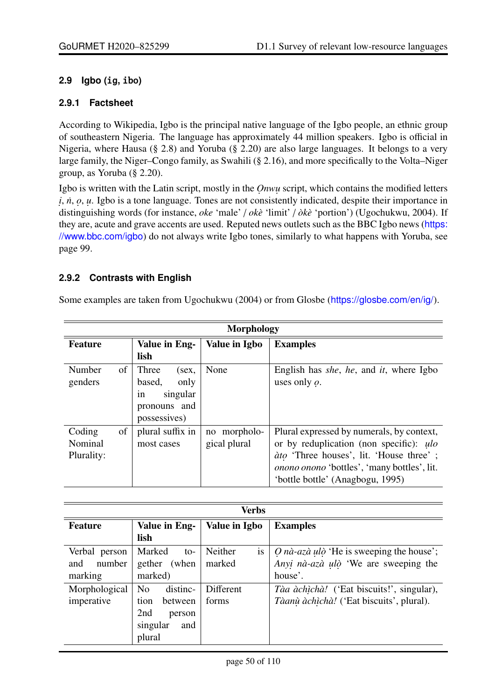# <span id="page-49-0"></span>**2.9 Igbo (**ig**,** ibo**)**

# **2.9.1 Factsheet**

According to Wikipedia, Igbo is the principal native language of the Igbo people, an ethnic group of southeastern Nigeria. The language has approximately 44 million speakers. Igbo is official in Nigeria, where Hausa (§ [2.8\)](#page-44-0) and Yoruba (§ [2.20\)](#page-98-0) are also large languages. It belongs to a very large family, the Niger–Congo family, as Swahili (§ [2.16\)](#page-79-0), and more specifically to the Volta–Niger group, as Yoruba (§ [2.20\)](#page-98-0).

Igbo is written with the Latin script, mostly in the *Onwu* script, which contains the modified letters *i*, *n*, *o*, *u*. Igbo is a tone language. Tones are not consistently indicated, despite their importance in distinguishing words (for instance, *oke* 'male' / *okè* 'limit' / *òkè* 'portion') [\(Ugochukwu,](#page-108-0) [2004\)](#page-108-0). If they are, acute and grave accents are used. Reputed news outlets such as the BBC Igbo news ([https:](https://www.bbc.com/igbo) [//www.bbc.com/igbo](https://www.bbc.com/igbo)) do not always write Igbo tones, similarly to what happens with Yoruba, see page [99.](#page-98-1)

# <span id="page-49-1"></span>**2.9.2 Contrasts with English**

Some examples are taken from [Ugochukwu](#page-108-0) [\(2004\)](#page-108-0) or from Glosbe (<https://glosbe.com/en/ig/>).

| <b>Morphology</b> |    |                  |               |                                                                 |
|-------------------|----|------------------|---------------|-----------------------------------------------------------------|
| <b>Feature</b>    |    | Value in Eng-    | Value in Igbo | <b>Examples</b>                                                 |
|                   |    | lish             |               |                                                                 |
| Number            | of | Three<br>(sex,   | None          | English has <i>she</i> , <i>he</i> , and <i>it</i> , where Igbo |
| genders           |    | based,<br>only   |               | uses only $o$ .                                                 |
|                   |    | singular<br>in   |               |                                                                 |
|                   |    | pronouns and     |               |                                                                 |
|                   |    | possessives)     |               |                                                                 |
| Coding            | of | plural suffix in | no morpholo-  | Plural expressed by numerals, by context,                       |
| Nominal           |    | most cases       | gical plural  | or by reduplication (non specific): ulo                         |
| Plurality:        |    |                  |               | <i>ato</i> 'Three houses', lit. 'House three';                  |
|                   |    |                  |               | <i>onono onono</i> 'bottles', 'many bottles', lit.              |
|                   |    |                  |               | 'bottle bottle' (Anagbogu, 1995)                                |

| Verbs          |                            |               |                                           |  |  |
|----------------|----------------------------|---------------|-------------------------------------------|--|--|
| <b>Feature</b> | Value in Eng-              | Value in Igbo | <b>Examples</b>                           |  |  |
|                | lish                       |               |                                           |  |  |
| Verbal person  | Marked<br>to-              | Neither<br>1S | O nà-azà ulò 'He is sweeping the house';  |  |  |
| number<br>and  | gether (when               | marked        | Anyi nà-azà ulò 'We are sweeping the      |  |  |
| marking        | marked)                    |               | house'.                                   |  |  |
| Morphological  | distinc-<br>$\overline{N}$ | Different     | Tàa àchichà! ('Eat biscuits!', singular), |  |  |
| imperative     | between<br>tion            | forms         | Tàanù àchichà! ('Eat biscuits', plural).  |  |  |
|                | 2nd<br>person              |               |                                           |  |  |
|                | singular<br>and            |               |                                           |  |  |
|                | plural                     |               |                                           |  |  |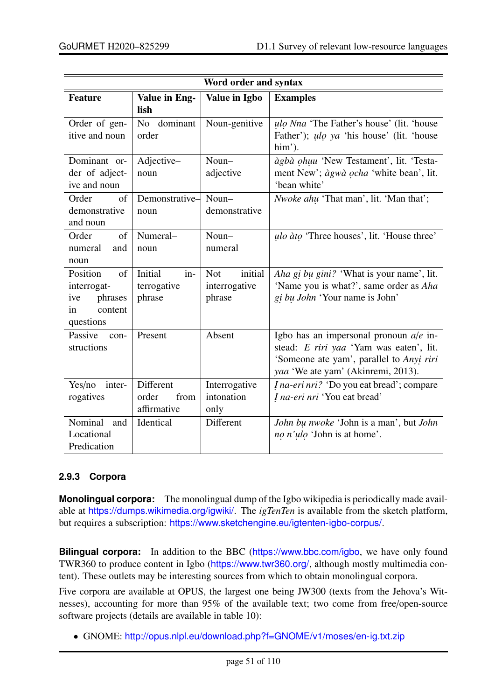| Word order and syntax                                                         |                                           |                                                  |                                                                                                                                                                       |  |
|-------------------------------------------------------------------------------|-------------------------------------------|--------------------------------------------------|-----------------------------------------------------------------------------------------------------------------------------------------------------------------------|--|
| <b>Feature</b>                                                                | Value in Eng-                             | Value in Igbo                                    | <b>Examples</b>                                                                                                                                                       |  |
| Order of gen-<br>itive and noun                                               | lish<br>No dominant<br>order              | Noun-genitive                                    | ulo Nna 'The Father's house' (lit. 'house<br>Father'); <i>ulo ya</i> 'his house' (lit. 'house<br>him').                                                               |  |
| Dominant or-<br>der of adject-<br>ive and noun                                | Adjective-<br>noun                        | Noun-<br>adjective                               | àgbà ohuu 'New Testament', lit. 'Testa-<br>ment New'; <i>àgwà ocha</i> 'white bean', lit.<br>'bean white'                                                             |  |
| Order<br>of<br>demonstrative<br>and noun                                      | Demonstrative-<br>noun                    | Noun-<br>demonstrative                           | Nwoke ahu 'That man', lit. 'Man that';                                                                                                                                |  |
| of<br>Order<br>numeral<br>and<br>noun                                         | Numeral-<br>noun                          | Noun-<br>numeral                                 | ulo àto 'Three houses', lit. 'House three'                                                                                                                            |  |
| Position<br>of<br>interrogat-<br>phrases<br>ive<br>content<br>in<br>questions | Initial<br>in-<br>terrogative<br>phrase   | initial<br><b>Not</b><br>interrogative<br>phrase | Aha gi bu gini? 'What is your name', lit.<br>'Name you is what?', same order as Aha<br>gi bu John 'Your name is John'                                                 |  |
| Passive<br>con-<br>structions                                                 | Present                                   | Absent                                           | Igbo has an impersonal pronoun $a/e$ in-<br>stead: E riri yaa 'Yam was eaten', lit.<br>'Someone ate yam', parallel to Anyi riri<br>yaa 'We ate yam' (Akinremi, 2013). |  |
| Yes/no<br>inter-<br>rogatives                                                 | Different<br>from<br>order<br>affirmative | Interrogative<br>intonation<br>only              | I na-eri nri? 'Do you eat bread'; compare<br>I na-eri nri 'You eat bread'                                                                                             |  |
| Nominal<br>and<br>Locational<br>Predication                                   | Identical                                 | Different                                        | John bu nwoke 'John is a man', but John<br>no n'ulo 'John is at home'.                                                                                                |  |

### **2.9.3 Corpora**

**Monolingual corpora:** The monolingual dump of the Igbo wikipedia is periodically made available at <https://dumps.wikimedia.org/igwiki/>. The *igTenTen* is available from the sketch platform, but requires a subscription: <https://www.sketchengine.eu/igtenten-igbo-corpus/>.

**Bilingual corpora:** In addition to the BBC (<https://www.bbc.com/igbo>, we have only found TWR360 to produce content in Igbo (<https://www.twr360.org/>, although mostly multimedia content). These outlets may be interesting sources from which to obtain monolingual corpora.

Five corpora are available at OPUS, the largest one being JW300 (texts from the Jehova's Witnesses), accounting for more than 95% of the available text; two come from free/open-source software projects (details are available in table [10\)](#page-51-0):

• GNOME: <http://opus.nlpl.eu/download.php?f=GNOME/v1/moses/en-ig.txt.zip>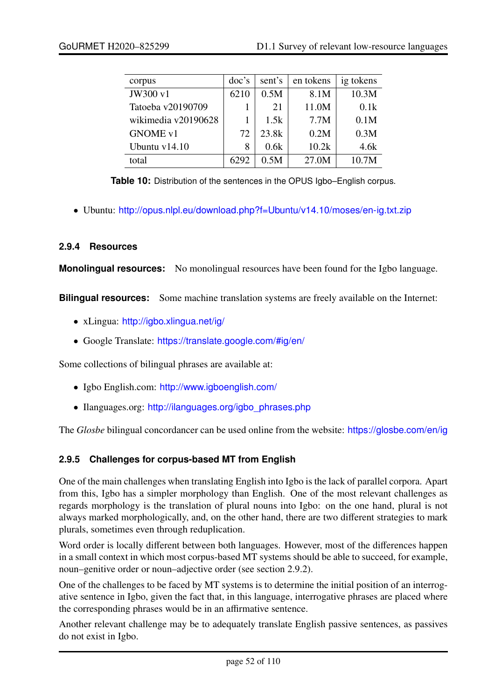<span id="page-51-0"></span>

| corpus              | doc's | sent's | en tokens | ig tokens |
|---------------------|-------|--------|-----------|-----------|
| JW300 v1            | 6210  | 0.5M   | 8.1M      | 10.3M     |
| Tatoeba v20190709   |       | 21     | 11.0M     | 0.1k      |
| wikimedia v20190628 |       | 1.5k   | 7.7M      | 0.1M      |
| <b>GNOME</b> v1     | 72    | 23.8k  | 0.2M      | 0.3M      |
| Ubuntu $v14.10$     | 8     | 0.6k   | 10.2k     | 4.6k      |
| total               | 6292  | 0.5M   | 27.0M     | 10.7M     |

**Table 10:** Distribution of the sentences in the OPUS Igbo–English corpus.

• Ubuntu: <http://opus.nlpl.eu/download.php?f=Ubuntu/v14.10/moses/en-ig.txt.zip>

#### **2.9.4 Resources**

**Monolingual resources:** No monolingual resources have been found for the Igbo language.

**Bilingual resources:** Some machine translation systems are freely available on the Internet:

- xLingua: <http://igbo.xlingua.net/ig/>
- Google Translate: <https://translate.google.com/#ig/en/>

Some collections of bilingual phrases are available at:

- Igbo English.com: <http://www.igboenglish.com/>
- Ilanguages.org: [http://ilanguages.org/igbo\\_phrases.php](http://ilanguages.org/igbo_phrases.php)

The *Glosbe* bilingual concordancer can be used online from the website: <https://glosbe.com/en/ig>

#### **2.9.5 Challenges for corpus-based MT from English**

One of the main challenges when translating English into Igbo is the lack of parallel corpora. Apart from this, Igbo has a simpler morphology than English. One of the most relevant challenges as regards morphology is the translation of plural nouns into Igbo: on the one hand, plural is not always marked morphologically, and, on the other hand, there are two different strategies to mark plurals, sometimes even through reduplication.

Word order is locally different between both languages. However, most of the differences happen in a small context in which most corpus-based MT systems should be able to succeed, for example, noun–genitive order or noun–adjective order (see section [2.9.2\)](#page-49-1).

One of the challenges to be faced by MT systems is to determine the initial position of an interrogative sentence in Igbo, given the fact that, in this language, interrogative phrases are placed where the corresponding phrases would be in an affirmative sentence.

Another relevant challenge may be to adequately translate English passive sentences, as passives do not exist in Igbo.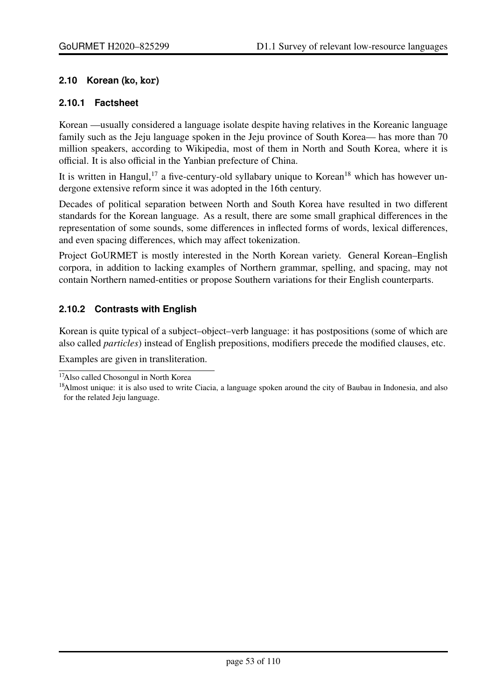# **2.10 Korean (**ko**,** kor**)**

### **2.10.1 Factsheet**

Korean —usually considered a language isolate despite having relatives in the Koreanic language family such as the Jeju language spoken in the Jeju province of South Korea— has more than 70 million speakers, according to Wikipedia, most of them in North and South Korea, where it is official. It is also official in the Yanbian prefecture of China.

It is written in Hangul,<sup>17</sup> a five-century-old syllabary unique to Korean<sup>18</sup> which has however undergone extensive reform since it was adopted in the 16th century.

Decades of political separation between North and South Korea have resulted in two different standards for the Korean language. As a result, there are some small graphical differences in the representation of some sounds, some differences in inflected forms of words, lexical differences, and even spacing differences, which may affect tokenization.

Project GoURMET is mostly interested in the North Korean variety. General Korean–English corpora, in addition to lacking examples of Northern grammar, spelling, and spacing, may not contain Northern named-entities or propose Southern variations for their English counterparts.

# **2.10.2 Contrasts with English**

Korean is quite typical of a subject–object–verb language: it has postpositions (some of which are also called *particles*) instead of English prepositions, modifiers precede the modified clauses, etc.

Examples are given in transliteration.

<sup>17</sup>Also called Chosongul in North Korea

<sup>&</sup>lt;sup>18</sup>Almost unique: it is also used to write Ciacia, a language spoken around the city of Baubau in Indonesia, and also for the related Jeju language.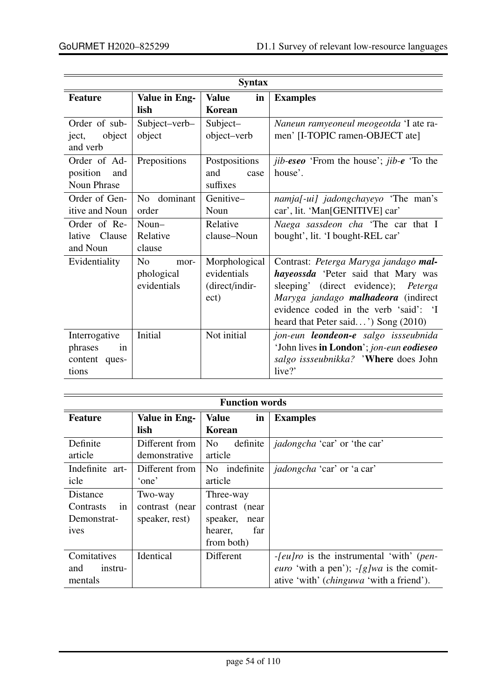| <b>Syntax</b>               |                        |                    |                                                        |  |  |
|-----------------------------|------------------------|--------------------|--------------------------------------------------------|--|--|
| <b>Feature</b>              | Value in Eng-          | <b>Value</b><br>in | <b>Examples</b>                                        |  |  |
|                             | lish                   | <b>Korean</b>      |                                                        |  |  |
| Order of sub-               | Subject-verb-          | Subject-           | Naneun ramyeoneul meogeotda 'I ate ra-                 |  |  |
| object<br>ject,<br>and verb | object                 | object-verb        | men' [I-TOPIC ramen-OBJECT ate]                        |  |  |
| Order of Ad-                | Prepositions           | Postpositions      | <i>jib-eseo</i> 'From the house'; <i>jib-e</i> 'To the |  |  |
| position<br>and             |                        | and<br>case        | house'.                                                |  |  |
| Noun Phrase                 |                        | suffixes           |                                                        |  |  |
| Order of Gen-               | No dominant            | Genitive-          | <i>namja[-ui] jadongchayeyo</i> 'The man's             |  |  |
| itive and Noun              | order                  | Noun               | car', lit. 'Man[GENITIVE] car'                         |  |  |
| Order of Re-                | Noun-                  | Relative           | Naega sassdeon cha 'The car that I                     |  |  |
| lative Clause               | Relative               | clause-Noun        | bought', lit. 'I bought-REL car'                       |  |  |
| and Noun                    | clause                 |                    |                                                        |  |  |
| Evidentiality               | N <sub>o</sub><br>mor- | Morphological      | Contrast: Peterga Maryga jandago mal-                  |  |  |
|                             | phological             | evidentials        | <i>hayeossda</i> 'Peter said that Mary was             |  |  |
|                             | evidentials            | (direct/indir-     | sleeping' (direct evidence);<br>Peterga                |  |  |
|                             |                        | ect)               | Maryga jandago malhadeora (indirect                    |  |  |
|                             |                        |                    | evidence coded in the verb 'said': 'I                  |  |  |
|                             |                        |                    | heard that Peter said') Song $(2010)$                  |  |  |
| Interrogative               | Initial                | Not initial        | jon-eun leondeon-e salgo issseubnida                   |  |  |
| phrases<br>in               |                        |                    | 'John lives in London'; jon-eun eodieseo               |  |  |
| content ques-               |                        |                    | salgo issseubnikka? 'Where does John                   |  |  |
| tions                       |                        |                    | live?'                                                 |  |  |

| <b>Function words</b> |                 |                            |                                                   |  |  |
|-----------------------|-----------------|----------------------------|---------------------------------------------------|--|--|
| <b>Feature</b>        | Value in Eng-   | <b>Value</b><br>in         | <b>Examples</b>                                   |  |  |
|                       | lish            | <b>Korean</b>              |                                                   |  |  |
| Definite              | Different from  | N <sub>0</sub><br>definite | <i>jadongcha</i> 'car' or 'the car'               |  |  |
| article               | demonstrative   | article                    |                                                   |  |  |
| Indefinite art-       | Different from  | No indefinite              | <i>jadongcha</i> 'car' or 'a car'                 |  |  |
| icle                  | 'one'           | article                    |                                                   |  |  |
| Distance              | Two-way         | Three-way                  |                                                   |  |  |
| Contrasts<br>in       | contrast (near) | contrast (near)            |                                                   |  |  |
| Demonstrat-           | speaker, rest)  | speaker,<br>near           |                                                   |  |  |
| ives                  |                 | hearer,<br>far             |                                                   |  |  |
|                       |                 | from both)                 |                                                   |  |  |
| Comitatives           | Identical       | Different                  | -[eu]ro is the instrumental 'with' (pen-          |  |  |
| and<br>instru-        |                 |                            | <i>euro</i> 'with a pen'); $-[g]wa$ is the comit- |  |  |
| mentals               |                 |                            | ative 'with' ( <i>chinguwa</i> 'with a friend').  |  |  |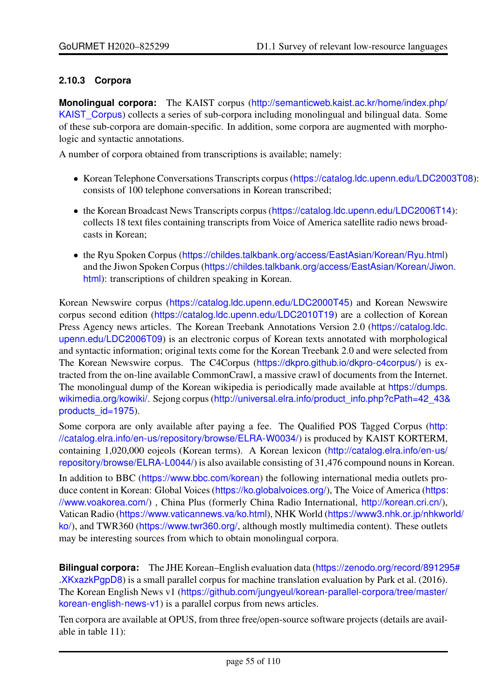# **2.10.3 Corpora**

**Monolingual corpora:** The KAIST corpus ([http://semanticweb.kaist.ac.kr/home/index.php/](http://semanticweb.kaist.ac.kr/home/index.php/KAIST_Corpus) KAIST Corpus) collects a series of sub-corpora including monolingual and bilingual data. Some of these sub-corpora are domain-specific. In addition, some corpora are augmented with morphologic and syntactic annotations.

A number of corpora obtained from transcriptions is available; namely:

- Korean Telephone Conversations Transcripts corpus (<https://catalog.ldc.upenn.edu/LDC2003T08>): consists of 100 telephone conversations in Korean transcribed;
- the Korean Broadcast News Transcripts corpus (<https://catalog.ldc.upenn.edu/LDC2006T14>): collects 18 text files containing transcripts from Voice of America satellite radio news broadcasts in Korean;
- the Ryu Spoken Corpus (<https://childes.talkbank.org/access/EastAsian/Korean/Ryu.html>) and the Jiwon Spoken Corpus ([https://childes.talkbank.org/access/EastAsian/Korean/Jiwon](https://childes.talkbank.org/access/EastAsian/Korean/Jiwon.html). [html](https://childes.talkbank.org/access/EastAsian/Korean/Jiwon.html)): transcriptions of children speaking in Korean.

Korean Newswire corpus (<https://catalog.ldc.upenn.edu/LDC2000T45>) and Korean Newswire corpus second edition (<https://catalog.ldc.upenn.edu/LDC2010T19>) are a collection of Korean Press Agency news articles. The Korean Treebank Annotations Version 2.0 ([https://catalog.ldc.](https://catalog.ldc.upenn.edu/LDC2006T09) [upenn.edu/LDC2006T09](https://catalog.ldc.upenn.edu/LDC2006T09)) is an electronic corpus of Korean texts annotated with morphological and syntactic information; original texts come for the Korean Treebank 2.0 and were selected from The Korean Newswire corpus. The C4Corpus (<https://dkpro.github.io/dkpro-c4corpus/>) is extracted from the on-line available CommonCrawl, a massive crawl of documents from the Internet. The monolingual dump of the Korean wikipedia is periodically made available at [https://dumps.](https://dumps.wikimedia.org/kowiki/) [wikimedia.org/kowiki/](https://dumps.wikimedia.org/kowiki/). Sejong corpus ([http://universal.elra.info/product\\_info.php?cPath=42\\_43&](http://universal.elra.info/product_info.php?cPath=42_43&products_id=1975) [products\\_id=1975](http://universal.elra.info/product_info.php?cPath=42_43&products_id=1975)).

Some corpora are only available after paying a fee. The Qualified POS Tagged Corpus ([http:](http://catalog.elra.info/en-us/repository/browse/ELRA-W0034/) [//catalog.elra.info/en-us/repository/browse/ELRA-W0034/](http://catalog.elra.info/en-us/repository/browse/ELRA-W0034/)) is produced by KAIST KORTERM, containing 1,020,000 eojeols (Korean terms). A Korean lexicon ([http://catalog.elra.info/en-us/](http://catalog.elra.info/en-us/repository/browse/ELRA-L0044/) [repository/browse/ELRA-L0044/](http://catalog.elra.info/en-us/repository/browse/ELRA-L0044/)) is also available consisting of 31,476 compound nouns in Korean.

In addition to BBC (<https://www.bbc.com/korean>) the following international media outlets produce content in Korean: Global Voices (<https://ko.globalvoices.org/>), The Voice of America ([https:](https://www.voakorea.com/) [//www.voakorea.com/](https://www.voakorea.com/)) , China Plus (formerly China Radio International, <http://korean.cri.cn/>), Vatican Radio (<https://www.vaticannews.va/ko.html>), NHK World ([https://www3.nhk.or.jp/nhkwo](https://www3.nhk.or.jp/nhkworld/ko/)rld/ [ko/](https://www3.nhk.or.jp/nhkworld/ko/)), and TWR360 (<https://www.twr360.org/>, although mostly multimedia content). These outlets may be interesting sources from which to obtain monolingual corpora.

**Bilingual corpora:** The JHE Korean–English evaluation data ([https://zenodo.org/record/89129](https://zenodo.org/record/891295#.XKxazkPgpD8)5# [.XKxazkPgpD8](https://zenodo.org/record/891295#.XKxazkPgpD8)) is a small parallel corpus for machine translation evaluation by [Park et al.](#page-107-4) [\(2016\)](#page-107-4). The Korean English News v1 ([https://github.com/jungyeul/korean-parallel-corpora/tree/master/](https://github.com/jungyeul/korean-parallel-corpora/tree/master/korean-english-news-v1) [korean-english-news-v1](https://github.com/jungyeul/korean-parallel-corpora/tree/master/korean-english-news-v1)) is a parallel corpus from news articles.

Ten corpora are available at OPUS, from three free/open-source software projects (details are available in table [11\)](#page-55-0):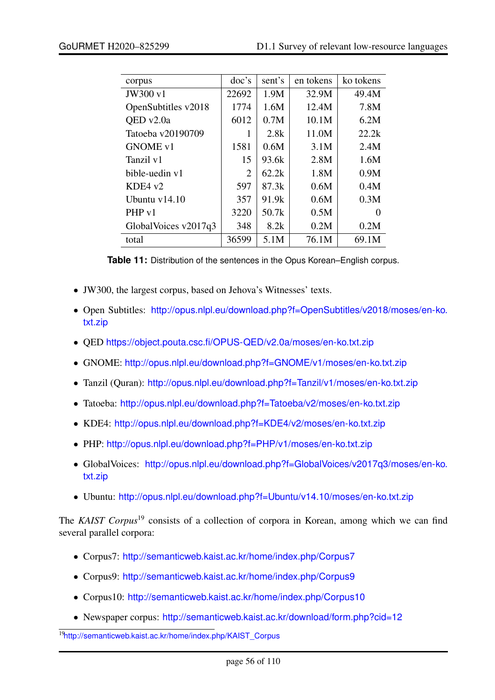<span id="page-55-0"></span>

| corpus               | doc's | sent's | en tokens | ko tokens         |
|----------------------|-------|--------|-----------|-------------------|
| JW300 v1             | 22692 | 1.9M   | 32.9M     | 49.4M             |
| OpenSubtitles v2018  | 1774  | 1.6M   | 12.4M     | 7.8M              |
| QED v2.0a            | 6012  | 0.7M   | 10.1M     | 6.2M              |
| Tatoeba v20190709    | 1     | 2.8k   | 11.0M     | 22.2k             |
| GNOME v1             | 1581  | 0.6M   | 3.1M      | 2.4M              |
| Tanzil v1            | 15    | 93.6k  | 2.8M      | 1.6M              |
| hible-uedin y1       | 2     | 62.2k  | 1.8M      | 0.9M              |
| KDE4v2               | 597   | 87.3k  | 0.6M      | 0.4M              |
| Ubuntu $v14.10$      | 357   | 91.9k  | 0.6M      | 0.3M              |
| PHP v1               | 3220  | 50.7k  | 0.5M      | $\mathbf{\Omega}$ |
| GlobalVoices v2017q3 | 348   | 8.2k   | 0.2M      | 0.2M              |
| total                | 36599 | 5.1M   | 76.1M     | 69.1M             |

**Table 11:** Distribution of the sentences in the Opus Korean–English corpus.

- JW300, the largest corpus, based on Jehova's Witnesses' texts.
- Open Subtitles: [http://opus.nlpl.eu/download.php?f=OpenSubtitles/v2018/moses/en-ko.](http://opus.nlpl.eu/download.php?f=OpenSubtitles/v2018/moses/en-ko.txt.zip) [txt.zip](http://opus.nlpl.eu/download.php?f=OpenSubtitles/v2018/moses/en-ko.txt.zip)
- QED <https://object.pouta.csc.fi/OPUS-QED/v2.0a/moses/en-ko.txt.zip>
- GNOME: <http://opus.nlpl.eu/download.php?f=GNOME/v1/moses/en-ko.txt.zip>
- Tanzil (Quran): <http://opus.nlpl.eu/download.php?f=Tanzil/v1/moses/en-ko.txt.zip>
- Tatoeba: <http://opus.nlpl.eu/download.php?f=Tatoeba/v2/moses/en-ko.txt.zip>
- KDE4: <http://opus.nlpl.eu/download.php?f=KDE4/v2/moses/en-ko.txt.zip>
- PHP: <http://opus.nlpl.eu/download.php?f=PHP/v1/moses/en-ko.txt.zip>
- GlobalVoices: [http://opus.nlpl.eu/download.php?f=GlobalVoices/v2017q3/moses/en-ko.](http://opus.nlpl.eu/download.php?f=GlobalVoices/v2017q3/moses/en-ko.txt.zip) [txt.zip](http://opus.nlpl.eu/download.php?f=GlobalVoices/v2017q3/moses/en-ko.txt.zip)
- Ubuntu: <http://opus.nlpl.eu/download.php?f=Ubuntu/v14.10/moses/en-ko.txt.zip>

The *KAIST Corpus*<sup>19</sup> consists of a collection of corpora in Korean, among which we can find several parallel corpora:

- Corpus7: <http://semanticweb.kaist.ac.kr/home/index.php/Corpus7>
- Corpus9: <http://semanticweb.kaist.ac.kr/home/index.php/Corpus9>
- Corpus10: <http://semanticweb.kaist.ac.kr/home/index.php/Corpus10>
- Newspaper corpus: <http://semanticweb.kaist.ac.kr/download/form.php?cid=12>

<sup>19</sup>[http://semanticweb.kaist.ac.kr/home/index.php/KAIST\\_Corpus](http://semanticweb.kaist.ac.kr/home/index.php/KAIST_Corpus)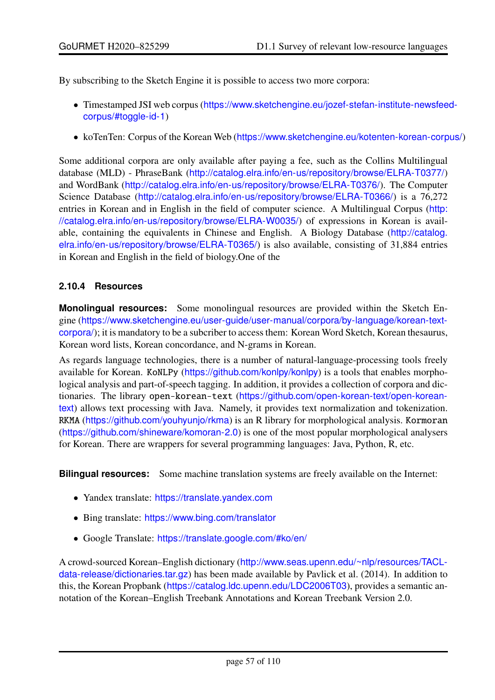By subscribing to the Sketch Engine it is possible to access two more corpora:

- Timestamped JSI web corpus ([https://www.sketchengine.eu/jozef-stefan-institute-newsfee](https://www.sketchengine.eu/jozef-stefan-institute-newsfeed-corpus/#toggle-id-1)d[corpus/#toggle-id-1](https://www.sketchengine.eu/jozef-stefan-institute-newsfeed-corpus/#toggle-id-1))
- koTenTen: Corpus of the Korean Web (<https://www.sketchengine.eu/kotenten-korean-corpus/>)

Some additional corpora are only available after paying a fee, such as the Collins Multilingual database (MLD) - PhraseBank (<http://catalog.elra.info/en-us/repository/browse/ELRA-T0377/>) and WordBank (<http://catalog.elra.info/en-us/repository/browse/ELRA-T0376/>). The Computer Science Database (<http://catalog.elra.info/en-us/repository/browse/ELRA-T0366/>) is a 76,272 entries in Korean and in English in the field of computer science. A Multilingual Corpus ([http:](http://catalog.elra.info/en-us/repository/browse/ELRA-W0035/) [//catalog.elra.info/en-us/repository/browse/ELRA-W0035/](http://catalog.elra.info/en-us/repository/browse/ELRA-W0035/)) of expressions in Korean is available, containing the equivalents in Chinese and English. A Biology Database ([http://catalog.](http://catalog.elra.info/en-us/repository/browse/ELRA-T0365/) [elra.info/en-us/repository/browse/ELRA-T0365/](http://catalog.elra.info/en-us/repository/browse/ELRA-T0365/)) is also available, consisting of 31,884 entries in Korean and English in the field of biology.One of the

### **2.10.4 Resources**

**Monolingual resources:** Some monolingual resources are provided within the Sketch Engine ([https://www.sketchengine.eu/user-guide/user-manual/corpora/by-language/korean-text](https://www.sketchengine.eu/user-guide/user-manual/corpora/by-language/korean-text-corpora/)[corpora/](https://www.sketchengine.eu/user-guide/user-manual/corpora/by-language/korean-text-corpora/)); it is mandatory to be a subcriber to access them: Korean Word Sketch, Korean thesaurus, Korean word lists, Korean concordance, and N-grams in Korean.

As regards language technologies, there is a number of natural-language-processing tools freely available for Korean. KoNLPy (<https://github.com/konlpy/konlpy>) is a tools that enables morphological analysis and part-of-speech tagging. In addition, it provides a collection of corpora and dictionaries. The library open-korean-text ([https://github.com/open-korean-text/open-korean](https://github.com/open-korean-text/open-korean-text)[text](https://github.com/open-korean-text/open-korean-text)) allows text processing with Java. Namely, it provides text normalization and tokenization. RKMA (<https://github.com/youhyunjo/rkma>) is an R library for morphological analysis. Kormoran (<https://github.com/shineware/komoran-2.0>) is one of the most popular morphological analysers for Korean. There are wrappers for several programming languages: Java, Python, R, etc.

**Bilingual resources:** Some machine translation systems are freely available on the Internet:

- Yandex translate: <https://translate.yandex.com>
- Bing translate: <https://www.bing.com/translator>
- Google Translate: <https://translate.google.com/#ko/en/>

A crowd-sourced Korean–English dictionary ([http://www.seas.upenn.edu/~nlp/resources/TACL](http://www.seas.upenn.edu/~nlp/resources/TACL-data-release/dictionaries.tar.gz)[data-release/dictionaries.tar.gz](http://www.seas.upenn.edu/~nlp/resources/TACL-data-release/dictionaries.tar.gz)) has been made available by [Pavlick et al.](#page-107-0) [\(2014\)](#page-107-0). In addition to this, the Korean Propbank (<https://catalog.ldc.upenn.edu/LDC2006T03>), provides a semantic annotation of the Korean–English Treebank Annotations and Korean Treebank Version 2.0.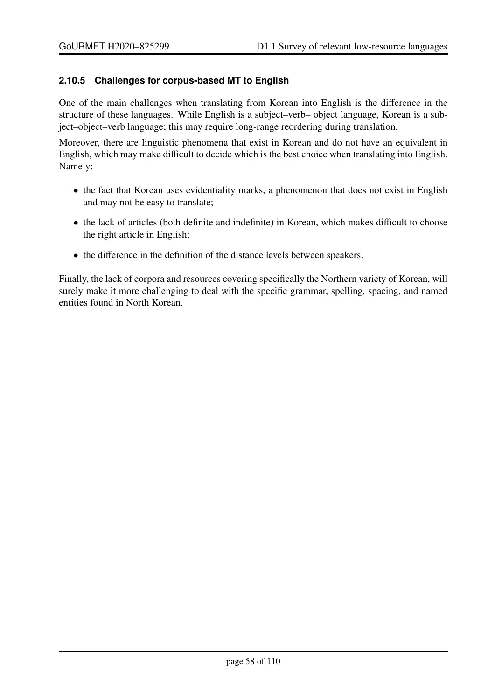### **2.10.5 Challenges for corpus-based MT to English**

One of the main challenges when translating from Korean into English is the difference in the structure of these languages. While English is a subject–verb– object language, Korean is a subject–object–verb language; this may require long-range reordering during translation.

Moreover, there are linguistic phenomena that exist in Korean and do not have an equivalent in English, which may make difficult to decide which is the best choice when translating into English. Namely:

- the fact that Korean uses evidentiality marks, a phenomenon that does not exist in English and may not be easy to translate;
- the lack of articles (both definite and indefinite) in Korean, which makes difficult to choose the right article in English;
- the difference in the definition of the distance levels between speakers.

Finally, the lack of corpora and resources covering specifically the Northern variety of Korean, will surely make it more challenging to deal with the specific grammar, spelling, spacing, and named entities found in North Korean.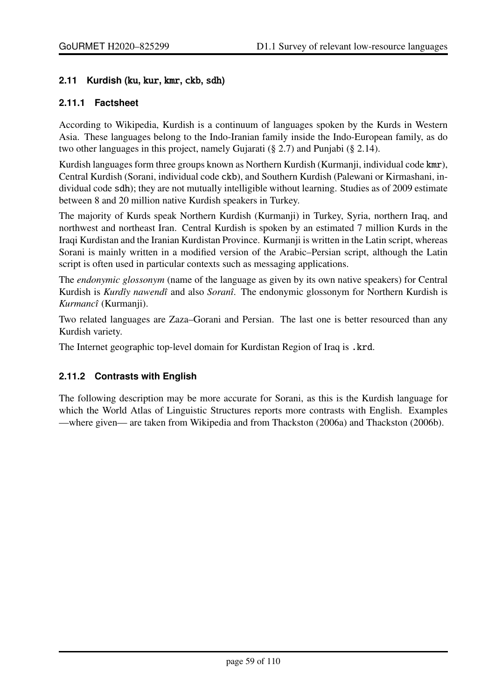# <span id="page-58-0"></span>**2.11 Kurdish (**ku**,** kur**,** kmr**,** ckb**,** sdh**)**

### **2.11.1 Factsheet**

According to Wikipedia, Kurdish is a continuum of languages spoken by the Kurds in Western Asia. These languages belong to the Indo-Iranian family inside the Indo-European family, as do two other languages in this project, namely Gujarati (§ [2.7\)](#page-39-0) and Punjabi (§ [2.14\)](#page-71-0).

Kurdish languages form three groups known as Northern Kurdish (Kurmanji, individual code kmr), Central Kurdish (Sorani, individual code ckb), and Southern Kurdish (Palewani or Kirmashani, individual code sdh); they are not mutually intelligible without learning. Studies as of 2009 estimate between 8 and 20 million native Kurdish speakers in Turkey.

The majority of Kurds speak Northern Kurdish (Kurmanji) in Turkey, Syria, northern Iraq, and northwest and northeast Iran. Central Kurdish is spoken by an estimated 7 million Kurds in the Iraqi Kurdistan and the Iranian Kurdistan Province. Kurmanji is written in the Latin script, whereas Sorani is mainly written in a modified version of the Arabic–Persian script, although the Latin script is often used in particular contexts such as messaging applications.

The *endonymic glossonym* (name of the language as given by its own native speakers) for Central Kurdish is *Kurdîy nawendî* and also *Soranî*. The endonymic glossonym for Northern Kurdish is *Kurmancî* (Kurmanji).

Two related languages are Zaza–Gorani and Persian. The last one is better resourced than any Kurdish variety.

The Internet geographic top-level domain for Kurdistan Region of Iraq is .krd.

### **2.11.2 Contrasts with English**

The following description may be more accurate for Sorani, as this is the Kurdish language for which the World Atlas of Linguistic Structures reports more contrasts with English. Examples —where given— are taken from Wikipedia and from [Thackston](#page-108-2) [\(2006a\)](#page-108-2) and [Thackston](#page-108-3) [\(2006b\)](#page-108-3).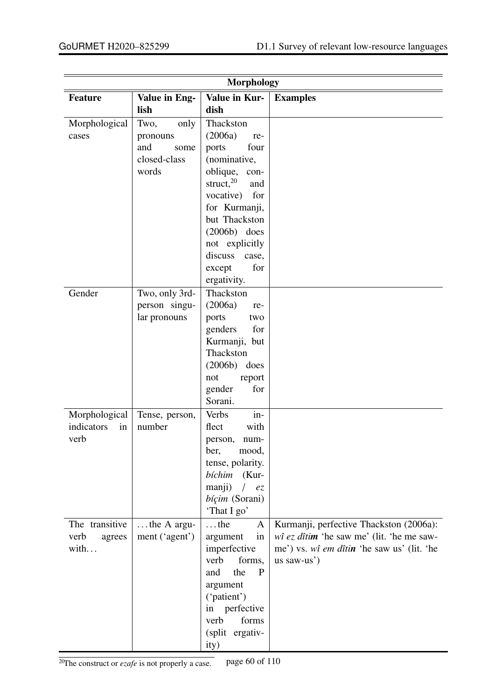| <b>Morphology</b>                         |                                                                  |                                                                                                                                                                                                                                                       |                                                                                                                                                                   |  |  |
|-------------------------------------------|------------------------------------------------------------------|-------------------------------------------------------------------------------------------------------------------------------------------------------------------------------------------------------------------------------------------------------|-------------------------------------------------------------------------------------------------------------------------------------------------------------------|--|--|
| <b>Feature</b>                            | Value in Eng-<br>lish                                            | Value in Kur-<br>dish                                                                                                                                                                                                                                 | <b>Examples</b>                                                                                                                                                   |  |  |
| Morphological<br>cases                    | Two,<br>only<br>pronouns<br>and<br>some<br>closed-class<br>words | Thackston<br>(2006a)<br>re-<br>four<br>ports<br>(nominative,<br>oblique,<br>con-<br>struct, $20$<br>and<br>vocative)<br>for<br>for Kurmanji,<br>but Thackston<br>$(2006b)$ does<br>not explicitly<br>discuss<br>case,<br>for<br>except<br>ergativity. |                                                                                                                                                                   |  |  |
| Gender                                    | Two, only 3rd-<br>person singu-<br>lar pronouns                  | Thackston<br>(2006a)<br>re-<br>ports<br>two<br>genders<br>for<br>Kurmanji, but<br>Thackston<br>(2006b)<br>does<br>report<br>not<br>for<br>gender<br>Sorani.                                                                                           |                                                                                                                                                                   |  |  |
| Morphological<br>indicators<br>in<br>verb | Tense, person,<br>number                                         | in-<br>Verbs<br>flect<br>with<br>person,<br>num-<br>ber,<br>mood,<br>tense, polarity.<br>bíchim<br>$(Kur-$<br>manji)<br>$\sqrt{2}$<br>ez<br>bíçim (Sorani)<br>'That I go'                                                                             |                                                                                                                                                                   |  |  |
| The transitive<br>verb<br>agrees<br>with  | the A argu-<br>ment ('agent')                                    | $\dots$ the<br>A<br>in<br>argument<br>imperfective<br>verb<br>forms,<br>the<br>P<br>and<br>argument<br>('patient')<br>perfective<br>in<br>verb<br>forms<br>(split ergativ-<br>ity)                                                                    | Kurmanji, perfective Thackston (2006a):<br><i>wî ez dîtim</i> 'he saw me' (lit. 'he me saw-<br>me') vs. <i>wî em dîtin</i> 'he saw us' (lit. 'he<br>$us saw-us$ ) |  |  |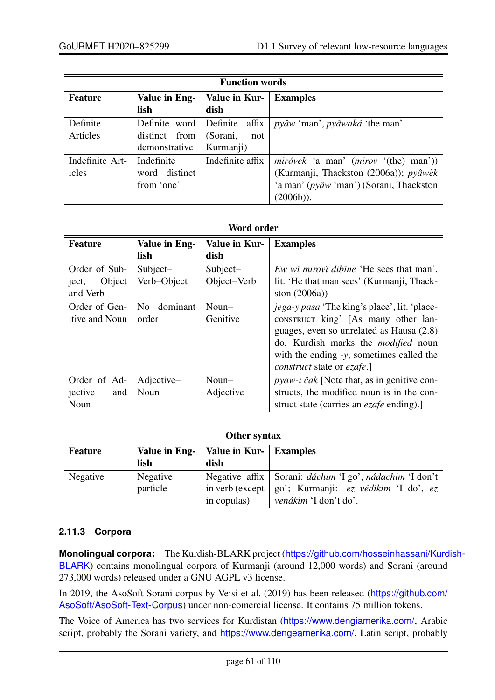| <b>Function words</b> |               |                  |                                                     |  |  |
|-----------------------|---------------|------------------|-----------------------------------------------------|--|--|
| <b>Feature</b>        | Value in Eng- | Value in Kur-    | <b>Examples</b>                                     |  |  |
|                       | lish          | dish             |                                                     |  |  |
| Definite              | Definite word | Definite affix   | <i>pyâw</i> 'man', <i>pyâwaká</i> 'the man'         |  |  |
| Articles              | distinct from | (Sorani,<br>not  |                                                     |  |  |
|                       | demonstrative | Kurmanji)        |                                                     |  |  |
| Indefinite Art-       | Indefinite    | Indefinite affix | <i>miróvek</i> 'a man' ( <i>mirov</i> '(the) man')) |  |  |
| icles                 | word distinct |                  | (Kurmanji, Thackston (2006a)); pyâwèk               |  |  |
|                       | from 'one'    |                  | 'a man' (pyâw 'man') (Sorani, Thackston             |  |  |
|                       |               |                  | $(2006b)$ ).                                        |  |  |

| Word order      |                                |             |                                                     |  |  |
|-----------------|--------------------------------|-------------|-----------------------------------------------------|--|--|
| Feature         | Value in Eng-<br>Value in Kur- |             | <b>Examples</b>                                     |  |  |
|                 | lish                           | dish        |                                                     |  |  |
| Order of Sub-   | Subject-                       | Subject-    | Ew wî mirovî dibîne 'He sees that man',             |  |  |
| Object<br>ject, | Verb-Object                    | Object-Verb | lit. 'He that man sees' (Kurmanji, Thack-           |  |  |
| and Verb        |                                |             | ston $(2006a)$                                      |  |  |
| Order of Gen-   | No dominant                    | $Noun-$     | <i>jega-y pasa</i> 'The king's place', lit. 'place- |  |  |
| itive and Noun  | order                          | Genitive    | CONSTRUCT king' [As many other lan-                 |  |  |
|                 |                                |             | guages, even so unrelated as Hausa (2.8)            |  |  |
|                 |                                |             | do, Kurdish marks the <i>modified</i> noun          |  |  |
|                 |                                |             | with the ending -y, sometimes called the            |  |  |
|                 |                                |             | <i>construct</i> state or <i>ezafe</i> .]           |  |  |
| Order of Ad-    | Adjective-                     | $Noun-$     | <i>pyaw-i čak</i> [Note that, as in genitive con-   |  |  |
| jective<br>and  | Noun                           | Adjective   | structs, the modified noun is in the con-           |  |  |
| Noun            |                                |             | struct state (carries an <i>ezafe</i> ending).]     |  |  |

| Other syntax   |               |                          |                                                           |  |  |
|----------------|---------------|--------------------------|-----------------------------------------------------------|--|--|
| <b>Feature</b> | Value in Eng- | Value in Kur-   Examples |                                                           |  |  |
|                | lish          | dish                     |                                                           |  |  |
| Negative       | Negative      |                          | Negative affix   Sorani: dáchim 'I go', nádachim 'I don't |  |  |
|                | particle      | in verb (except $\vert$  | go'; Kurmanji: ez védikim 'I do', ez                      |  |  |
|                |               | in copulas)              | venákim 'I don't do'.                                     |  |  |

### **2.11.3 Corpora**

**Monolingual corpora:** The Kurdish-BLARK project ([https://github.com/hosseinhassani/Kurd](https://github.com/hosseinhassani/Kurdish-BLARK)ish-[BLARK](https://github.com/hosseinhassani/Kurdish-BLARK)) contains monolingual corpora of Kurmanji (around 12,000 words) and Sorani (around 273,000 words) released under a GNU AGPL v3 license.

In 2019, the AsoSoft Sorani corpus by [Veisi et al.](#page-108-4) [\(2019\)](#page-108-4) has been released ([https://github.com/](https://github.com/AsoSoft/AsoSoft-Text-Corpus) [AsoSoft/AsoSoft-Text-Corpus](https://github.com/AsoSoft/AsoSoft-Text-Corpus)) under non-comercial license. It contains 75 million tokens.

The Voice of America has two services for Kurdistan (<https://www.dengiamerika.com/>, Arabic script, probably the Sorani variety, and <https://www.dengeamerika.com/>, Latin script, probably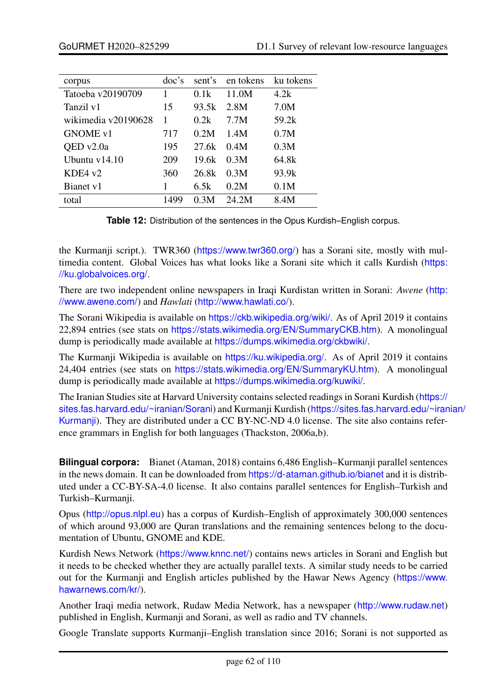| corpus              | doc's | sent's | en tokens | ku tokens |
|---------------------|-------|--------|-----------|-----------|
| Tatoeba v20190709   | 1     | 0.1k   | 11.0M     | 4.2k      |
| Tanzil v1           | 15    | 93.5k  | 2.8M      | 7.0M      |
| wikimedia v20190628 | 1     | 0.2k   | 7.7M      | 59.2k     |
| <b>GNOME</b> v1     | 717   | 0.2M   | 1.4M      | 0.7M      |
| QED v2.0a           | 195   | 27.6k  | 0.4M      | 0.3M      |
| Ubuntu $v14.10$     | 209   | 19.6k  | 0.3M      | 64.8k     |
| KDE4 v2             | 360   | 26.8k  | 0.3M      | 93.9k     |
| Bianet v1           | 1     | 6.5k   | 0.2M      | 0.1M      |
| total               | 1499  | 0.3M   | 24.2M     | 8.4M      |

**Table 12:** Distribution of the sentences in the Opus Kurdish–English corpus.

the Kurmanji script.). TWR360 (<https://www.twr360.org/>) has a Sorani site, mostly with multimedia content. Global Voices has what looks like a Sorani site which it calls Kurdish ([https:](https://ku.globalvoices.org/) [//ku.globalvoices.org/](https://ku.globalvoices.org/).

There are two independent online newspapers in Iraqi Kurdistan written in Sorani: *Awene* ([http:](http://www.awene.com/) [//www.awene.com/](http://www.awene.com/)) and *Hawlati* (<http://www.hawlati.co/>).

The Sorani Wikipedia is available on <https://ckb.wikipedia.org/wiki/>. As of April 2019 it contains 22,894 entries (see stats on <https://stats.wikimedia.org/EN/SummaryCKB.htm>). A monolingual dump is periodically made available at <https://dumps.wikimedia.org/ckbwiki/>.

The Kurmanji Wikipedia is available on <https://ku.wikipedia.org/>. As of April 2019 it contains 24,404 entries (see stats on <https://stats.wikimedia.org/EN/SummaryKU.htm>). A monolingual dump is periodically made available at <https://dumps.wikimedia.org/kuwiki/>.

The Iranian Studies site at Harvard University contains selected readings in Sorani Kurdish ([https://](https://sites.fas.harvard.edu/~iranian/Sorani) [sites.fas.harvard.edu/~iranian/Sorani](https://sites.fas.harvard.edu/~iranian/Sorani)) and Kurmanji Kurdish ([https://sites.fas.harvard.edu/~iran](https://sites.fas.harvard.edu/~iranian/Kurmanji)ian/ [Kurmanji](https://sites.fas.harvard.edu/~iranian/Kurmanji)). They are distributed under a CC BY-NC-ND 4.0 license. The site also contains reference grammars in English for both languages [\(Thackston,](#page-108-2) [2006a](#page-108-2)[,b\)](#page-108-3).

**Bilingual corpora:** Bianet [\(Ataman,](#page-105-4) [2018\)](#page-105-4) contains 6,486 English–Kurmanji parallel sentences in the news domain. It can be downloaded from <https://d-ataman.github.io/bianet> and it is distributed under a CC-BY-SA-4.0 license. It also contains parallel sentences for English–Turkish and Turkish–Kurmanji.

Opus (<http://opus.nlpl.eu>) has a corpus of Kurdish–English of approximately 300,000 sentences of which around 93,000 are Quran translations and the remaining sentences belong to the documentation of Ubuntu, GNOME and KDE.

Kurdish News Network (<https://www.knnc.net/>) contains news articles in Sorani and English but it needs to be checked whether they are actually parallel texts. A similar study needs to be carried out for the Kurmanji and English articles published by the Hawar News Agency ([https://www.](https://www.hawarnews.com/kr/) [hawarnews.com/kr/](https://www.hawarnews.com/kr/)).

Another Iraqi media network, Rudaw Media Network, has a newspaper (<http://www.rudaw.net>) published in English, Kurmanji and Sorani, as well as radio and TV channels.

Google Translate supports Kurmanji–English translation since 2016; Sorani is not supported as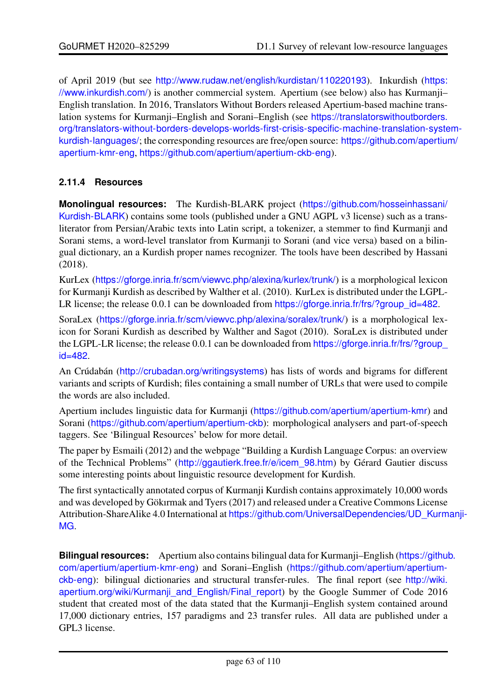of April 2019 (but see <http://www.rudaw.net/english/kurdistan/110220193>). Inkurdish ([https:](https://www.inkurdish.com/) [//www.inkurdish.com/](https://www.inkurdish.com/)) is another commercial system. Apertium (see below) also has Kurmanji– English translation. In 2016, Translators Without Borders released Apertium-based machine translation systems for Kurmanji–English and Sorani–English (see [https://translatorswithoutborders.](https://translatorswithoutborders.org/translators-without-borders-develops-worlds-first-crisis-specific-machine-translation-system-kurdish-languages/) [org/translators-without-borders-develops-worlds-first-crisis-specific-machine-translation-syste](https://translatorswithoutborders.org/translators-without-borders-develops-worlds-first-crisis-specific-machine-translation-system-kurdish-languages/)m[kurdish-languages/](https://translatorswithoutborders.org/translators-without-borders-develops-worlds-first-crisis-specific-machine-translation-system-kurdish-languages/); the corresponding resources are free/open source: [https://github.com/apertium](https://github.com/apertium/apertium-kmr-eng)/ [apertium-kmr-eng](https://github.com/apertium/apertium-kmr-eng), <https://github.com/apertium/apertium-ckb-eng>).

# **2.11.4 Resources**

**Monolingual resources:** The Kurdish-BLARK project ([https://github.com/hosseinhassani/](https://github.com/hosseinhassani/Kurdish-BLARK) [Kurdish-BLARK](https://github.com/hosseinhassani/Kurdish-BLARK)) contains some tools (published under a GNU AGPL v3 license) such as a transliterator from Persian/Arabic texts into Latin script, a tokenizer, a stemmer to find Kurmanji and Sorani stems, a word-level translator from Kurmanji to Sorani (and vice versa) based on a bilingual dictionary, an a Kurdish proper names recognizer. The tools have been described by [Hassani](#page-106-4) [\(2018\)](#page-106-4).

KurLex (<https://gforge.inria.fr/scm/viewvc.php/alexina/kurlex/trunk/>) is a morphological lexicon for Kurmanji Kurdish as described by [Walther et al.](#page-108-5) [\(2010\)](#page-108-5). KurLex is distributed under the LGPLLR license; the release 0.0.1 can be downloaded from [https://gforge.inria.fr/frs/?group\\_id=482](https://gforge.inria.fr/frs/?group_id=482).

SoraLex (<https://gforge.inria.fr/scm/viewvc.php/alexina/soralex/trunk/>) is a morphological lexicon for Sorani Kurdish as described by [Walther and Sagot](#page-108-6) [\(2010\)](#page-108-6). SoraLex is distributed under the LGPL-LR license; the release 0.0.1 can be downloaded from [https://gforge.inria.fr/frs/?group\\_](https://gforge.inria.fr/frs/?group_id=482) [id=482](https://gforge.inria.fr/frs/?group_id=482).

An Crúdabán (<http://crubadan.org/writingsystems>) has lists of words and bigrams for different variants and scripts of Kurdish; files containing a small number of URLs that were used to compile the words are also included.

Apertium includes linguistic data for Kurmanji (<https://github.com/apertium/apertium-kmr>) and Sorani (<https://github.com/apertium/apertium-ckb>): morphological analysers and part-of-speech taggers. See 'Bilingual Resources' below for more detail.

The paper by [Esmaili](#page-105-5) [\(2012\)](#page-105-5) and the webpage "Building a Kurdish Language Corpus: an overview of the Technical Problems" ([http://ggautierk.free.fr/e/icem\\_98.htm](http://ggautierk.free.fr/e/icem_98.htm)) by Gérard Gautier discuss some interesting points about linguistic resource development for Kurdish.

The first syntactically annotated corpus of Kurmanji Kurdish contains approximately 10,000 words and was developed by [Gökırmak and Tyers\(2017\)](#page-106-5) and released under a Creative Commons License Attribution-ShareAlike 4.0 International at [https://github.com/UniversalDependencies/UD\\_Kurm](https://github.com/UniversalDependencies/UD_Kurmanji-MG)anji-[MG](https://github.com/UniversalDependencies/UD_Kurmanji-MG).

**Bilingual resources:** Apertium also contains bilingual data for Kurmanji–English ([https://github](https://github.com/apertium/apertium-kmr-eng). [com/apertium/apertium-kmr-eng](https://github.com/apertium/apertium-kmr-eng)) and Sorani–English ([https://github.com/apertium/apertium](https://github.com/apertium/apertium-ckb-eng)[ckb-eng](https://github.com/apertium/apertium-ckb-eng)): bilingual dictionaries and structural transfer-rules. The final report (see [http://wiki.](http://wiki.apertium.org/wiki/Kurmanji_and_English/Final_report) [apertium.org/wiki/Kurmanji\\_and\\_English/Final\\_report](http://wiki.apertium.org/wiki/Kurmanji_and_English/Final_report)) by the Google Summer of Code 2016 student that created most of the data stated that the Kurmanji–English system contained around 17,000 dictionary entries, 157 paradigms and 23 transfer rules. All data are published under a GPL3 license.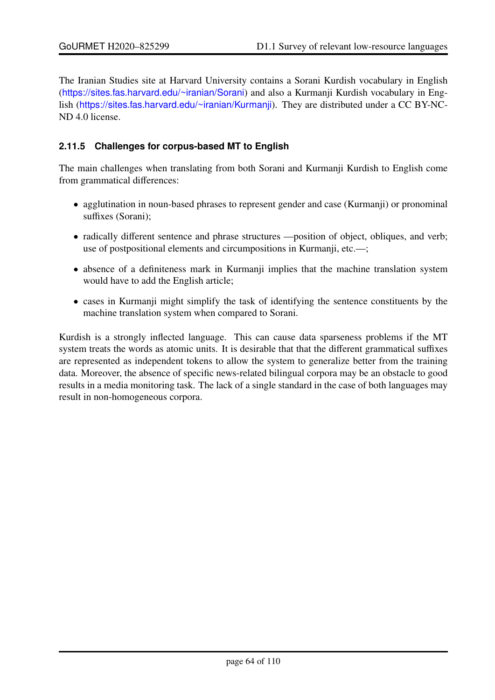The Iranian Studies site at Harvard University contains a Sorani Kurdish vocabulary in English (<https://sites.fas.harvard.edu/~iranian/Sorani>) and also a Kurmanji Kurdish vocabulary in English (<https://sites.fas.harvard.edu/~iranian/Kurmanji>). They are distributed under a CC BY-NC-ND 4.0 license.

# **2.11.5 Challenges for corpus-based MT to English**

The main challenges when translating from both Sorani and Kurmanji Kurdish to English come from grammatical differences:

- agglutination in noun-based phrases to represent gender and case (Kurmanji) or pronominal suffixes (Sorani);
- radically different sentence and phrase structures —position of object, obliques, and verb; use of postpositional elements and circumpositions in Kurmanji, etc.—;
- absence of a definiteness mark in Kurmanji implies that the machine translation system would have to add the English article;
- cases in Kurmanji might simplify the task of identifying the sentence constituents by the machine translation system when compared to Sorani.

Kurdish is a strongly inflected language. This can cause data sparseness problems if the MT system treats the words as atomic units. It is desirable that that the different grammatical suffixes are represented as independent tokens to allow the system to generalize better from the training data. Moreover, the absence of specific news-related bilingual corpora may be an obstacle to good results in a media monitoring task. The lack of a single standard in the case of both languages may result in non-homogeneous corpora.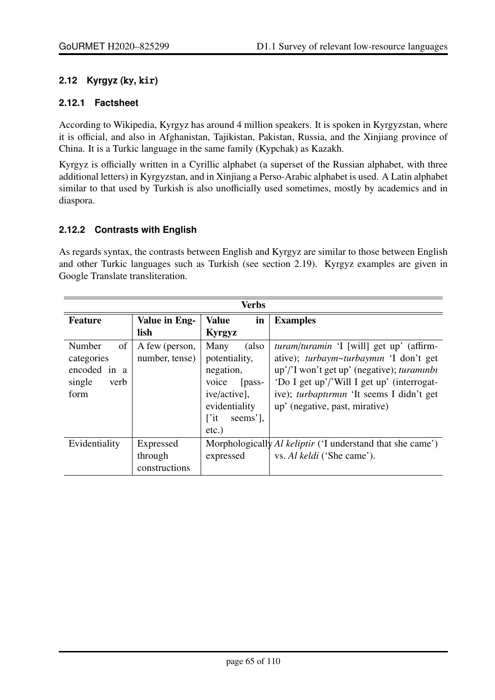# **2.12 Kyrgyz (**ky**,** kir**)**

### **2.12.1 Factsheet**

According to Wikipedia, Kyrgyz has around 4 million speakers. It is spoken in Kyrgyzstan, where it is official, and also in Afghanistan, Tajikistan, Pakistan, Russia, and the Xinjiang province of China. It is a Turkic language in the same family (Kypchak) as Kazakh.

Kyrgyz is officially written in a Cyrillic alphabet (a superset of the Russian alphabet, with three additional letters) in Kyrgyzstan, and in Xinjiang a Perso-Arabic alphabet is used. A Latin alphabet similar to that used by Turkish is also unofficially used sometimes, mostly by academics and in diaspora.

# **2.12.2 Contrasts with English**

As regards syntax, the contrasts between English and Kyrgyz are similar to those between English and other Turkic languages such as Turkish (see section [2.19\)](#page-92-0). Kyrgyz examples are given in Google Translate transliteration.

| <b>Verbs</b>                                                            |                                       |                                                                                                                                        |                                                                                                                                                                                                                                                                      |  |  |  |
|-------------------------------------------------------------------------|---------------------------------------|----------------------------------------------------------------------------------------------------------------------------------------|----------------------------------------------------------------------------------------------------------------------------------------------------------------------------------------------------------------------------------------------------------------------|--|--|--|
| <b>Feature</b>                                                          | Value in Eng-<br>lish                 | <b>Value</b><br>in<br><b>Kyrgyz</b>                                                                                                    | <b>Examples</b>                                                                                                                                                                                                                                                      |  |  |  |
| of<br>Number<br>categories<br>encoded<br>in a<br>single<br>verb<br>form | A few (person,<br>number, tense)      | Many<br>(also<br>potentiality,<br>negation,<br>voice<br>[pass-<br>ive/active],<br>evidentiality<br>$\Gamma$ it<br>seems'],<br>$etc.$ ) | <i>turam/turamin</i> 'I [will] get up' (affirm-<br>ative); turbaym~turbaymin 'I don't get<br>up'/'I won't get up' (negative); turaminbi<br>'Do I get up'/'Will I get up' (interrogat-<br>ive); turbaptırmın 'It seems I didn't get<br>up' (negative, past, mirative) |  |  |  |
| Evidentiality                                                           | Expressed<br>through<br>constructions | expressed                                                                                                                              | Morphologically <i>Al keliptir</i> ('I understand that she came')<br>vs. Al keldi ('She came').                                                                                                                                                                      |  |  |  |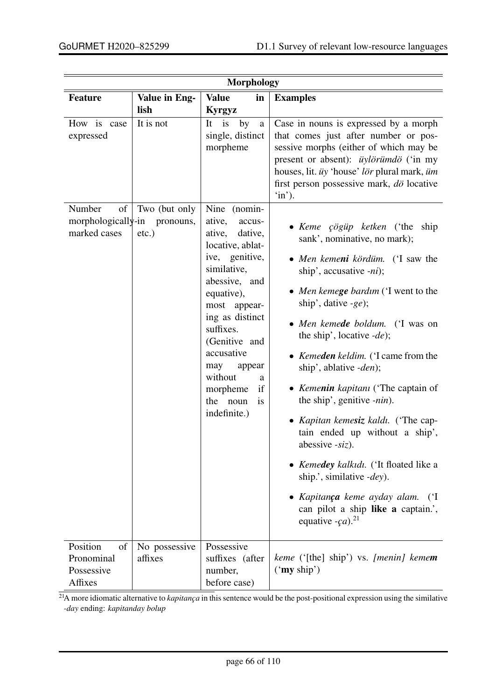| Morphology                                            |                            |                                                                                                                                                                                                                                                                                               |                                                                                                                                                                                                                                                                                                                                                                                                                                                                                                                                                                                                                                                                                                          |  |  |
|-------------------------------------------------------|----------------------------|-----------------------------------------------------------------------------------------------------------------------------------------------------------------------------------------------------------------------------------------------------------------------------------------------|----------------------------------------------------------------------------------------------------------------------------------------------------------------------------------------------------------------------------------------------------------------------------------------------------------------------------------------------------------------------------------------------------------------------------------------------------------------------------------------------------------------------------------------------------------------------------------------------------------------------------------------------------------------------------------------------------------|--|--|
| <b>Feature</b>                                        | Value in Eng-<br>lish      | <b>Value</b><br>in<br><b>Kyrgyz</b>                                                                                                                                                                                                                                                           | <b>Examples</b>                                                                                                                                                                                                                                                                                                                                                                                                                                                                                                                                                                                                                                                                                          |  |  |
| How is case<br>expressed<br>Number<br>of              | It is not<br>Two (but only | It is<br>by<br>$\rm{a}$<br>single, distinct<br>morpheme<br>Nine (nomin-                                                                                                                                                                                                                       | Case in nouns is expressed by a morph<br>that comes just after number or pos-<br>sessive morphs (either of which may be<br>present or absent): <i>üylörümdö</i> ('in my<br>houses, lit. üy 'house' lör plural mark, üm<br>first person possessive mark, dö locative<br>$\infty$ .                                                                                                                                                                                                                                                                                                                                                                                                                        |  |  |
| morphologically-in<br>marked cases                    | pronouns,<br>$etc.$ )      | ative,<br>accus-<br>ative,<br>dative,<br>locative, ablat-<br>ive, genitive,<br>similative,<br>abessive, and<br>equative),<br>most appear-<br>ing as distinct<br>suffixes.<br>(Genitive and<br>accusative<br>appear<br>may<br>without<br>a<br>morpheme<br>if<br>the noun<br>is<br>indefinite.) | • Keme çögüp ketken ('the ship<br>sank', nominative, no mark);<br>• Men kemeni kördüm. ('I saw the<br>ship', accusative $-ni$ );<br>• Men kemege bardım ('I went to the<br>ship', dative $-ge$ );<br>• Men kemede boldum. ('I was on<br>the ship', locative $-de$ ;<br>• Kemeden keldim. ('I came from the<br>ship', ablative -den);<br>• <i>Kemenin kapitani</i> ('The captain of<br>the ship', genitive <i>-nin</i> ).<br>• Kapitan kemesiz kaldı. ('The cap-<br>tain ended up without a ship',<br>abessive -siz).<br>• Kemedey kalkıdı. ('It floated like a<br>ship.', similative -dey).<br>• Kapitança keme ayday alam. ('I<br>can pilot a ship like a captain.',<br>equative $-ca$ ). <sup>21</sup> |  |  |
| Position<br>of<br>Pronominal<br>Possessive<br>Affixes | No possessive<br>affixes   | Possessive<br>suffixes (after<br>number,<br>before case)                                                                                                                                                                                                                                      | keme ('[the] ship') vs. [menin] keme <b>m</b><br>('my ship')                                                                                                                                                                                                                                                                                                                                                                                                                                                                                                                                                                                                                                             |  |  |

<sup>21</sup>A more idiomatic alternative to *kapitança* in this sentence would be the post-positional expression using the similative *-day* ending: *kapitanday bolup*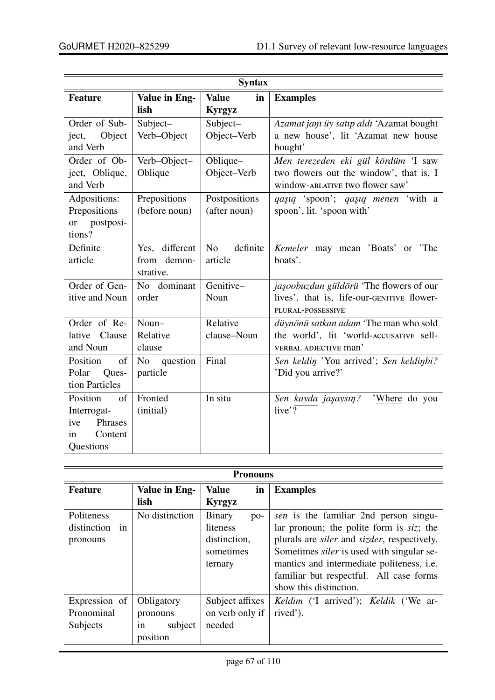| <b>Syntax</b>          |                            |                            |                                                  |  |  |
|------------------------|----------------------------|----------------------------|--------------------------------------------------|--|--|
| <b>Feature</b>         | Value in Eng-              | <b>Value</b><br>in         | <b>Examples</b>                                  |  |  |
|                        | lish                       | <b>Kyrgyz</b>              |                                                  |  |  |
| Order of Sub-          | Subject-                   | Subject-                   | Azamat janı üy satıp aldı 'Azamat bought         |  |  |
| ject, Object           | Verb-Object                | Object-Verb                | a new house', lit 'Azamat new house              |  |  |
| and Verb               |                            |                            | bought'                                          |  |  |
| Order of Ob-           | Verb-Object-               | Oblique-                   | Men terezeden eki gül kördüm 'I saw              |  |  |
| ject, Oblique,         | Oblique                    | Object-Verb                | two flowers out the window', that is, I          |  |  |
| and Verb               |                            |                            | window-ABLATIVE two flower saw'                  |  |  |
| Adpositions:           | Prepositions               | Postpositions              | <i>qaşıq</i> 'spoon'; <i>qaşıq menen</i> 'with a |  |  |
| Prepositions           | (before noun)              | (after noun)               | spoon', lit. 'spoon with'                        |  |  |
| postposi-<br><b>or</b> |                            |                            |                                                  |  |  |
| tions?                 |                            |                            |                                                  |  |  |
| Definite               | different<br>Yes,          | definite<br>N <sub>o</sub> | Kemeler may mean 'Boats'<br>or 'The              |  |  |
| article                | from demon-                | article                    | boats'.                                          |  |  |
|                        | strative.                  |                            |                                                  |  |  |
| Order of Gen-          | No dominant                | Genitive-                  | jaşoobuzdun güldörü 'The flowers of our          |  |  |
| itive and Noun         | order                      | Noun                       | lives', that is, life-our-GENITIVE flower-       |  |  |
|                        |                            |                            | PLURAL-POSSESSIVE                                |  |  |
| Order of Re-           | Noun-                      | Relative                   | düynönü satkan adam 'The man who sold            |  |  |
| Clause<br>lative       | Relative                   | clause-Noun                | the world', lit 'world-ACCUSATIVE sell-          |  |  |
| and Noun               | clause                     |                            | VERBAL ADJECTIVE man'                            |  |  |
| Position<br>of         | question<br>N <sub>o</sub> | Final                      | Sen keldin 'You arrived'; Sen keldinbi?          |  |  |
| Polar<br>Ques-         | particle                   |                            | 'Did you arrive?'                                |  |  |
| tion Particles         |                            |                            |                                                  |  |  |
| Position<br>$\sigma$ f | Fronted                    | In situ                    | Sen kayda jaşaysın?<br>'Where do you             |  |  |
| Interrogat-            | (initial)                  |                            | live'?                                           |  |  |
| Phrases<br>ive         |                            |                            |                                                  |  |  |
| Content<br>in.         |                            |                            |                                                  |  |  |
| Questions              |                            |                            |                                                  |  |  |

| <b>Pronouns</b>   |                |                        |                                                            |  |  |
|-------------------|----------------|------------------------|------------------------------------------------------------|--|--|
| <b>Feature</b>    | Value in Eng-  | in<br><b>Value</b>     | <b>Examples</b>                                            |  |  |
|                   | lish           | <b>Kyrgyz</b>          |                                                            |  |  |
| <b>Politeness</b> | No distinction | <b>Binary</b><br>$po-$ | <i>sen</i> is the familiar 2nd person singu-               |  |  |
| distinction<br>in |                | liteness               | lar pronoun; the polite form is siz; the                   |  |  |
| pronouns          |                | distinction,           | plurals are <i>siler</i> and <i>sizder</i> , respectively. |  |  |
|                   |                | sometimes              | Sometimes <i>siler</i> is used with singular se-           |  |  |
|                   |                | ternary                | mantics and intermediate politeness, <i>i.e.</i>           |  |  |
|                   |                |                        | familiar but respectful. All case forms                    |  |  |
|                   |                |                        | show this distinction.                                     |  |  |
| Expression of     | Obligatory     | Subject affixes        | Keldim ('I arrived'); Keldik ('We ar-                      |  |  |
| Pronominal        | pronouns       | on verb only if        | rived').                                                   |  |  |
| Subjects          | subject<br>1n  | needed                 |                                                            |  |  |
|                   | position       |                        |                                                            |  |  |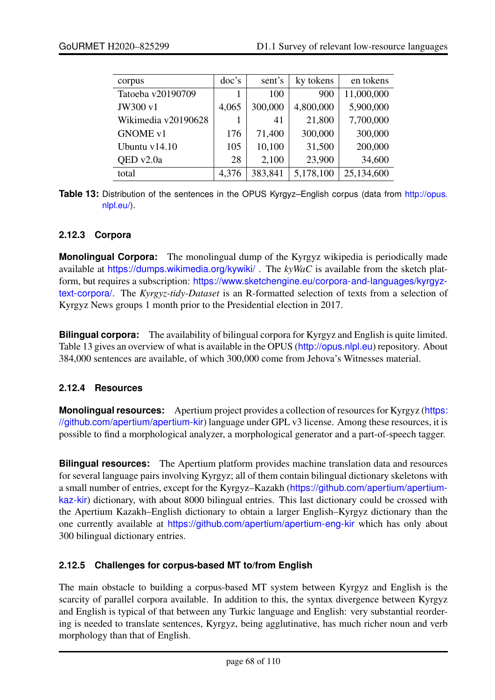<span id="page-67-0"></span>

| corpus              | doc's | sent's  | ky tokens | en tokens  |
|---------------------|-------|---------|-----------|------------|
| Tatoeba v20190709   |       | 100     | 900       | 11,000,000 |
| JW300 v1            | 4,065 | 300,000 | 4,800,000 | 5,900,000  |
| Wikimedia v20190628 |       | 41      | 21,800    | 7,700,000  |
| <b>GNOME</b> v1     | 176   | 71,400  | 300,000   | 300,000    |
| Ubuntu $v14.10$     | 105   | 10,100  | 31,500    | 200,000    |
| QED v2.0a           | 28    | 2,100   | 23,900    | 34,600     |
| total               | 4,376 | 383,841 | 5,178,100 | 25,134,600 |

**Table 13:** Distribution of the sentences in the OPUS Kyrgyz–English corpus (data from [http://opus.](http://opus.nlpl.eu/) [nlpl.eu/\)](http://opus.nlpl.eu/).

# **2.12.3 Corpora**

**Monolingual Corpora:** The monolingual dump of the Kyrgyz wikipedia is periodically made available at <https://dumps.wikimedia.org/kywiki/> . The *kyWaC* is available from the sketch platform, but requires a subscription: [https://www.sketchengine.eu/corpora-and-languages/kyrgyz](https://www.sketchengine.eu/corpora-and-languages/kyrgyz-text-corpora/)[text-corpora/](https://www.sketchengine.eu/corpora-and-languages/kyrgyz-text-corpora/). The *Kyrgyz-tidy-Dataset* is an R-formatted selection of texts from a selection of Kyrgyz News groups 1 month prior to the Presidential election in 2017.

**Bilingual corpora:** The availability of bilingual corpora for Kyrgyz and English is quite limited. Table [13](#page-67-0) gives an overview of what is available in the OPUS (<http://opus.nlpl.eu>) repository. About 384,000 sentences are available, of which 300,000 come from Jehova's Witnesses material.

### **2.12.4 Resources**

**Monolingual resources:** Apertium project provides a collection of resources for Kyrgyz ([https:](https://github.com/apertium/apertium-kir) [//github.com/apertium/apertium-kir](https://github.com/apertium/apertium-kir)) language under GPL v3 license. Among these resources, it is possible to find a morphological analyzer, a morphological generator and a part-of-speech tagger.

**Bilingual resources:** The Apertium platform provides machine translation data and resources for several language pairs involving Kyrgyz; all of them contain bilingual dictionary skeletons with a small number of entries, except for the Kyrgyz–Kazakh ([https://github.com/apertium/apertium](https://github.com/apertium/apertium-kaz-kir)[kaz-kir](https://github.com/apertium/apertium-kaz-kir)) dictionary, with about 8000 bilingual entries. This last dictionary could be crossed with the Apertium Kazakh–English dictionary to obtain a larger English–Kyrgyz dictionary than the one currently available at <https://github.com/apertium/apertium-eng-kir> which has only about 300 bilingual dictionary entries.

# **2.12.5 Challenges for corpus-based MT to/from English**

The main obstacle to building a corpus-based MT system between Kyrgyz and English is the scarcity of parallel corpora available. In addition to this, the syntax divergence between Kyrgyz and English is typical of that between any Turkic language and English: very substantial reordering is needed to translate sentences, Kyrgyz, being agglutinative, has much richer noun and verb morphology than that of English.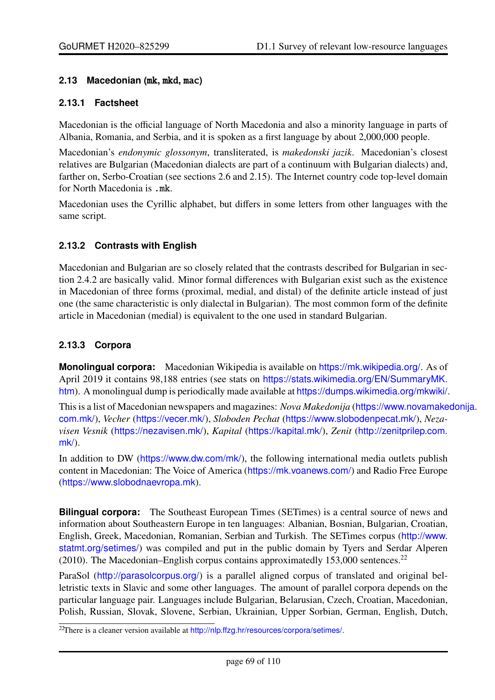### **2.13 Macedonian (**mk**,** mkd**,** mac**)**

### **2.13.1 Factsheet**

Macedonian is the official language of North Macedonia and also a minority language in parts of Albania, Romania, and Serbia, and it is spoken as a first language by about 2,000,000 people.

Macedonian's *endonymic glossonym*, transliterated, is *makedonski jazik*. Macedonian's closest relatives are Bulgarian (Macedonian dialects are part of a continuum with Bulgarian dialects) and, farther on, Serbo-Croatian (see sections [2.6](#page-34-0) and [2.15\)](#page-76-0). The Internet country code top-level domain for North Macedonia is .mk.

Macedonian uses the Cyrillic alphabet, but differs in some letters from other languages with the same script.

# **2.13.2 Contrasts with English**

Macedonian and Bulgarian are so closely related that the contrasts described for Bulgarian in section [2.4.2](#page-23-1) are basically valid. Minor formal differences with Bulgarian exist such as the existence in Macedonian of three forms (proximal, medial, and distal) of the definite article instead of just one (the same characteristic is only dialectal in Bulgarian). The most common form of the definite article in Macedonian (medial) is equivalent to the one used in standard Bulgarian.

### **2.13.3 Corpora**

**Monolingual corpora:** Macedonian Wikipedia is available on <https://mk.wikipedia.org/>. As of April 2019 it contains 98,188 entries (see stats on [https://stats.wikimedia.org/EN/SummaryMK.](https://stats.wikimedia.org/EN/SummaryMK.htm) [htm](https://stats.wikimedia.org/EN/SummaryMK.htm)). A monolingual dump is periodically made available at <https://dumps.wikimedia.org/mkwiki/>.

This is a list of Macedonian newspapers and magazines: *Nova Makedonija* ([https://www.novamake](https://www.novamakedonija.com.mk/)donija. [com.mk/](https://www.novamakedonija.com.mk/)), *Vecher* (<https://vecer.mk/>), *Sloboden Pechat* (<https://www.slobodenpecat.mk/>), *Nezavisen Vesnik* (<https://nezavisen.mk/>), *Kapital* (<https://kapital.mk/>), *Zenit* ([http://zenitprilep.com.](http://zenitprilep.com.mk/)  $mk$ ).

In addition to DW (<https://www.dw.com/mk/>), the following international media outlets publish content in Macedonian: The Voice of America (<https://mk.voanews.com/>) and Radio Free Europe (<https://www.slobodnaevropa.mk>).

**Bilingual corpora:** The Southeast European Times (SETimes) is a central source of news and information about Southeastern Europe in ten languages: Albanian, Bosnian, Bulgarian, Croatian, English, Greek, Macedonian, Romanian, Serbian and Turkish. The SETimes corpus ([http://www.](http://www.statmt.org/setimes/) [statmt.org/setimes/](http://www.statmt.org/setimes/)) was compiled and put in the public domain by [Tyers and Serdar Alperen](#page-108-7) [\(2010\)](#page-108-7). The Macedonian–English corpus contains approximatedly 153,000 sentences.<sup>22</sup>

ParaSol (<http://parasolcorpus.org/>) is a parallel aligned corpus of translated and original belletristic texts in Slavic and some other languages. The amount of parallel corpora depends on the particular language pair. Languages include Bulgarian, Belarusian, Czech, Croatian, Macedonian, Polish, Russian, Slovak, Slovene, Serbian, Ukrainian, Upper Sorbian, German, English, Dutch,

<sup>&</sup>lt;sup>22</sup>There is a cleaner version available at <http://nlp.ffzg.hr/resources/corpora/setimes/>.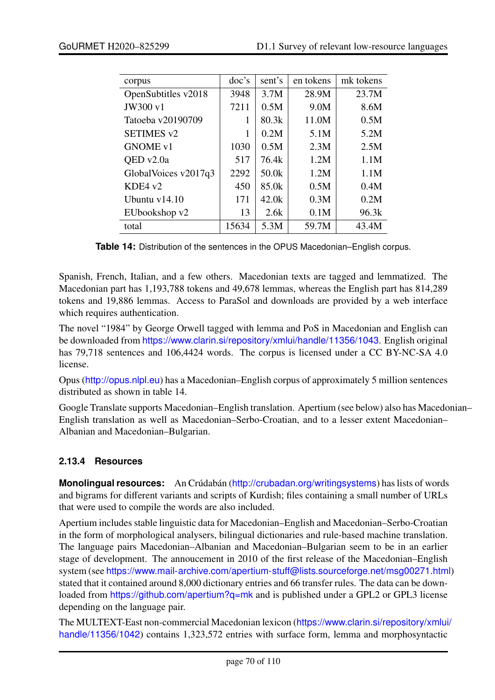<span id="page-69-0"></span>

| corpus               | doc's | sent's            | en tokens | mk tokens |
|----------------------|-------|-------------------|-----------|-----------|
| OpenSubtitles v2018  | 3948  | 3.7M              | 28.9M     | 23.7M     |
| JW300 v1             | 7211  | 0.5M              | 9.0M      | 8.6M      |
| Tatoeba v20190709    | 1     | 80.3k             | 11.0M     | 0.5M      |
| <b>SETIMES</b> v2    | 1     | 0.2M              | 5.1M      | 5.2M      |
| GNOME v1             | 1030  | 0.5M              | 2.3M      | 2.5M      |
| QED v2.0a            | 517   | 76.4k             | 1.2M      | 1.1M      |
| GlobalVoices v2017q3 | 2292  | 50.0 <sub>k</sub> | 1.2M      | 1.1M      |
| KDE4 v2              | 450   | 85.0k             | 0.5M      | 0.4M      |
| Ubuntu $v14.10$      | 171   | 42.0k             | 0.3M      | 0.2M      |
| EUbookshop v2        | 13    | 2.6k              | 0.1M      | 96.3k     |
| total                | 15634 | 5.3M              | 59.7M     | 43.4M     |

**Table 14:** Distribution of the sentences in the OPUS Macedonian–English corpus.

Spanish, French, Italian, and a few others. Macedonian texts are tagged and lemmatized. The Macedonian part has 1,193,788 tokens and 49,678 lemmas, whereas the English part has 814,289 tokens and 19,886 lemmas. Access to ParaSol and downloads are provided by a web interface which requires authentication.

The novel "1984" by George Orwell tagged with lemma and PoS in Macedonian and English can be downloaded from <https://www.clarin.si/repository/xmlui/handle/11356/1043>. English original has 79,718 sentences and 106,4424 words. The corpus is licensed under a CC BY-NC-SA 4.0 license.

Opus (<http://opus.nlpl.eu>) has a Macedonian–English corpus of approximately 5 million sentences distributed as shown in table [14.](#page-69-0)

Google Translate supports Macedonian–English translation. Apertium (see below) also has Macedonian– English translation as well as Macedonian–Serbo-Croatian, and to a lesser extent Macedonian– Albanian and Macedonian–Bulgarian.

### **2.13.4 Resources**

**Monolingual resources:** An Crúdabán (<http://crubadan.org/writingsystems>) has lists of words and bigrams for different variants and scripts of Kurdish; files containing a small number of URLs that were used to compile the words are also included.

Apertium includes stable linguistic data for Macedonian–English and Macedonian–Serbo-Croatian in the form of morphological analysers, bilingual dictionaries and rule-based machine translation. The language pairs Macedonian–Albanian and Macedonian–Bulgarian seem to be in an earlier stage of development. The annoucement in 2010 of the first release of the Macedonian–English system (see <https://www.mail-archive.com/apertium-stuff@lists.sourceforge.net/msg00271.html>) stated that it contained around 8,000 dictionary entries and 66 transfer rules. The data can be downloaded from <https://github.com/apertium?q=mk> and is published under a GPL2 or GPL3 license depending on the language pair.

The MULTEXT-East non-commercial Macedonian lexicon ([https://www.clarin.si/repository/xmlui](https://www.clarin.si/repository/xmlui/handle/11356/1042)/ [handle/11356/1042](https://www.clarin.si/repository/xmlui/handle/11356/1042)) contains 1,323,572 entries with surface form, lemma and morphosyntactic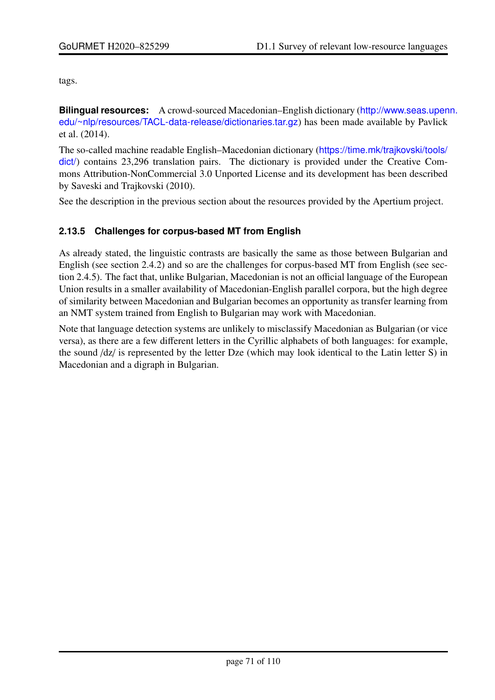tags.

**Bilingual resources:** A crowd-sourced Macedonian–English dictionary ([http://www.seas.upen](http://www.seas.upenn.edu/~nlp/resources/TACL-data-release/dictionaries.tar.gz)n. [edu/~nlp/resources/TACL-data-release/dictionaries.tar.gz](http://www.seas.upenn.edu/~nlp/resources/TACL-data-release/dictionaries.tar.gz)) has been made available by [Pavlick](#page-107-0) [et al.](#page-107-0) [\(2014\)](#page-107-0).

The so-called machine readable English–Macedonian dictionary ([https://time.mk/trajkovski/tools/](https://time.mk/trajkovski/tools/dict/) [dict/](https://time.mk/trajkovski/tools/dict/)) contains 23,296 translation pairs. The dictionary is provided under the Creative Commons Attribution-NonCommercial 3.0 Unported License and its development has been described by [Saveski and Trajkovski](#page-107-5) [\(2010\)](#page-107-5).

See the description in the previous section about the resources provided by the Apertium project.

# **2.13.5 Challenges for corpus-based MT from English**

As already stated, the linguistic contrasts are basically the same as those between Bulgarian and English (see section [2.4.2\)](#page-23-1) and so are the challenges for corpus-based MT from English (see section [2.4.5\)](#page-28-0). The fact that, unlike Bulgarian, Macedonian is not an official language of the European Union results in a smaller availability of Macedonian-English parallel corpora, but the high degree of similarity between Macedonian and Bulgarian becomes an opportunity as transfer learning from an NMT system trained from English to Bulgarian may work with Macedonian.

Note that language detection systems are unlikely to misclassify Macedonian as Bulgarian (or vice versa), as there are a few different letters in the Cyrillic alphabets of both languages: for example, the sound /dz/ is represented by the letter Dze (which may look identical to the Latin letter S) in Macedonian and a digraph in Bulgarian.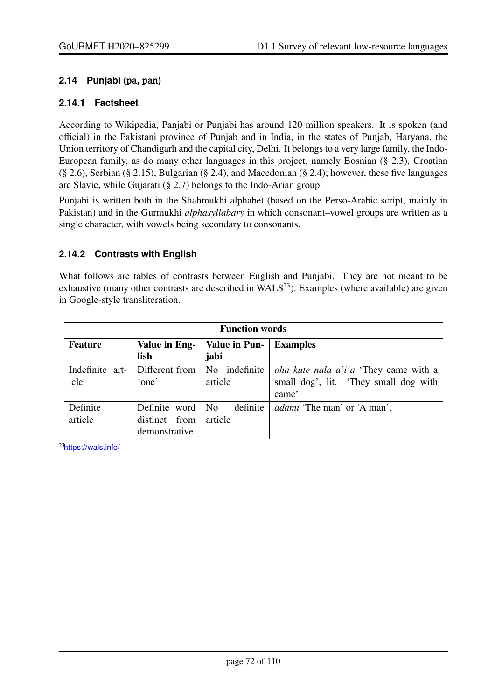# <span id="page-71-0"></span>**2.14 Punjabi (**pa**,** pan**)**

#### **2.14.1 Factsheet**

According to Wikipedia, Panjabi or Punjabi has around 120 million speakers. It is spoken (and official) in the Pakistani province of Punjab and in India, in the states of Punjab, Haryana, the Union territory of Chandigarh and the capital city, Delhi. It belongs to a very large family, the Indo-European family, as do many other languages in this project, namely Bosnian (§ [2.3\)](#page-21-0), Croatian (§ [2.6\)](#page-34-0), Serbian (§ [2.15\)](#page-76-0), Bulgarian (§ [2.4\)](#page-23-0), and Macedonian (§ [2.4\)](#page-23-0); however, these five languages are Slavic, while Gujarati (§ [2.7\)](#page-39-0) belongs to the Indo-Arian group.

Punjabi is written both in the Shahmukhi alphabet (based on the Perso-Arabic script, mainly in Pakistan) and in the Gurmukhi *alphasyllabary* in which consonant–vowel groups are written as a single character, with vowels being secondary to consonants.

### **2.14.2 Contrasts with English**

What follows are tables of contrasts between English and Punjabi. They are not meant to be exhaustive (many other contrasts are described in  $WALS^{23}$ ). Examples (where available) are given in Google-style transliteration.

| <b>Function words</b>   |                                                 |                                       |                                                                                                |  |  |
|-------------------------|-------------------------------------------------|---------------------------------------|------------------------------------------------------------------------------------------------|--|--|
| <b>Feature</b>          | Value in Eng-<br>lish                           | Value in Pun-<br>jabi                 | <b>Examples</b>                                                                                |  |  |
| Indefinite art-<br>icle | Different from<br>'one'                         | No indefinite<br>article              | <i>oha kute nala a'i'a</i> 'They came with a<br>small dog', lit. 'They small dog with<br>came' |  |  |
| Definite<br>article     | Definite word<br>distinct from<br>demonstrative | definite<br>N <sub>0</sub><br>article | <i>adami</i> 'The man' or 'A man'.                                                             |  |  |

<sup>23</sup><https://wals.info/>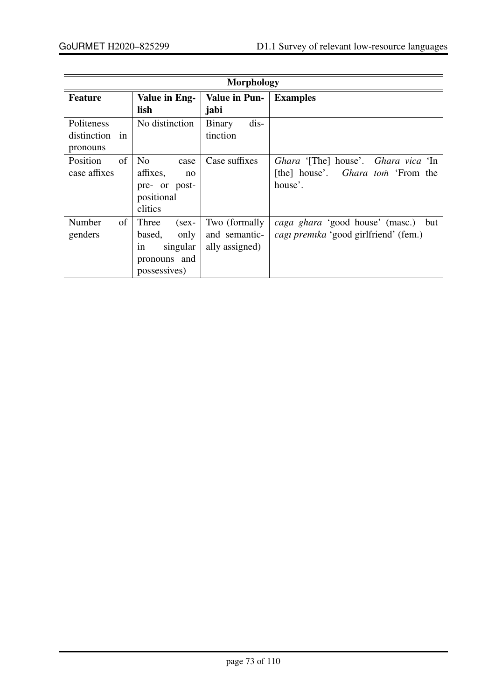| <b>Morphology</b> |                        |                       |                                              |  |  |
|-------------------|------------------------|-----------------------|----------------------------------------------|--|--|
| <b>Feature</b>    | Value in Eng-          | <b>Value in Pun-</b>  | <b>Examples</b>                              |  |  |
|                   | lish                   | jabi                  |                                              |  |  |
| Politeness        | No distinction         | dis-<br><b>Binary</b> |                                              |  |  |
| distinction<br>in |                        | tinction              |                                              |  |  |
| pronouns          |                        |                       |                                              |  |  |
| of<br>Position    | N <sub>0</sub><br>case | Case suffixes         | Ghara '[The] house'. Ghara vica 'In          |  |  |
| case affixes      | affixes,<br>no         |                       | [the] house'. <i>Ghara tom</i> 'From the     |  |  |
|                   | pre- or post-          |                       | house'.                                      |  |  |
|                   | positional             |                       |                                              |  |  |
|                   | clitics                |                       |                                              |  |  |
| of<br>Number      | Three<br>$(sex-$       | Two (formally         | caga ghara 'good house' (masc.) but          |  |  |
| genders           | only<br>based,         | and semantic-         | <i>cagi premika</i> 'good girlfriend' (fem.) |  |  |
|                   | singular<br>1n         | ally assigned)        |                                              |  |  |
|                   | pronouns and           |                       |                                              |  |  |
|                   | possessives)           |                       |                                              |  |  |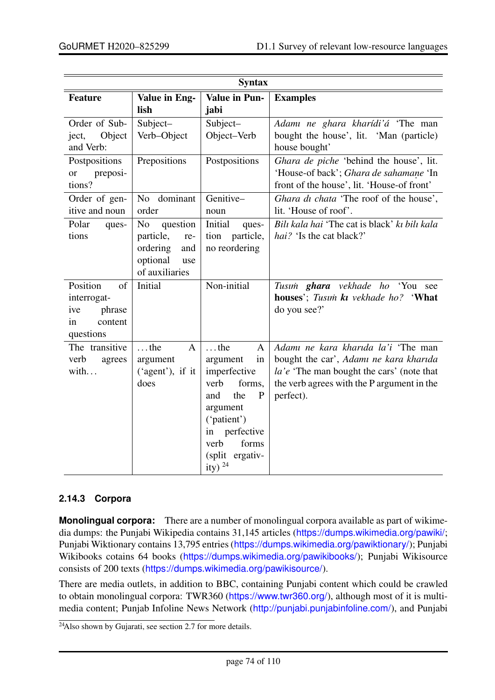| <b>Syntax</b>                                                                |                                                                                                        |                                                                                                                                                                                                                   |                                                                                                                                                                                       |  |  |
|------------------------------------------------------------------------------|--------------------------------------------------------------------------------------------------------|-------------------------------------------------------------------------------------------------------------------------------------------------------------------------------------------------------------------|---------------------------------------------------------------------------------------------------------------------------------------------------------------------------------------|--|--|
| <b>Feature</b>                                                               | Value in Eng-<br>lish                                                                                  | <b>Value in Pun-</b><br>jabi                                                                                                                                                                                      | <b>Examples</b>                                                                                                                                                                       |  |  |
| Order of Sub-<br>Object<br>ject,<br>and Verb:                                | Subject-<br>Verb-Object                                                                                | Subject-<br>Object-Verb                                                                                                                                                                                           | Adamı ne ghara kharídi'á 'The man<br>bought the house', lit. 'Man (particle)<br>house bought'                                                                                         |  |  |
| Postpositions<br>preposi-<br>or<br>tions?                                    | Prepositions                                                                                           | Postpositions                                                                                                                                                                                                     | Ghara de piche 'behind the house', lit.<br>'House-of back'; Ghara de sahamane 'In<br>front of the house', lit. 'House-of front'                                                       |  |  |
| Order of gen-<br>itive and noun                                              | No dominant<br>order                                                                                   | Genitive-<br>noun                                                                                                                                                                                                 | Ghara di chata 'The roof of the house',<br>lit. 'House of roof'.                                                                                                                      |  |  |
| Polar<br>ques-<br>tions                                                      | question<br>N <sub>o</sub><br>particle,<br>re-<br>ordering<br>and<br>optional<br>use<br>of auxiliaries | Initial<br>ques-<br>particle,<br>tion<br>no reordering                                                                                                                                                            | Bilı kala hai 'The cat is black' kı bilı kala<br>hai? 'Is the cat black?'                                                                                                             |  |  |
| Position<br>of<br>interrogat-<br>phrase<br>ive<br>content<br>in<br>questions | Initial                                                                                                | Non-initial                                                                                                                                                                                                       | Tusin ghara vekhade ho 'You see<br>houses'; Tusin ki vekhade ho? 'What<br>do you see?'                                                                                                |  |  |
| The transitive<br>verb<br>agrees<br>with                                     | $\dots$ the<br>A<br>argument<br>$({}^{\prime}$ agent'), if it<br>does                                  | $\dots$ the<br>$\mathbf{A}$<br>in<br>argument<br>imperfective<br>verb<br>forms,<br>the<br>and<br>$\mathbf{P}$<br>argument<br>('patient')<br>perfective<br>in<br>forms<br>verb<br>ergativ-<br>(split)<br>ity) $24$ | Adamı ne kara kharıda la'i 'The man<br>bought the car', Adamı ne kara kharıda<br>la'e 'The man bought the cars' (note that<br>the verb agrees with the P argument in the<br>perfect). |  |  |

#### **2.14.3 Corpora**

**Monolingual corpora:** There are a number of monolingual corpora available as part of wikimedia dumps: the Punjabi Wikipedia contains 31,145 articles (<https://dumps.wikimedia.org/pawiki/>; Punjabi Wiktionary contains 13,795 entries (<https://dumps.wikimedia.org/pawiktionary/>); Punjabi Wikibooks cotains 64 books (<https://dumps.wikimedia.org/pawikibooks/>); Punjabi Wikisource consists of 200 texts (<https://dumps.wikimedia.org/pawikisource/>).

There are media outlets, in addition to BBC, containing Punjabi content which could be crawled to obtain monolingual corpora: TWR360 (<https://www.twr360.org/>), although most of it is multimedia content; Punjab Infoline News Network (<http://punjabi.punjabinfoline.com/>), and Punjabi

 $\frac{24}{4}$ Also shown by Gujarati, see section [2.7](#page-39-0) for more details.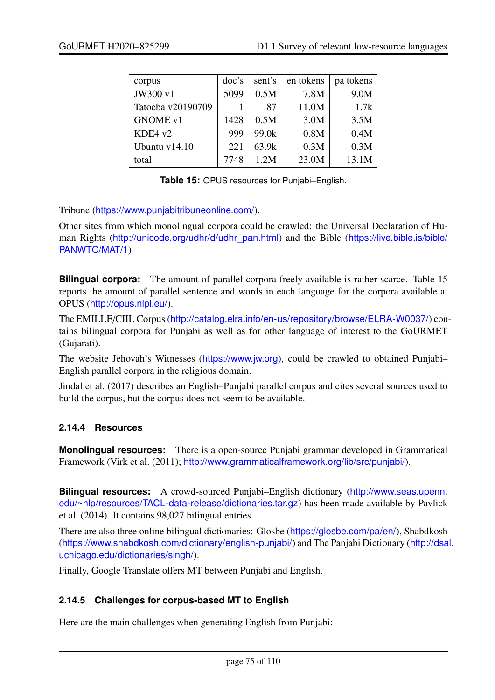<span id="page-74-0"></span>

| corpus            | doc's | sent's | en tokens | pa tokens |
|-------------------|-------|--------|-----------|-----------|
| JW300 v1          | 5099  | 0.5M   | 7.8M      | 9.0M      |
| Tatoeba v20190709 |       | 87     | 11.0M     | 1.7k      |
| <b>GNOME</b> v1   | 1428  | 0.5M   | 3.0M      | 3.5M      |
| KDE4v2            | 999   | 99.0k  | 0.8M      | 0.4M      |
| Ubuntu $v14.10$   | 221   | 63.9k  | 0.3M      | 0.3M      |
| total             | 7748  | 1.2M   | 23.0M     | 13.1M     |

|  |  |  |  | Table 15: OPUS resources for Punjabi-English. |
|--|--|--|--|-----------------------------------------------|
|--|--|--|--|-----------------------------------------------|

Tribune (<https://www.punjabitribuneonline.com/>).

Other sites from which monolingual corpora could be crawled: the Universal Declaration of Human Rights ([http://unicode.org/udhr/d/udhr\\_pan.html](http://unicode.org/udhr/d/udhr_pan.html)) and the Bible ([https://live.bible.is/bible/](https://live.bible.is/bible/PANWTC/MAT/1) [PANWTC/MAT/1](https://live.bible.is/bible/PANWTC/MAT/1))

**Bilingual corpora:** The amount of parallel corpora freely available is rather scarce. Table [15](#page-74-0) reports the amount of parallel sentence and words in each language for the corpora available at OPUS (<http://opus.nlpl.eu/>).

The EMILLE/CIIL Corpus (<http://catalog.elra.info/en-us/repository/browse/ELRA-W0037/>) contains bilingual corpora for Punjabi as well as for other language of interest to the GoURMET (Gujarati).

The website Jehovah's Witnesses (<https://www.jw.org>), could be crawled to obtained Punjabi– English parallel corpora in the religious domain.

[Jindal et al.](#page-106-0) [\(2017\)](#page-106-0) describes an English–Punjabi parallel corpus and cites several sources used to build the corpus, but the corpus does not seem to be available.

#### **2.14.4 Resources**

**Monolingual resources:** There is a open-source Punjabi grammar developed in Grammatical Framework [\(Virk et al.](#page-108-0) [\(2011\)](#page-108-0); <http://www.grammaticalframework.org/lib/src/punjabi/>).

**Bilingual resources:** A crowd-sourced Punjabi–English dictionary ([http://www.seas.upenn.](http://www.seas.upenn.edu/~nlp/resources/TACL-data-release/dictionaries.tar.gz) [edu/~nlp/resources/TACL-data-release/dictionaries.tar.gz](http://www.seas.upenn.edu/~nlp/resources/TACL-data-release/dictionaries.tar.gz)) has been made available by [Pavlick](#page-107-0) [et al.](#page-107-0) [\(2014\)](#page-107-0). It contains 98,027 bilingual entries.

There are also three online bilingual dictionaries: Glosbe (<https://glosbe.com/pa/en/>), Shabdkosh (<https://www.shabdkosh.com/dictionary/english-punjabi/>) and The Panjabi Dictionary ([http://dsa](http://dsal.uchicago.edu/dictionaries/singh/)l. [uchicago.edu/dictionaries/singh/](http://dsal.uchicago.edu/dictionaries/singh/)).

Finally, Google Translate offers MT between Punjabi and English.

#### **2.14.5 Challenges for corpus-based MT to English**

Here are the main challenges when generating English from Punjabi: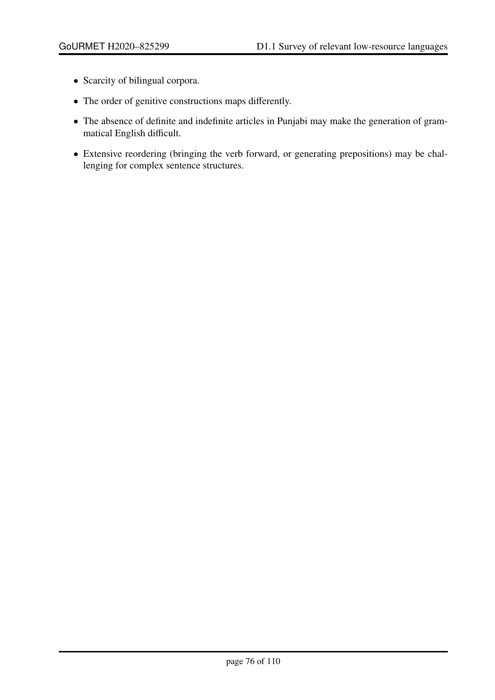- Scarcity of bilingual corpora.
- The order of genitive constructions maps differently.
- The absence of definite and indefinite articles in Punjabi may make the generation of grammatical English difficult.
- Extensive reordering (bringing the verb forward, or generating prepositions) may be challenging for complex sentence structures.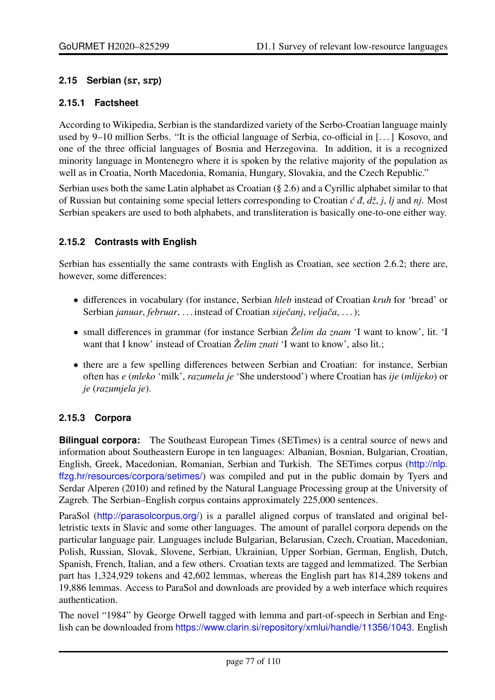# **2.15 Serbian (**sr**,** srp**)**

## **2.15.1 Factsheet**

According to Wikipedia, Serbian is the standardized variety of the Serbo-Croatian language mainly used by 9–10 million Serbs. "It is the official language of Serbia, co-official in [. . . ] Kosovo, and one of the three official languages of Bosnia and Herzegovina. In addition, it is a recognized minority language in Montenegro where it is spoken by the relative majority of the population as well as in Croatia, North Macedonia, Romania, Hungary, Slovakia, and the Czech Republic."

Serbian uses both the same Latin alphabet as Croatian (§ [2.6\)](#page-34-0) and a Cyrillic alphabet similar to that of Russian but containing some special letters corresponding to Croatian  $\acute{c}$   $\acute{d}$ ,  $\acute{d}z$ ,  $\acute{j}$ ,  $\acute{l}j$  and  $nj$ . Most Serbian speakers are used to both alphabets, and transliteration is basically one-to-one either way.

# **2.15.2 Contrasts with English**

Serbian has essentially the same contrasts with English as Croatian, see section [2.6.2;](#page-34-1) there are, however, some differences:

- differences in vocabulary (for instance, Serbian *hleb* instead of Croatian *kruh* for 'bread' or Serbian *januar*, *februar*, . . . instead of Croatian *sijeˇcanj*, *veljaˇca*, . . . );
- small differences in grammar (for instance Serbian *Želim da znam* 'I want to know', lit. 'I want that I know' instead of Croatian *Želim znati* 'I want to know', also lit.;
- there are a few spelling differences between Serbian and Croatian: for instance, Serbian often has *e* (*mleko* 'milk', *razumela je* 'She understood') where Croatian has *ije* (*mlijeko*) or *je* (*razumjela je*).

# **2.15.3 Corpora**

**Bilingual corpora:** The Southeast European Times (SETimes) is a central source of news and information about Southeastern Europe in ten languages: Albanian, Bosnian, Bulgarian, Croatian, English, Greek, Macedonian, Romanian, Serbian and Turkish. The SETimes corpus ([http://nlp.](http://nlp.ffzg.hr/resources/corpora/setimes/) [ffzg.hr/resources/corpora/setimes/](http://nlp.ffzg.hr/resources/corpora/setimes/)) was compiled and put in the public domain by [Tyers and](#page-108-1) [Serdar Alperen](#page-108-1) [\(2010\)](#page-108-1) and refined by the Natural Language Processing group at the University of Zagreb. The Serbian–English corpus contains approximately 225,000 sentences.

ParaSol (<http://parasolcorpus.org/>) is a parallel aligned corpus of translated and original belletristic texts in Slavic and some other languages. The amount of parallel corpora depends on the particular language pair. Languages include Bulgarian, Belarusian, Czech, Croatian, Macedonian, Polish, Russian, Slovak, Slovene, Serbian, Ukrainian, Upper Sorbian, German, English, Dutch, Spanish, French, Italian, and a few others. Croatian texts are tagged and lemmatized. The Serbian part has 1,324,929 tokens and 42,602 lemmas, whereas the English part has 814,289 tokens and 19,886 lemmas. Access to ParaSol and downloads are provided by a web interface which requires authentication.

The novel "1984" by George Orwell tagged with lemma and part-of-speech in Serbian and English can be downloaded from <https://www.clarin.si/repository/xmlui/handle/11356/1043>. English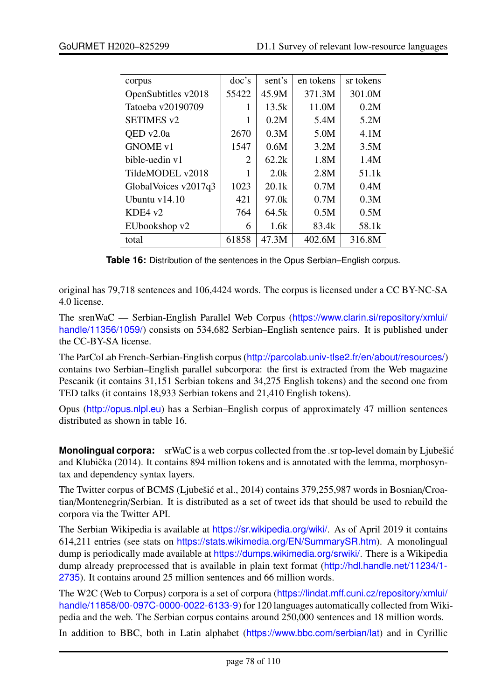<span id="page-77-0"></span>

| corpus               | doc's | sent's | en tokens | sr tokens |
|----------------------|-------|--------|-----------|-----------|
| OpenSubtitles v2018  | 55422 | 45.9M  | 371.3M    | 301.0M    |
| Tatoeba v20190709    | 1     | 13.5k  | 11.0M     | 0.2M      |
| <b>SETIMES</b> v2    | 1     | 0.2M   | 5.4M      | 5.2M      |
| QED v2.0a            | 2670  | 0.3M   | 5.0M      | 4.1M      |
| <b>GNOME</b> v1      | 1547  | 0.6M   | 3.2M      | 3.5M      |
| bible-uedin v1       | 2     | 62.2k  | 1.8M      | 1.4M      |
| TildeMODEL v2018     | 1     | 2.0k   | 2.8M      | 51.1k     |
| GlobalVoices v2017q3 | 1023  | 20.1k  | 0.7M      | 0.4M      |
| Ubuntu $v14.10$      | 421   | 97.0k  | 0.7M      | 0.3M      |
| KDE4 v2              | 764   | 64.5k  | 0.5M      | 0.5M      |
| EUbookshop v2        | 6     | 1.6k   | 83.4k     | 58.1k     |
| total                | 61858 | 47.3M  | 402.6M    | 316.8M    |

**Table 16:** Distribution of the sentences in the Opus Serbian–English corpus.

original has 79,718 sentences and 106,4424 words. The corpus is licensed under a CC BY-NC-SA 4.0 license.

The srenWaC — Serbian-English Parallel Web Corpus ([https://www.clarin.si/repository/xmlui/](https://www.clarin.si/repository/xmlui/handle/11356/1059/) [handle/11356/1059/](https://www.clarin.si/repository/xmlui/handle/11356/1059/)) consists on 534,682 Serbian–English sentence pairs. It is published under the CC-BY-SA license.

The ParCoLab French-Serbian-English corpus (<http://parcolab.univ-tlse2.fr/en/about/resources/>) contains two Serbian–English parallel subcorpora: the first is extracted from the Web magazine Pescanik (it contains 31,151 Serbian tokens and 34,275 English tokens) and the second one from TED talks (it contains 18,933 Serbian tokens and 21,410 English tokens).

Opus (<http://opus.nlpl.eu>) has a Serbian–English corpus of approximately 47 million sentences distributed as shown in table [16.](#page-77-0)

**Monolingual corpora:** srWaC is a web corpus collected from the .sr top-level domain by [Ljubeši](#page-106-1)c´ and Klubička [\(2014\)](#page-106-1). It contains 894 million tokens and is annotated with the lemma, morphosyntax and dependency syntax layers.

The Twitter corpus of BCMS (Ljubešić et al., [2014\)](#page-106-2) contains 379,255,987 words in Bosnian/Croatian/Montenegrin/Serbian. It is distributed as a set of tweet ids that should be used to rebuild the corpora via the Twitter API.

The Serbian Wikipedia is available at <https://sr.wikipedia.org/wiki/>. As of April 2019 it contains 614,211 entries (see stats on <https://stats.wikimedia.org/EN/SummarySR.htm>). A monolingual dump is periodically made available at <https://dumps.wikimedia.org/srwiki/>. There is a Wikipedia dump already preprocessed that is available in plain text format ([http://hdl.handle.net/11234/1-](http://hdl.handle.net/11234/1-2735) [2735](http://hdl.handle.net/11234/1-2735)). It contains around 25 million sentences and 66 million words.

The W2C (Web to Corpus) corpora is a set of corpora ([https://lindat.mff.cuni.cz/repository/xmlui/](https://lindat.mff.cuni.cz/repository/xmlui/handle/11858/00-097C-0000-0022-6133-9) [handle/11858/00-097C-0000-0022-6133-9](https://lindat.mff.cuni.cz/repository/xmlui/handle/11858/00-097C-0000-0022-6133-9)) for 120 languages automatically collected from Wikipedia and the web. The Serbian corpus contains around 250,000 sentences and 18 million words.

In addition to BBC, both in Latin alphabet (<https://www.bbc.com/serbian/lat>) and in Cyrillic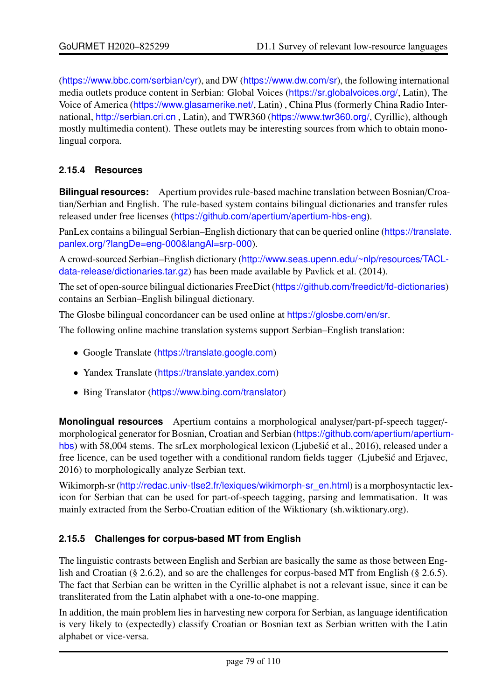(<https://www.bbc.com/serbian/cyr>), and DW (<https://www.dw.com/sr>), the following international media outlets produce content in Serbian: Global Voices (<https://sr.globalvoices.org/>, Latin), The Voice of America (<https://www.glasamerike.net/>, Latin) , China Plus (formerly China Radio International, <http://serbian.cri.cn> , Latin), and TWR360 (<https://www.twr360.org/>, Cyrillic), although mostly multimedia content). These outlets may be interesting sources from which to obtain monolingual corpora.

## **2.15.4 Resources**

**Bilingual resources:** Apertium provides rule-based machine translation between Bosnian/Croatian/Serbian and English. The rule-based system contains bilingual dictionaries and transfer rules released under free licenses (<https://github.com/apertium/apertium-hbs-eng>).

PanLex contains a bilingual Serbian–English dictionary that can be queried online ([https://translate](https://translate.panlex.org/?langDe=eng-000&langAl=srp-000). [panlex.org/?langDe=eng-000&langAl=srp-000](https://translate.panlex.org/?langDe=eng-000&langAl=srp-000)).

A crowd-sourced Serbian–English dictionary ([http://www.seas.upenn.edu/~nlp/resources/TACL](http://www.seas.upenn.edu/~nlp/resources/TACL-data-release/dictionaries.tar.gz)[data-release/dictionaries.tar.gz](http://www.seas.upenn.edu/~nlp/resources/TACL-data-release/dictionaries.tar.gz)) has been made available by [Pavlick et al.](#page-107-0) [\(2014\)](#page-107-0).

The set of open-source bilingual dictionaries FreeDict (<https://github.com/freedict/fd-dictionaries>) contains an Serbian–English bilingual dictionary.

The Glosbe bilingual concordancer can be used online at <https://glosbe.com/en/sr>.

The following online machine translation systems support Serbian–English translation:

- Google Translate (<https://translate.google.com>)
- Yandex Translate (<https://translate.yandex.com>)
- Bing Translator (<https://www.bing.com/translator>)

**Monolingual resources** Apertium contains a morphological analyser/part-pf-speech tagger/ morphological generator for Bosnian, Croatian and Serbian ([https://github.com/apertium/apertium](https://github.com/apertium/apertium-hbs)[hbs](https://github.com/apertium/apertium-hbs)) with 58,004 stems. The srLex morphological lexicon (Ljubešić et al., [2016\)](#page-107-1), released under a free licence, can be used together with a conditional random fields tagger (Ljubešić and Erjavec, [2016\)](#page-107-2) to morphologically analyze Serbian text.

Wikimorph-sr ([http://redac.univ-tlse2.fr/lexiques/wikimorph-sr\\_en.html](http://redac.univ-tlse2.fr/lexiques/wikimorph-sr_en.html)) is a morphosyntactic lexicon for Serbian that can be used for part-of-speech tagging, parsing and lemmatisation. It was mainly extracted from the Serbo-Croatian edition of the Wiktionary (sh.wiktionary.org).

#### **2.15.5 Challenges for corpus-based MT from English**

The linguistic contrasts between English and Serbian are basically the same as those between English and Croatian (§ [2.6.2\)](#page-34-1), and so are the challenges for corpus-based MT from English (§ [2.6.5\)](#page-37-0). The fact that Serbian can be written in the Cyrillic alphabet is not a relevant issue, since it can be transliterated from the Latin alphabet with a one-to-one mapping.

In addition, the main problem lies in harvesting new corpora for Serbian, as language identification is very likely to (expectedly) classify Croatian or Bosnian text as Serbian written with the Latin alphabet or vice-versa.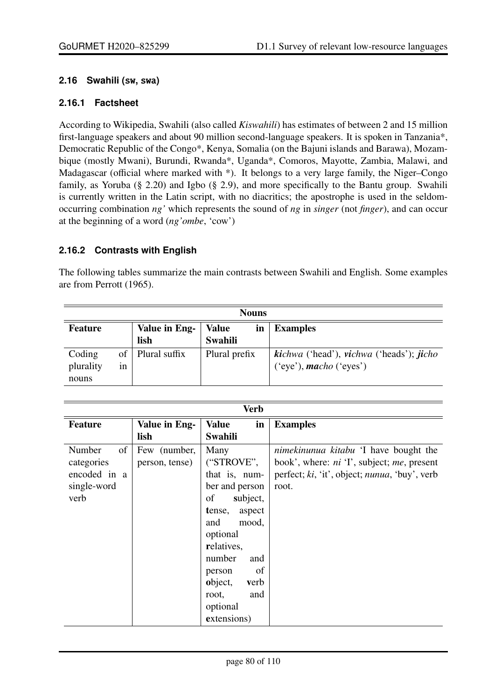## <span id="page-79-0"></span>**2.16 Swahili (**sw**,** swa**)**

#### **2.16.1 Factsheet**

According to Wikipedia, Swahili (also called *Kiswahili*) has estimates of between 2 and 15 million first-language speakers and about 90 million second-language speakers. It is spoken in Tanzania\*, Democratic Republic of the Congo\*, Kenya, Somalia (on the Bajuni islands and Barawa), Mozambique (mostly Mwani), Burundi, Rwanda\*, Uganda\*, Comoros, Mayotte, Zambia, Malawi, and Madagascar (official where marked with \*). It belongs to a very large family, the Niger–Congo family, as Yoruba (§ [2.20\)](#page-98-0) and Igbo (§ [2.9\)](#page-49-0), and more specifically to the Bantu group. Swahili is currently written in the Latin script, with no diacritics; the apostrophe is used in the seldomoccurring combination *ng'* which represents the sound of *ng* in *singer* (not *finger*), and can occur at the beginning of a word (*ng'ombe*, 'cow')

## **2.16.2 Contrasts with English**

The following tables summarize the main contrasts between Swahili and English. Some examples are from [Perrott](#page-107-3) [\(1965\)](#page-107-3).

| <b>Nouns</b>   |    |               |                    |                                                               |
|----------------|----|---------------|--------------------|---------------------------------------------------------------|
| <b>Feature</b> |    | Value in Eng- | <b>Value</b><br>in | <b>Examples</b>                                               |
|                |    | lish          | Swahili            |                                                               |
| Coding         | of | Plural suffix | Plural prefix      | <i>kichwa</i> ('head'), <i>vichwa</i> ('heads'); <i>jicho</i> |
| plurality      | 1n |               |                    | ('eye'), <i>macho</i> ('eyes')                                |
| nouns          |    |               |                    |                                                               |

| <b>Verb</b>    |                |                         |                                                           |  |  |  |
|----------------|----------------|-------------------------|-----------------------------------------------------------|--|--|--|
| <b>Feature</b> | Value in Eng-  | <b>Value</b><br>in      | <b>Examples</b>                                           |  |  |  |
|                | lish           | <b>Swahili</b>          |                                                           |  |  |  |
| Number<br>of   | Few (number,   | Many                    | <i>nimekinunua kitabu</i> 'I have bought the              |  |  |  |
| categories     | person, tense) | ("STROVE",              | book', where: <i>ni</i> 'I', subject; <i>me</i> , present |  |  |  |
| encoded in a   |                | that is, num-           | perfect; ki, 'it', object; nunua, 'buy', verb             |  |  |  |
| single-word    |                | ber and person          | root.                                                     |  |  |  |
| verb           |                | of<br>subject,          |                                                           |  |  |  |
|                |                | aspect<br>tense,        |                                                           |  |  |  |
|                |                | and<br>mood,            |                                                           |  |  |  |
|                |                | optional                |                                                           |  |  |  |
|                |                | relatives,              |                                                           |  |  |  |
|                |                | number<br>and           |                                                           |  |  |  |
|                |                | of<br>person            |                                                           |  |  |  |
|                |                | object,<br><b>v</b> erb |                                                           |  |  |  |
|                |                | and<br>root,            |                                                           |  |  |  |
|                |                | optional                |                                                           |  |  |  |
|                |                | extensions)             |                                                           |  |  |  |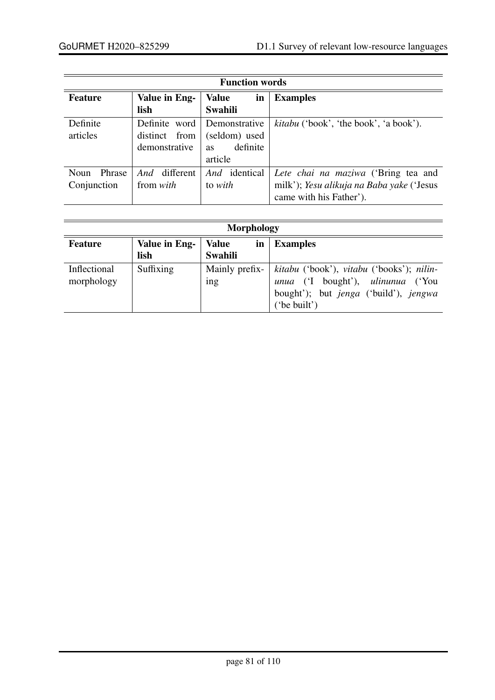| <b>Function words</b> |                  |                       |                                               |  |
|-----------------------|------------------|-----------------------|-----------------------------------------------|--|
| <b>Feature</b>        | Value in Eng-    | in<br><b>Value</b>    | <b>Examples</b>                               |  |
|                       | lish             | Swahili               |                                               |  |
| Definite              | Definite word    | Demonstrative         | <i>kitabu</i> ('book', 'the book', 'a book'). |  |
| articles              | distinct from    | (seldom) used         |                                               |  |
|                       | demonstrative    | definite<br><b>as</b> |                                               |  |
|                       |                  | article               |                                               |  |
| Phrase<br>Noun        | different<br>And | And identical         | Lete chai na maziwa ('Bring tea and           |  |
| Conjunction           | from <i>with</i> | to <i>with</i>        | milk'); Yesu alikuja na Baba yake ('Jesus     |  |
|                       |                  |                       | came with his Father').                       |  |

| <b>Morphology</b>          |                                     |                       |                                                                                                                                                       |  |
|----------------------------|-------------------------------------|-----------------------|-------------------------------------------------------------------------------------------------------------------------------------------------------|--|
| Feature                    | Value in Eng-<br><b>Value</b><br>in |                       | <b>Examples</b>                                                                                                                                       |  |
|                            | lish                                | Swahili               |                                                                                                                                                       |  |
| Inflectional<br>morphology | Suffixing                           | Mainly prefix-<br>ing | kitabu ('book'), vitabu ('books'); nilin-<br><i>unua</i> ('I bought'), <i>ulinunua</i> ('You<br>bought'); but jenga ('build'), jengwa<br>('be built') |  |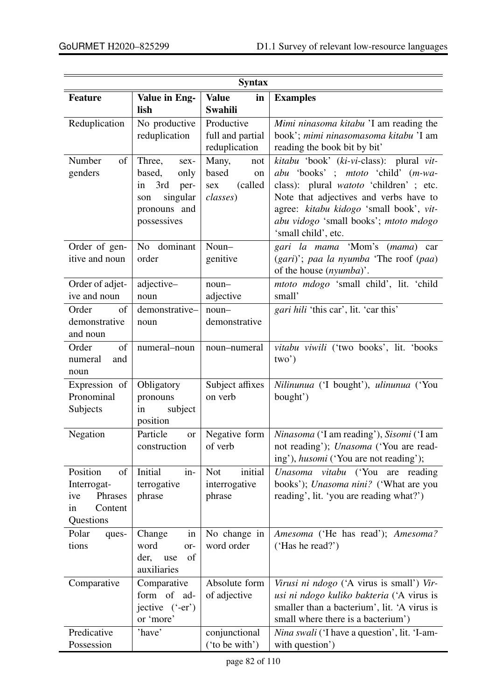| <b>Syntax</b>                                                                 |                                                                                                         |                                                           |                                                                                                                                                                                                                                                                                      |  |  |
|-------------------------------------------------------------------------------|---------------------------------------------------------------------------------------------------------|-----------------------------------------------------------|--------------------------------------------------------------------------------------------------------------------------------------------------------------------------------------------------------------------------------------------------------------------------------------|--|--|
| <b>Feature</b>                                                                | Value in Eng-<br>lish                                                                                   | <b>Value</b><br>in<br><b>Swahili</b>                      | <b>Examples</b>                                                                                                                                                                                                                                                                      |  |  |
| Reduplication                                                                 | No productive<br>reduplication                                                                          | Productive<br>full and partial<br>reduplication           | Mimi ninasoma kitabu 'I am reading the<br>book'; mimi ninasomasoma kitabu 'I am<br>reading the book bit by bit'                                                                                                                                                                      |  |  |
| Number<br>of<br>genders                                                       | Three,<br>sex-<br>based,<br>only<br>3rd<br>per-<br>in<br>singular<br>son<br>pronouns and<br>possessives | Many,<br>not<br>based<br>on<br>(called<br>sex<br>classes) | kitabu 'book' (ki-vi-class): plural vit-<br>abu 'books'; mtoto 'child' (m-wa-<br>class): plural <i>watoto</i> 'children' ; etc.<br>Note that adjectives and verbs have to<br>agree: kitabu kidogo 'small book', vit-<br>abu vidogo 'small books'; mtoto mdogo<br>'small child', etc. |  |  |
| Order of gen-<br>itive and noun                                               | No dominant<br>order                                                                                    | Noun-<br>genitive                                         | gari la mama 'Mom's (mama) car<br>(gari)'; paa la nyumba 'The roof (paa)<br>of the house ( <i>nyumba</i> )'.                                                                                                                                                                         |  |  |
| Order of adjet-<br>ive and noun                                               | adjective-<br>noun                                                                                      | noun-<br>adjective                                        | mtoto mdogo 'small child', lit. 'child<br>small'                                                                                                                                                                                                                                     |  |  |
| Order<br>of<br>demonstrative<br>and noun                                      | demonstrative-<br>noun                                                                                  | noun-<br>demonstrative                                    | <i>gari hili</i> 'this car', lit. 'car this'                                                                                                                                                                                                                                         |  |  |
| Order<br>of<br>numeral<br>and<br>noun                                         | numeral-noun                                                                                            | noun-numeral                                              | vitabu viwili ('two books', lit. 'books<br>$two$ )                                                                                                                                                                                                                                   |  |  |
| Expression of<br>Pronominal<br>Subjects                                       | Obligatory<br>pronouns<br>subject<br>in<br>position                                                     | Subject affixes<br>on verb                                | Nilinunua ('I bought'), ulinunua ('You<br>bought')                                                                                                                                                                                                                                   |  |  |
| Negation                                                                      | Particle<br>or<br>construction                                                                          | Negative form<br>of verb                                  | Ninasoma ('I am reading'), Sisomi ('I am<br>not reading'); Unasoma ('You are read-<br>ing'), husomi ('You are not reading');                                                                                                                                                         |  |  |
| Position<br>of<br>Interrogat-<br>Phrases<br>ive<br>Content<br>in<br>Questions | Initial<br>in-<br>terrogative<br>phrase                                                                 | initial<br><b>Not</b><br>interrogative<br>phrase          | Unasoma vitabu ('You are reading<br>books'); <i>Unasoma nini?</i> ('What are you<br>reading', lit. 'you are reading what?')                                                                                                                                                          |  |  |
| Polar<br>ques-<br>tions                                                       | Change<br>in<br>word<br>or-<br>der,<br>of<br>use<br>auxiliaries                                         | No change in<br>word order                                | Amesoma ('He has read'); Amesoma?<br>('Has he read?')                                                                                                                                                                                                                                |  |  |
| Comparative                                                                   | Comparative<br>form of ad-<br>jective ('-er')<br>or 'more'                                              | Absolute form<br>of adjective                             | Virusi ni ndogo ('A virus is small') Vir-<br>usi ni ndogo kuliko bakteria ('A virus is<br>smaller than a bacterium', lit. 'A virus is<br>small where there is a bacterium')                                                                                                          |  |  |
| Predicative<br>Possession                                                     | 'have'                                                                                                  | conjunctional<br>('to be with')                           | <i>Nina swali</i> ('I have a question', lit. 'I-am-<br>with question')                                                                                                                                                                                                               |  |  |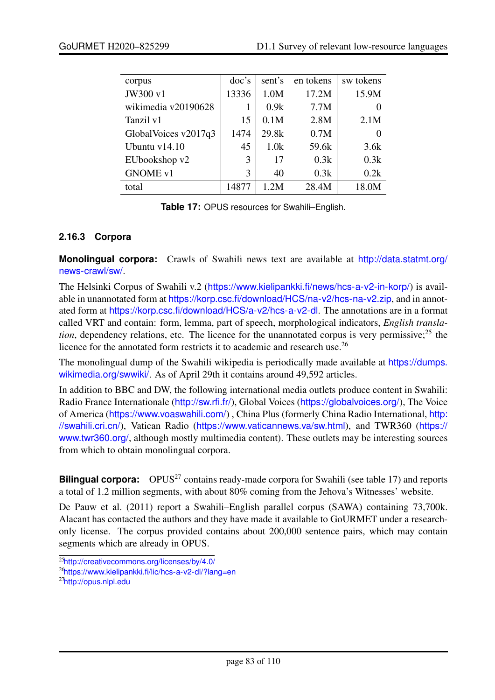<span id="page-82-0"></span>

| doc's | sent's | en tokens | sw tokens |
|-------|--------|-----------|-----------|
| 13336 | 1.0M   | 17.2M     | 15.9M     |
|       | 0.9k   | 7.7M      | $\theta$  |
| 15    | 0.1M   | 2.8M      | 2.1M      |
| 1474  | 29.8k  | 0.7M      | $\Omega$  |
| 45    | 1.0k   | 59.6k     | 3.6k      |
| 3     | 17     | 0.3k      | 0.3k      |
| 3     | 40     | 0.3k      | 0.2k      |
| 14877 | 1.2M   | 28.4M     | 18.0M     |
|       |        |           |           |

**Table 17:** OPUS resources for Swahili–English.

## **2.16.3 Corpora**

**Monolingual corpora:** Crawls of Swahili news text are available at [http://data.statmt.org/](http://data.statmt.org/news-crawl/sw/) [news-crawl/sw/](http://data.statmt.org/news-crawl/sw/).

The Helsinki Corpus of Swahili v.2 (<https://www.kielipankki.fi/news/hcs-a-v2-in-korp/>) is available in unannotated form at <https://korp.csc.fi/download/HCS/na-v2/hcs-na-v2.zip>, and in annotated form at <https://korp.csc.fi/download/HCS/a-v2/hcs-a-v2-dl>. The annotations are in a format called VRT and contain: form, lemma, part of speech, morphological indicators, *English translation*, dependency relations, etc. The licence for the unannotated corpus is very permissive;  $25$  the licence for the annotated form restricts it to academic and research use.<sup>26</sup>

The monolingual dump of the Swahili wikipedia is periodically made available at [https://dumps.](https://dumps.wikimedia.org/swwiki/) [wikimedia.org/swwiki/](https://dumps.wikimedia.org/swwiki/). As of April 29th it contains around 49,592 articles.

In addition to BBC and DW, the following international media outlets produce content in Swahili: Radio France Internationale (<http://sw.rfi.fr/>), Global Voices (<https://globalvoices.org/>), The Voice of America (<https://www.voaswahili.com/>), China Plus (formerly China Radio International, [http:](http://swahili.cri.cn/) [//swahili.cri.cn/](http://swahili.cri.cn/)), Vatican Radio (<https://www.vaticannews.va/sw.html>), and TWR360 ([https://](https://www.twr360.org/) [www.twr360.org/](https://www.twr360.org/), although mostly multimedia content). These outlets may be interesting sources from which to obtain monolingual corpora.

**Bilingual corpora:** OPUS<sup>27</sup> contains ready-made corpora for Swahili (see table [17\)](#page-82-0) and reports a total of 1.2 million segments, with about 80% coming from the Jehova's Witnesses' website.

[De Pauw et al.](#page-105-0) [\(2011\)](#page-105-0) report a Swahili–English parallel corpus (SAWA) containing 73,700k. Alacant has contacted the authors and they have made it available to GoURMET under a researchonly license. The corpus provided contains about 200,000 sentence pairs, which may contain segments which are already in OPUS.

<sup>27</sup><http://opus.nlpl.edu>

<sup>25</sup><http://creativecommons.org/licenses/by/4.0/>

<sup>26</sup><https://www.kielipankki.fi/lic/hcs-a-v2-dl/?lang=en>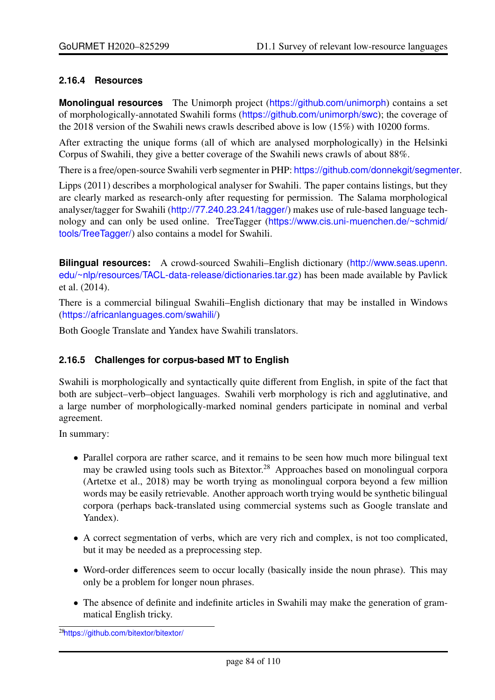## **2.16.4 Resources**

**Monolingual resources** The Unimorph project (<https://github.com/unimorph>) contains a set of morphologically-annotated Swahili forms (<https://github.com/unimorph/swc>); the coverage of the 2018 version of the Swahili news crawls described above is low (15%) with 10200 forms.

After extracting the unique forms (all of which are analysed morphologically) in the Helsinki Corpus of Swahili, they give a better coverage of the Swahili news crawls of about 88%.

There is a free/open-source Swahili verb segmenter in PHP: <https://github.com/donnekgit/segmenter>.

[Lipps](#page-106-3) [\(2011\)](#page-106-3) describes a morphological analyser for Swahili. The paper contains listings, but they are clearly marked as research-only after requesting for permission. The Salama morphological analyser/tagger for Swahili (<http://77.240.23.241/tagger/>) makes use of rule-based language technology and can only be used online. TreeTagger ([https://www.cis.uni-muenchen.de/~schmid/](https://www.cis.uni-muenchen.de/~schmid/tools/TreeTagger/) [tools/TreeTagger/](https://www.cis.uni-muenchen.de/~schmid/tools/TreeTagger/)) also contains a model for Swahili.

**Bilingual resources:** A crowd-sourced Swahili–English dictionary ([http://www.seas.upenn.](http://www.seas.upenn.edu/~nlp/resources/TACL-data-release/dictionaries.tar.gz) [edu/~nlp/resources/TACL-data-release/dictionaries.tar.gz](http://www.seas.upenn.edu/~nlp/resources/TACL-data-release/dictionaries.tar.gz)) has been made available by [Pavlick](#page-107-0) [et al.](#page-107-0) [\(2014\)](#page-107-0).

There is a commercial bilingual Swahili–English dictionary that may be installed in Windows (<https://africanlanguages.com/swahili/>)

Both Google Translate and Yandex have Swahili translators.

#### **2.16.5 Challenges for corpus-based MT to English**

Swahili is morphologically and syntactically quite different from English, in spite of the fact that both are subject–verb–object languages. Swahili verb morphology is rich and agglutinative, and a large number of morphologically-marked nominal genders participate in nominal and verbal agreement.

In summary:

- Parallel corpora are rather scarce, and it remains to be seen how much more bilingual text may be crawled using tools such as Bitextor.<sup>28</sup> Approaches based on monolingual corpora [\(Artetxe et al.,](#page-105-1) [2018\)](#page-105-1) may be worth trying as monolingual corpora beyond a few million words may be easily retrievable. Another approach worth trying would be synthetic bilingual corpora (perhaps back-translated using commercial systems such as Google translate and Yandex).
- A correct segmentation of verbs, which are very rich and complex, is not too complicated, but it may be needed as a preprocessing step.
- Word-order differences seem to occur locally (basically inside the noun phrase). This may only be a problem for longer noun phrases.
- The absence of definite and indefinite articles in Swahili may make the generation of grammatical English tricky.

<sup>28</sup><https://github.com/bitextor/bitextor/>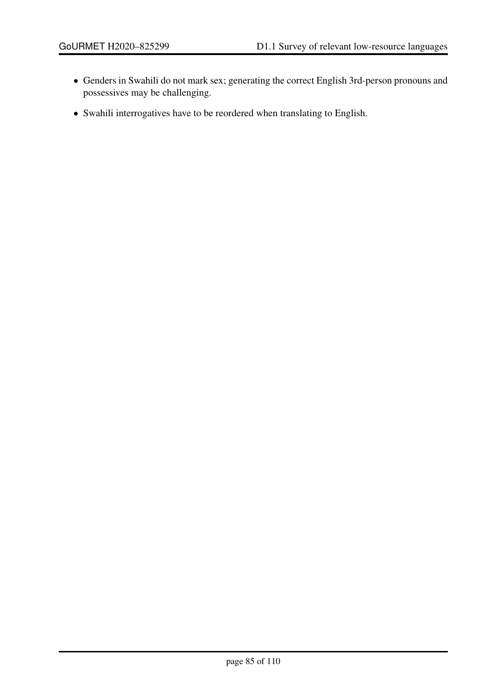- Genders in Swahili do not mark sex; generating the correct English 3rd-person pronouns and possessives may be challenging.
- Swahili interrogatives have to be reordered when translating to English.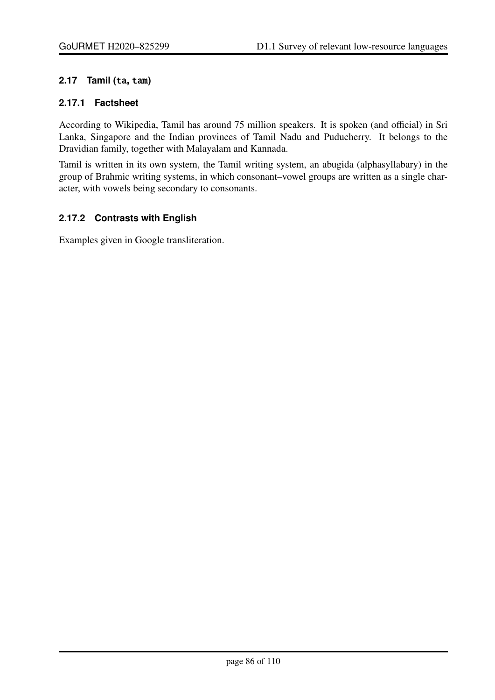## **2.17 Tamil (**ta**,** tam**)**

#### **2.17.1 Factsheet**

According to Wikipedia, Tamil has around 75 million speakers. It is spoken (and official) in Sri Lanka, Singapore and the Indian provinces of Tamil Nadu and Puducherry. It belongs to the Dravidian family, together with Malayalam and Kannada.

Tamil is written in its own system, the Tamil writing system, an abugida (alphasyllabary) in the group of Brahmic writing systems, in which consonant–vowel groups are written as a single character, with vowels being secondary to consonants.

## **2.17.2 Contrasts with English**

Examples given in Google transliteration.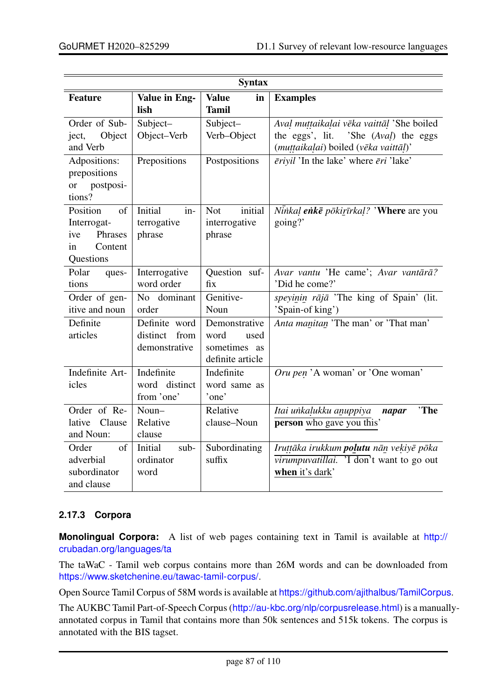| <b>Syntax</b>              |                   |                       |                                                 |  |
|----------------------------|-------------------|-----------------------|-------------------------------------------------|--|
| <b>Feature</b>             | Value in Eng-     | <b>Value</b><br>in    | <b>Examples</b>                                 |  |
|                            | lish              | <b>Tamil</b>          |                                                 |  |
| Order of Sub-              | Subject-          | Subject-              | Aval muttaikalai vēka vaittāl 'She boiled       |  |
| Object<br>ject,            | Object-Verb       | Verb-Object           | the eggs', lit. 'She (Aval) the eggs            |  |
| and Verb                   |                   |                       | (muttaikaļai) boiled (vēka vaittāl)'            |  |
| Adpositions:               | Prepositions      | Postpositions         | ēriyil 'In the lake' where ēri 'lake'           |  |
| prepositions               |                   |                       |                                                 |  |
| postposi-<br><sub>or</sub> |                   |                       |                                                 |  |
| tions?                     |                   |                       |                                                 |  |
| Position<br>of             | Initial<br>in-    | initial<br><b>Not</b> | Ninkal enke pokirirkal? 'Where are you          |  |
| Interrogat-                | terrogative       | interrogative         | going?'                                         |  |
| Phrases<br>ive             | phrase            | phrase                |                                                 |  |
| Content<br>in              |                   |                       |                                                 |  |
| Questions                  |                   |                       |                                                 |  |
| Polar<br>ques-             | Interrogative     | Question suf-         | Avar vantu 'He came'; Avar vantārā?             |  |
| tions                      | word order        | fix                   | 'Did he come?'                                  |  |
| Order of gen-              | No dominant       | Genitive-             | speyinin rājā 'The king of Spain' (lit.         |  |
| itive and noun             | order             | Noun                  | 'Spain-of king')                                |  |
| Definite                   | Definite word     | Demonstrative         | Anta manitan 'The man' or 'That man'            |  |
| articles                   | distinct from     | word<br>used          |                                                 |  |
|                            | demonstrative     | sometimes as          |                                                 |  |
|                            |                   | definite article      |                                                 |  |
| Indefinite Art-            | Indefinite        | Indefinite            | Oru pen 'A woman' or 'One woman'                |  |
| icles                      | word distinct     | word same as          |                                                 |  |
|                            | from 'one'        | 'one'                 |                                                 |  |
| Order of Re-               | Noun-             | Relative              | 'The<br>Itai unkalukku anuppiya<br>napar        |  |
| Clause<br>lative           | Relative          | clause-Noun           | <b>person</b> who gave you this'                |  |
| and Noun:                  | clause            |                       |                                                 |  |
| $\sigma$ f<br>Order        | Initial<br>$sub-$ | Subordinating         | Iruttāka irukkum polutu nāņ vekiyē pōka         |  |
| adverbial                  | ordinator         | suffix                | <i>virumpuvatillai.</i> 'I don't want to go out |  |
| subordinator               | word              |                       | when it's dark'                                 |  |
| and clause                 |                   |                       |                                                 |  |

# **2.17.3 Corpora**

**Monolingual Corpora:** A list of web pages containing text in Tamil is available at [http://](http://crubadan.org/languages/ta) [crubadan.org/languages/ta](http://crubadan.org/languages/ta)

The taWaC - Tamil web corpus contains more than 26M words and can be downloaded from <https://www.sketchenine.eu/tawac-tamil-corpus/>.

Open Source Tamil Corpus of 58M words is available at <https://github.com/ajithalbus/TamilCorpus>.

The AUKBC Tamil Part-of-Speech Corpus (<http://au-kbc.org/nlp/corpusrelease.html>) is a manuallyannotated corpus in Tamil that contains more than 50k sentences and 515k tokens. The corpus is annotated with the BIS tagset.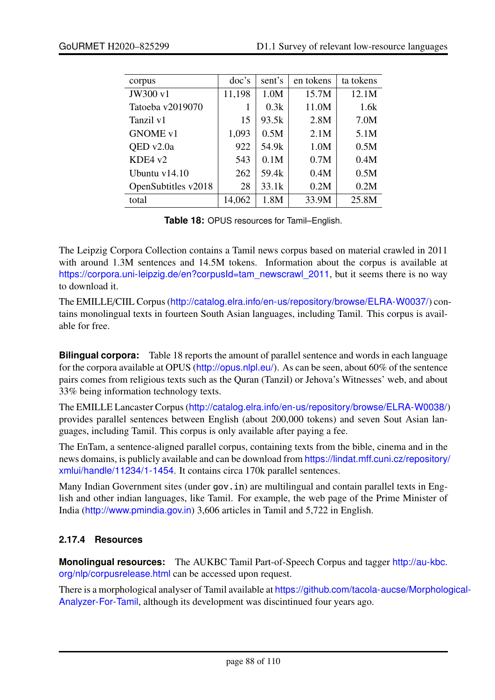<span id="page-87-0"></span>

| corpus              | doc's  | sent's | en tokens | ta tokens |
|---------------------|--------|--------|-----------|-----------|
| JW300 v1            | 11,198 | 1.0M   | 15.7M     | 12.1M     |
| Tatoeba v2019070    | 1      | 0.3k   | 11.0M     | 1.6k      |
| Tanzil v1           | 15     | 93.5k  | 2.8M      | 7.0M      |
| <b>GNOME</b> v1     | 1,093  | 0.5M   | 2.1M      | 5.1M      |
| QED v2.0a           | 922    | 54.9k  | 1.0M      | 0.5M      |
| KDE4 v2             | 543    | 0.1M   | 0.7M      | 0.4M      |
| Ubuntu v14.10       | 262    | 59.4k  | 0.4M      | 0.5M      |
| OpenSubtitles v2018 | 28     | 33.1k  | 0.2M      | 0.2M      |
| total               | 14,062 | 1.8M   | 33.9M     | 25.8M     |

**Table 18:** OPUS resources for Tamil–English.

The Leipzig Corpora Collection contains a Tamil news corpus based on material crawled in 2011 with around 1.3M sentences and 14.5M tokens. Information about the corpus is available at [https://corpora.uni-leipzig.de/en?corpusId=tam\\_newscrawl\\_2011](https://corpora.uni-leipzig.de/en?corpusId=tam_newscrawl_2011), but it seems there is no way to download it.

The EMILLE/CIIL Corpus (<http://catalog.elra.info/en-us/repository/browse/ELRA-W0037/>) contains monolingual texts in fourteen South Asian languages, including Tamil. This corpus is available for free.

**Bilingual corpora:** Table [18](#page-87-0) reports the amount of parallel sentence and words in each language for the corpora available at OPUS (<http://opus.nlpl.eu/>). As can be seen, about 60% of the sentence pairs comes from religious texts such as the Quran (Tanzil) or Jehova's Witnesses' web, and about 33% being information technology texts.

The EMILLE Lancaster Corpus (<http://catalog.elra.info/en-us/repository/browse/ELRA-W0038/>) provides parallel sentences between English (about 200,000 tokens) and seven Sout Asian languages, including Tamil. This corpus is only available after paying a fee.

The EnTam, a sentence-aligned parallel corpus, containing texts from the bible, cinema and in the news domains, is publicly available and can be download from [https://lindat.mff.cuni.cz/repository/](https://lindat.mff.cuni.cz/repository/xmlui/handle/11234/1-1454) [xmlui/handle/11234/1-1454](https://lindat.mff.cuni.cz/repository/xmlui/handle/11234/1-1454). It contains circa 170k parallel sentences.

Many Indian Government sites (under gov. in) are multilingual and contain parallel texts in English and other indian languages, like Tamil. For example, the web page of the Prime Minister of India (<http://www.pmindia.gov.in>) 3,606 articles in Tamil and 5,722 in English.

# **2.17.4 Resources**

**Monolingual resources:** The AUKBC Tamil Part-of-Speech Corpus and tagger [http://au-kbc.](http://au-kbc.org/nlp/corpusrelease.html) [org/nlp/corpusrelease.html](http://au-kbc.org/nlp/corpusrelease.html) can be accessed upon request.

There is a morphological analyser of Tamil available at [https://github.com/tacola-aucse/Morpholog](https://github.com/tacola-aucse/Morphological-Analyzer-For-Tamil)ical-[Analyzer-For-Tamil](https://github.com/tacola-aucse/Morphological-Analyzer-For-Tamil), although its development was discintinued four years ago.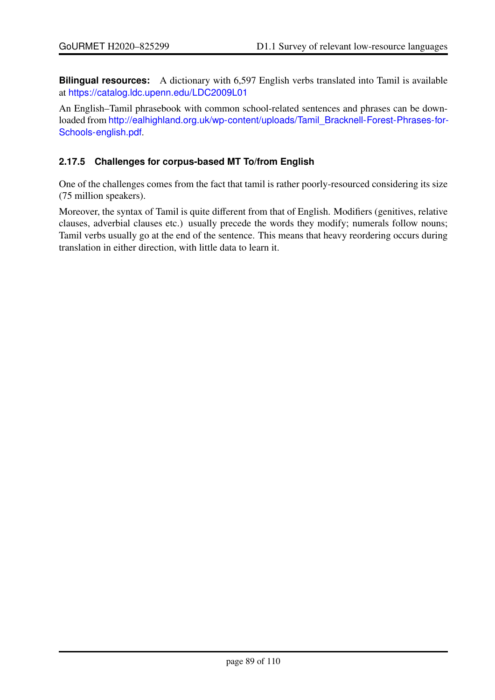**Bilingual resources:** A dictionary with 6,597 English verbs translated into Tamil is available at <https://catalog.ldc.upenn.edu/LDC2009L01>

An English–Tamil phrasebook with common school-related sentences and phrases can be downloaded from [http://ealhighland.org.uk/wp-content/uploads/Tamil\\_Bracknell-Forest-Phrases-for-](http://ealhighland.org.uk/wp-content/uploads/Tamil_Bracknell-Forest-Phrases-for-Schools-english.pdf)[Schools-english.pdf](http://ealhighland.org.uk/wp-content/uploads/Tamil_Bracknell-Forest-Phrases-for-Schools-english.pdf).

## **2.17.5 Challenges for corpus-based MT To/from English**

One of the challenges comes from the fact that tamil is rather poorly-resourced considering its size (75 million speakers).

Moreover, the syntax of Tamil is quite different from that of English. Modifiers (genitives, relative clauses, adverbial clauses etc.) usually precede the words they modify; numerals follow nouns; Tamil verbs usually go at the end of the sentence. This means that heavy reordering occurs during translation in either direction, with little data to learn it.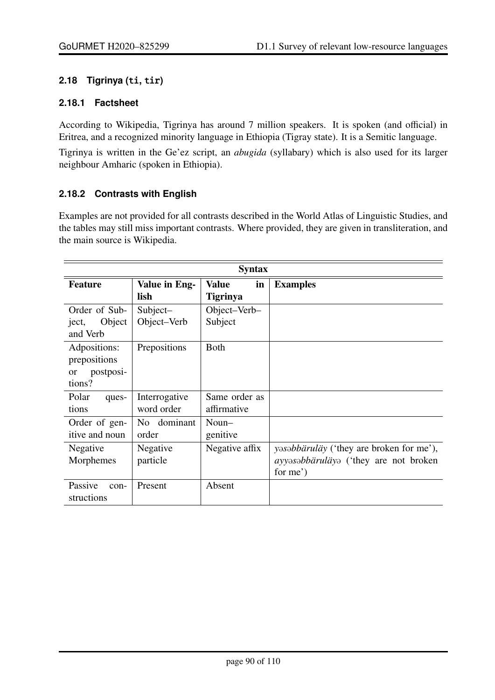# **2.18 Tigrinya (**ti**,** tir**)**

## **2.18.1 Factsheet**

According to Wikipedia, Tigrinya has around 7 million speakers. It is spoken (and official) in Eritrea, and a recognized minority language in Ethiopia (Tigray state). It is a Semitic language.

Tigrinya is written in the Ge'ez script, an *abugida* (syllabary) which is also used for its larger neighbour Amharic (spoken in Ethiopia).

## **2.18.2 Contrasts with English**

Examples are not provided for all contrasts described in the World Atlas of Linguistic Studies, and the tables may still miss important contrasts. Where provided, they are given in transliteration, and the main source is Wikipedia.

| <b>Syntax</b>                                             |                             |                                       |                                                                                               |  |  |
|-----------------------------------------------------------|-----------------------------|---------------------------------------|-----------------------------------------------------------------------------------------------|--|--|
| <b>Feature</b>                                            | Value in Eng-<br>lish       | <b>Value</b><br>in<br><b>Tigrinya</b> | <b>Examples</b>                                                                               |  |  |
| Order of Sub-<br>Object<br>ject,<br>and Verb              | Subject-<br>Object-Verb     | Object-Verb-<br>Subject               |                                                                                               |  |  |
| Adpositions:<br>prepositions<br>postposi-<br>or<br>tions? | Prepositions                | <b>Both</b>                           |                                                                                               |  |  |
| Polar<br>ques-<br>tions                                   | Interrogative<br>word order | Same order as<br>affirmative          |                                                                                               |  |  |
| Order of gen-<br>itive and noun                           | No dominant<br>order        | $Noun-$<br>genitive                   |                                                                                               |  |  |
| Negative<br>Morphemes                                     | Negative<br>particle        | Negative affix                        | yəsəbbäruläy ('they are broken for me'),<br>ayyəsəbbäruläyə ('they are not broken<br>for me') |  |  |
| Passive<br>$con-$<br>structions                           | Present                     | Absent                                |                                                                                               |  |  |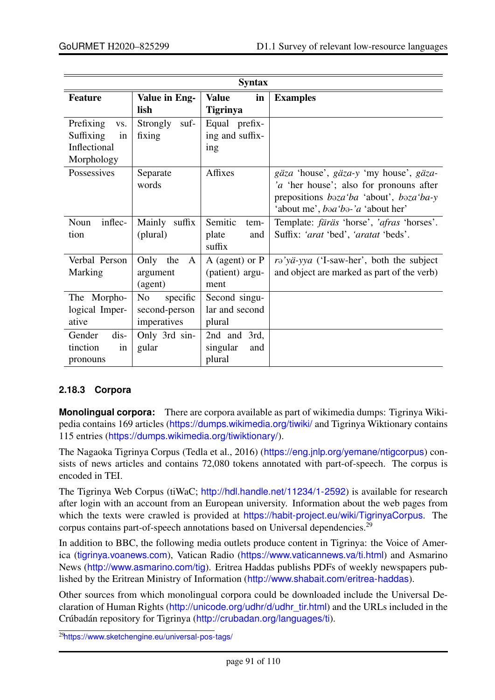| <b>Syntax</b>    |                  |                    |                                                                                        |  |
|------------------|------------------|--------------------|----------------------------------------------------------------------------------------|--|
| <b>Feature</b>   | Value in Eng-    | <b>Value</b><br>in | <b>Examples</b>                                                                        |  |
|                  | lish             | <b>Tigrinya</b>    |                                                                                        |  |
| Prefixing<br>VS. | Strongly<br>suf- | Equal prefix-      |                                                                                        |  |
| Suffixing<br>in  | fixing           | ing and suffix-    |                                                                                        |  |
| Inflectional     |                  | ing                |                                                                                        |  |
| Morphology       |                  |                    |                                                                                        |  |
| Possessives      | Separate         | Affixes            | gäza 'house', gäza-y 'my house', gäza-                                                 |  |
|                  | words            |                    | ' <i>a</i> 'her house'; also for pronouns after                                        |  |
|                  |                  |                    | prepositions $b$ <sub>27</sub> a' <i>ba</i> 'about', $b$ <sub>27</sub> a' <i>ba</i> -y |  |
|                  |                  |                    | 'about me', bəa 'bə-'a 'about her'                                                     |  |
| inflec-<br>Noun  | Mainly<br>suffix | Semitic<br>tem-    | Template: färäs 'horse', 'afras 'horses'.                                              |  |
| tion             | (plural)         | plate<br>and       | Suffix: 'arat 'bed', 'aratat 'beds'.                                                   |  |
|                  |                  | suffix             |                                                                                        |  |
| Verbal Person    | Only the<br>A    | A (agent) or $P$   | rə'yä-yya ('I-saw-her', both the subject                                               |  |
| Marking          | argument         | (patient) argu-    | and object are marked as part of the verb)                                             |  |
|                  | (agent)          | ment               |                                                                                        |  |
| The Morpho-      | No<br>specific   | Second singu-      |                                                                                        |  |
| logical Imper-   | second-person    | lar and second     |                                                                                        |  |
| ative            | imperatives      | plural             |                                                                                        |  |
| dis-<br>Gender   | Only 3rd sin-    | 2nd and 3rd,       |                                                                                        |  |
| tinction<br>in   | gular            | singular<br>and    |                                                                                        |  |
| pronouns         |                  | plural             |                                                                                        |  |

#### **2.18.3 Corpora**

**Monolingual corpora:** There are corpora available as part of wikimedia dumps: Tigrinya Wikipedia contains 169 articles (<https://dumps.wikimedia.org/tiwiki/> and Tigrinya Wiktionary contains 115 entries (<https://dumps.wikimedia.org/tiwiktionary/>).

The Nagaoka Tigrinya Corpus [\(Tedla et al.,](#page-108-2) [2016\)](#page-108-2) (<https://eng.jnlp.org/yemane/ntigcorpus>) consists of news articles and contains 72,080 tokens annotated with part-of-speech. The corpus is encoded in TEI.

The Tigrinya Web Corpus (tiWaC; <http://hdl.handle.net/11234/1-2592>) is available for research after login with an account from an European university. Information about the web pages from which the texts were crawled is provided at <https://habit-project.eu/wiki/TigrinyaCorpus>. The corpus contains part-of-speech annotations based on Universal dependencies.<sup>29</sup>

In addition to BBC, the following media outlets produce content in Tigrinya: the Voice of America (<tigrinya.voanews.com>), Vatican Radio (<https://www.vaticannews.va/ti.html>) and Asmarino News (<http://www.asmarino.com/tig>). Eritrea Haddas publishs PDFs of weekly newspapers published by the Eritrean Ministry of Information (<http://www.shabait.com/eritrea-haddas>).

Other sources from which monolingual corpora could be downloaded include the Universal Declaration of Human Rights ([http://unicode.org/udhr/d/udhr\\_tir.html](http://unicode.org/udhr/d/udhr_tir.html)) and the URLs included in the Crúbadán repository for Tigrinya (<http://crubadan.org/languages/ti>).

<sup>29</sup><https://www.sketchengine.eu/universal-pos-tags/>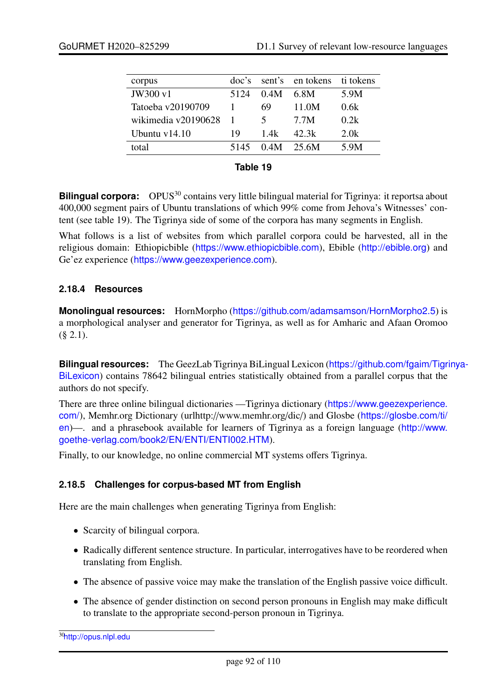<span id="page-91-0"></span>

| corpus              | doc's |      | sent's en tokens | ti tokens |
|---------------------|-------|------|------------------|-----------|
| JW300 v1            | 5124  | 0.4M | 6.8M             | 5.9M      |
| Tatoeba v20190709   |       | 69   | 11.0M            | 0.6k      |
| wikimedia y20190628 |       | 5    | 7.7M             | 0.2k      |
| Ubuntu $v14.10$     | 19    | 1.4k | 42.3k            | 2.0k      |
| total               | 5145  | 0.4M | 25.6M            | 5.9M      |
|                     |       |      |                  |           |

#### **Table 19**

**Bilingual corpora:** OPUS<sup>30</sup> contains very little bilingual material for Tigrinya: it reportsa about 400,000 segment pairs of Ubuntu translations of which 99% come from Jehova's Witnesses' content (see table [19\)](#page-91-0). The Tigrinya side of some of the corpora has many segments in English.

What follows is a list of websites from which parallel corpora could be harvested, all in the religious domain: Ethiopicbible (<https://www.ethiopicbible.com>), Ebible (<http://ebible.org>) and Ge'ez experience (<https://www.geezexperience.com>).

#### **2.18.4 Resources**

**Monolingual resources:** HornMorpho (<https://github.com/adamsamson/HornMorpho2.5>) is a morphological analyser and generator for Tigrinya, as well as for Amharic and Afaan Oromoo (§ [2.1\)](#page-10-0).

**Bilingual resources:** The GeezLab Tigrinya BiLingual Lexicon ([https://github.com/fgaim/Tigri](https://github.com/fgaim/Tigrinya-BiLexicon)nya-[BiLexicon](https://github.com/fgaim/Tigrinya-BiLexicon)) contains 78642 bilingual entries statistically obtained from a parallel corpus that the authors do not specify.

There are three online bilingual dictionaries —Tigrinya dictionary ([https://www.geezexperience.](https://www.geezexperience.com/) [com/](https://www.geezexperience.com/)), Memhr.org Dictionary (urlhttp://www.memhr.org/dic/) and Glosbe ([https://glosbe.com/ti/](https://glosbe.com/ti/en) [en](https://glosbe.com/ti/en))—. and a phrasebook available for learners of Tigrinya as a foreign language ([http://www.](http://www.goethe-verlag.com/book2/EN/ENTI/ENTI002.HTM) [goethe-verlag.com/book2/EN/ENTI/ENTI002.HTM](http://www.goethe-verlag.com/book2/EN/ENTI/ENTI002.HTM)).

Finally, to our knowledge, no online commercial MT systems offers Tigrinya.

#### **2.18.5 Challenges for corpus-based MT from English**

Here are the main challenges when generating Tigrinya from English:

- Scarcity of bilingual corpora.
- Radically different sentence structure. In particular, interrogatives have to be reordered when translating from English.
- The absence of passive voice may make the translation of the English passive voice difficult.
- The absence of gender distinction on second person pronouns in English may make difficult to translate to the appropriate second-person pronoun in Tigrinya.

<sup>30</sup><http://opus.nlpl.edu>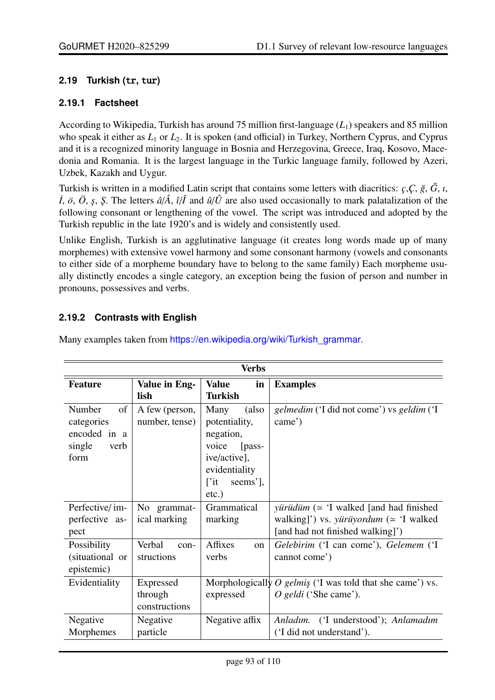# **2.19 Turkish (**tr**,** tur**)**

## **2.19.1 Factsheet**

According to Wikipedia, Turkish has around 75 million first-language (*L*1) speakers and 85 million who speak it either as  $L_1$  or  $L_2$ . It is spoken (and official) in Turkey, Northern Cyprus, and Cyprus and it is a recognized minority language in Bosnia and Herzegovina, Greece, Iraq, Kosovo, Macedonia and Romania. It is the largest language in the Turkic language family, followed by Azeri, Uzbek, Kazakh and Uygur.

Turkish is written in a modified Latin script that contains some letters with diacritics:  $\zeta$ ,  $\zeta$ ,  $\zeta$ ,  $\zeta$ ,  $\zeta$ ,  $\zeta$ ,  $\zeta$ ,  $\zeta$ ,  $\zeta$ ,  $\zeta$ ,  $\zeta$ ,  $\zeta$ ,  $\zeta$ ,  $\zeta$ ,  $\zeta$ ,  $\zeta$ ,  $\zeta$ ,  $\zeta$ ,  $\zeta$  $\hat{I}$ ,  $\ddot{\sigma}$ ,  $\ddot{\sigma}$ ,  $\ddot{\sigma}$ . The letters  $\hat{a}/\hat{A}$ ,  $\hat{i}/\hat{I}$  and  $\hat{u}/\hat{U}$  are also used occasionally to mark palatalization of the following consonant or lengthening of the vowel. The script was introduced and adopted by the Turkish republic in the late 1920's and is widely and consistently used.

Unlike English, Turkish is an agglutinative language (it creates long words made up of many morphemes) with extensive vowel harmony and some consonant harmony (vowels and consonants to either side of a morpheme boundary have to belong to the same family) Each morpheme usually distinctly encodes a single category, an exception being the fusion of person and number in pronouns, possessives and verbs.

# **2.19.2 Contrasts with English**

| <b>Verbs</b>                                                         |                                       |                                                                                                                                      |                                                                                                                                                    |  |  |
|----------------------------------------------------------------------|---------------------------------------|--------------------------------------------------------------------------------------------------------------------------------------|----------------------------------------------------------------------------------------------------------------------------------------------------|--|--|
| <b>Feature</b>                                                       | Value in Eng-                         | <b>Value</b><br>in                                                                                                                   | <b>Examples</b>                                                                                                                                    |  |  |
|                                                                      | lish                                  | <b>Turkish</b>                                                                                                                       |                                                                                                                                                    |  |  |
| of<br>Number<br>categories<br>encoded in a<br>single<br>verb<br>form | A few (person,<br>number, tense)      | Many<br>(also<br>potentiality,<br>negation,<br>voice<br>[pass-<br>ive/active],<br>evidentiality<br>$\int$ it<br>seems'],<br>$etc.$ ) | <i>gelmedim</i> ('I did not come') vs <i>geldim</i> ('I<br>came')                                                                                  |  |  |
| Perfective/im-<br>perfective as-<br>pect                             | No grammat-<br>ical marking           | Grammatical<br>marking                                                                                                               | <i>vürüdüm</i> ( $\simeq$ 'I walked [and had finished<br>walking]') vs. <i>yürüyordum</i> ( $\simeq$ 'I walked<br>[and had not finished walking]') |  |  |
| Possibility<br>(situational or<br>epistemic)                         | Verbal<br>con-<br>structions          | Affixes<br>on<br>verbs                                                                                                               | Gelebirim ('I can come'), Gelemem ('I<br>cannot come')                                                                                             |  |  |
| Evidentiality                                                        | Expressed<br>through<br>constructions | expressed                                                                                                                            | Morphologically $O$ gelmiş ('I was told that she came') vs.<br>O geldi ('She came').                                                               |  |  |
| Negative<br>Morphemes                                                | Negative<br>particle                  | Negative affix                                                                                                                       | Anladım. ('I understood'); Anlamadım<br>('I did not understand').                                                                                  |  |  |

Many examples taken from [https://en.wikipedia.org/wiki/Turkish\\_grammar](https://en.wikipedia.org/wiki/Turkish_grammar).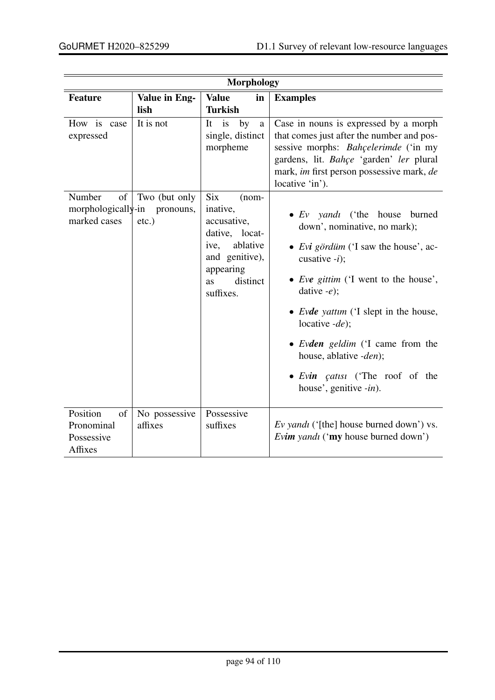| <b>Morphology</b>                                     |                                                           |                                                                                                                                                             |                                                                                                                                                                                                                                                                                                                                                                                                               |  |
|-------------------------------------------------------|-----------------------------------------------------------|-------------------------------------------------------------------------------------------------------------------------------------------------------------|---------------------------------------------------------------------------------------------------------------------------------------------------------------------------------------------------------------------------------------------------------------------------------------------------------------------------------------------------------------------------------------------------------------|--|
| <b>Feature</b>                                        | Value in Eng-                                             | <b>Value</b><br>in                                                                                                                                          | <b>Examples</b>                                                                                                                                                                                                                                                                                                                                                                                               |  |
|                                                       | lish                                                      | <b>Turkish</b>                                                                                                                                              |                                                                                                                                                                                                                                                                                                                                                                                                               |  |
| How is case<br>expressed                              | It is not                                                 | It is<br>by<br>a<br>single, distinct<br>morpheme                                                                                                            | Case in nouns is expressed by a morph<br>that comes just after the number and pos-<br>sessive morphs: <i>Bahçelerimde</i> ('in my<br>gardens, lit. Bahçe 'garden' ler plural<br>mark, im first person possessive mark, de<br>locative 'in').                                                                                                                                                                  |  |
| of<br>Number<br>marked cases                          | Two (but only<br>morphologically-in pronouns,<br>$etc.$ ) | <b>Six</b><br>$(nom-$<br>inative,<br>accusative,<br>dative, locat-<br>ablative<br>ive,<br>and genitive),<br>appearing<br>distinct<br><b>as</b><br>suffixes. | $\bullet$ Ev yandı ('the house<br>burned<br>down', nominative, no mark);<br>• <i>Evi gördüm</i> ('I saw the house', ac-<br>cusative $-i$ ;<br>• Eve gittim ('I went to the house',<br>dative $-e$ );<br>• <i>Evde yattım</i> ('I slept in the house,<br>locative $-de$ ;<br>• <i>Evden geldim</i> ('I came from the<br>house, ablative -den);<br>• Evin catist ('The roof of the<br>house', genitive $-in$ ). |  |
| Position<br>of<br>Pronominal<br>Possessive<br>Affixes | No possessive<br>affixes                                  | Possessive<br>suffixes                                                                                                                                      | <i>Ev yandı</i> ('[the] house burned down') vs.<br><i>Evim yandı</i> ('my house burned down')                                                                                                                                                                                                                                                                                                                 |  |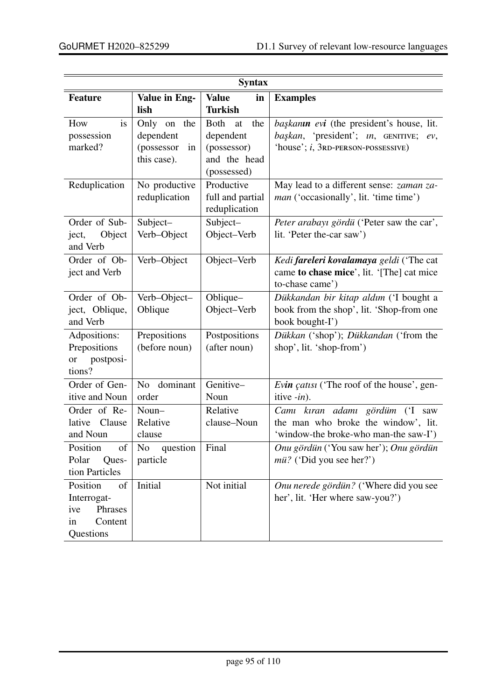| <b>Syntax</b>                                                                 |                                                             |                                                                                     |                                                                                                                                                 |  |  |
|-------------------------------------------------------------------------------|-------------------------------------------------------------|-------------------------------------------------------------------------------------|-------------------------------------------------------------------------------------------------------------------------------------------------|--|--|
| <b>Feature</b>                                                                | Value in Eng-<br>lish                                       | <b>Value</b><br>in<br><b>Turkish</b>                                                | <b>Examples</b>                                                                                                                                 |  |  |
| How<br>is<br>possession<br>marked?                                            | Only on the<br>dependent<br>(possessor<br>in<br>this case). | the<br><b>Both</b><br>at<br>dependent<br>(possessor)<br>and the head<br>(possessed) | başkanın evi (the president's house, lit.<br><i>başkan</i> , 'president'; <i>in</i> , GENITIVE;<br>$ev$ ,<br>'house'; i, 3RD-PERSON-POSSESSIVE) |  |  |
| Reduplication                                                                 | No productive<br>reduplication                              |                                                                                     | May lead to a different sense: zaman za-<br><i>man</i> ('occasionally', lit. 'time time')                                                       |  |  |
| Order of Sub-<br>Object<br>ject,<br>and Verb                                  | Subject-<br>Verb-Object                                     | Subject-<br>Object-Verb                                                             | Peter arabayı gördü ('Peter saw the car',<br>lit. 'Peter the-car saw')                                                                          |  |  |
| Order of Ob-<br>ject and Verb                                                 | Verb-Object                                                 | Object-Verb                                                                         | Kedi fareleri kovalamaya geldi ('The cat<br>came to chase mice', lit. '[The] cat mice<br>to-chase came')                                        |  |  |
| Order of Ob-<br>ject, Oblique,<br>and Verb                                    | Verb-Object-<br>Oblique                                     | Oblique-<br>Object-Verb                                                             | Dükkandan bir kitap aldım ('I bought a<br>book from the shop', lit. 'Shop-from one<br>book bought-I')                                           |  |  |
| Adpositions:<br>Prepositions<br>postposi-<br>or<br>tions?                     | Prepositions<br>(before noun)                               | Postpositions<br>(after noun)                                                       | Dükkan ('shop'); Dükkandan ('from the<br>shop', lit. 'shop-from')                                                                               |  |  |
| Order of Gen-<br>itive and Noun                                               | dominant<br>N <sub>o</sub><br>order                         | Genitive-<br>Noun                                                                   | Evin çatısı ('The roof of the house', gen-<br>itive $-in$ ).                                                                                    |  |  |
| Order of Re-<br>Clause<br>lative<br>and Noun                                  | Noun-<br>Relative<br>clause                                 | Relative<br>clause-Noun                                                             | Camı kıran adamı gördüm ('I saw<br>the man who broke the window', lit.<br>'window-the broke-who man-the saw-I')                                 |  |  |
| Position of<br>Ques-<br>Polar<br>tion Particles                               | No question<br>particle                                     | Final                                                                               | Onu gördün ('You saw her'); Onu gördün<br>$mi?$ ('Did you see her?')                                                                            |  |  |
| Position<br>of<br>Interrogat-<br>Phrases<br>ive<br>Content<br>in<br>Questions | Initial                                                     | Not initial                                                                         | Onu nerede gördün? ('Where did you see<br>her', lit. 'Her where saw-you?')                                                                      |  |  |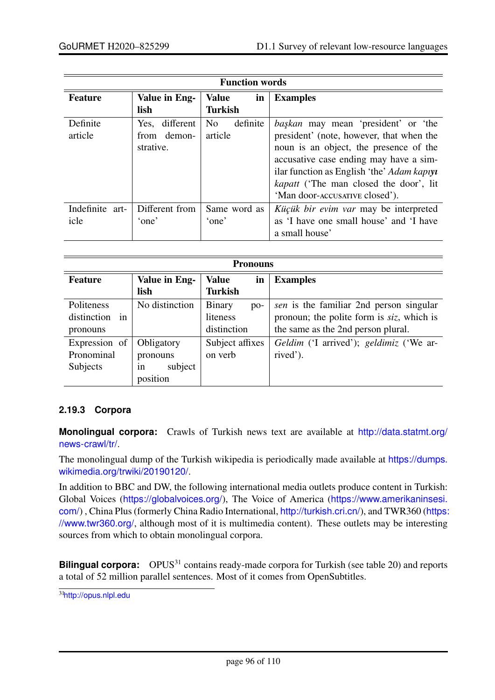| <b>Function words</b> |                                               |                                       |                                                                                                                                                                                                                                                                                                             |  |  |  |
|-----------------------|-----------------------------------------------|---------------------------------------|-------------------------------------------------------------------------------------------------------------------------------------------------------------------------------------------------------------------------------------------------------------------------------------------------------------|--|--|--|
| <b>Feature</b>        | Value in Eng-                                 | <b>Value</b><br>in                    | <b>Examples</b>                                                                                                                                                                                                                                                                                             |  |  |  |
|                       | lish                                          | <b>Turkish</b>                        |                                                                                                                                                                                                                                                                                                             |  |  |  |
| Definite<br>article   | different<br>Yes.<br>from demon-<br>strative. | definite<br>N <sub>0</sub><br>article | <i>başkan</i> may mean 'president' or 'the<br>president' (note, however, that when the<br>noun is an object, the presence of the<br>accusative case ending may have a sim-<br>ilar function as English 'the' Adam kapıyı<br><i>kapatt</i> ('The man closed the door', lit<br>'Man door-ACCUSATIVE closed'). |  |  |  |
| Indefinite art-       | Different from                                | Same word as                          | Küçük bir evim var may be interpreted                                                                                                                                                                                                                                                                       |  |  |  |
| icle                  | 'one'                                         | 'one'                                 | as 'I have one small house' and 'I have<br>a small house'                                                                                                                                                                                                                                                   |  |  |  |

| <b>Pronouns</b>   |                |                        |                                                |  |  |
|-------------------|----------------|------------------------|------------------------------------------------|--|--|
| <b>Feature</b>    | Value in Eng-  | in<br>Value            | <b>Examples</b>                                |  |  |
|                   | lish           | <b>Turkish</b>         |                                                |  |  |
| Politeness        | No distinction | <b>Binary</b><br>$DO-$ | <i>sen</i> is the familiar 2nd person singular |  |  |
| distinction<br>in |                | liteness               | pronoun; the polite form is siz, which is      |  |  |
| pronouns          |                | distinction            | the same as the 2nd person plural.             |  |  |
| Expression of     | Obligatory     | Subject affixes        | Geldim ('I arrived'); geldimiz ('We ar-        |  |  |
| Pronominal        | pronouns       | on verb                | rived').                                       |  |  |
| Subjects          | subject<br>1n  |                        |                                                |  |  |
|                   | position       |                        |                                                |  |  |

#### **2.19.3 Corpora**

**Monolingual corpora:** Crawls of Turkish news text are available at [http://data.statmt.org/](http://data.statmt.org/news-crawl/tr/) [news-crawl/tr/](http://data.statmt.org/news-crawl/tr/).

The monolingual dump of the Turkish wikipedia is periodically made available at [https://dumps.](https://dumps.wikimedia.org/trwiki/20190120/) [wikimedia.org/trwiki/20190120/](https://dumps.wikimedia.org/trwiki/20190120/).

In addition to BBC and DW, the following international media outlets produce content in Turkish: Global Voices (<https://globalvoices.org/>), The Voice of America ([https://www.amerikaninsesi.](https://www.amerikaninsesi.com/) [com/](https://www.amerikaninsesi.com/)) , China Plus (formerly China Radio International, <http://turkish.cri.cn/>), and TWR360 ([https:](https://www.twr360.org/) [//www.twr360.org/](https://www.twr360.org/), although most of it is multimedia content). These outlets may be interesting sources from which to obtain monolingual corpora.

**Bilingual corpora:** OPUS<sup>31</sup> contains ready-made corpora for Turkish (see table [20\)](#page-96-0) and reports a total of 52 million parallel sentences. Most of it comes from OpenSubtitles.

<sup>31</sup><http://opus.nlpl.edu>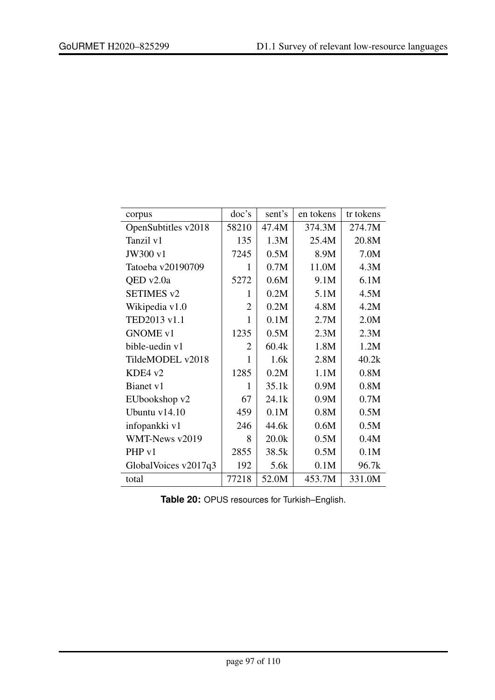<span id="page-96-0"></span>

| corpus               | doc's          | sent's | en tokens | tr tokens |
|----------------------|----------------|--------|-----------|-----------|
| OpenSubtitles v2018  | 58210          | 47.4M  | 374.3M    | 274.7M    |
| Tanzil v1            | 135            | 1.3M   | 25.4M     | 20.8M     |
| JW300 v1             | 7245           | 0.5M   | 8.9M      | 7.0M      |
| Tatoeba v20190709    | 1              | 0.7M   | 11.0M     | 4.3M      |
| QED v2.0a            | 5272           | 0.6M   | 9.1M      | 6.1M      |
| <b>SETIMES v2</b>    | 1              | 0.2M   | 5.1M      | 4.5M      |
| Wikipedia v1.0       | $\overline{2}$ | 0.2M   | 4.8M      | 4.2M      |
| TED2013 v1.1         | $\mathbf{1}$   | 0.1M   | 2.7M      | 2.0M      |
| <b>GNOME</b> v1      | 1235           | 0.5M   | 2.3M      | 2.3M      |
| bible-uedin v1       | 2              | 60.4k  | 1.8M      | 1.2M      |
| TildeMODEL v2018     | 1              | 1.6k   | 2.8M      | 40.2k     |
| KDE4 v2              | 1285           | 0.2M   | 1.1M      | 0.8M      |
| Bianet v1            | 1              | 35.1k  | 0.9M      | 0.8M      |
| EUbookshop v2        | 67             | 24.1k  | 0.9M      | 0.7M      |
| Ubuntu $v14.10$      | 459            | 0.1M   | 0.8M      | 0.5M      |
| infopankki v1        | 246            | 44.6k  | 0.6M      | 0.5M      |
| WMT-News v2019       | 8              | 20.0k  | 0.5M      | 0.4M      |
| PHP v1               | 2855           | 38.5k  | 0.5M      | 0.1M      |
| GlobalVoices v2017q3 | 192            | 5.6k   | 0.1M      | 96.7k     |
| total                | 77218          | 52.0M  | 453.7M    | 331.0M    |

**Table 20:** OPUS resources for Turkish–English.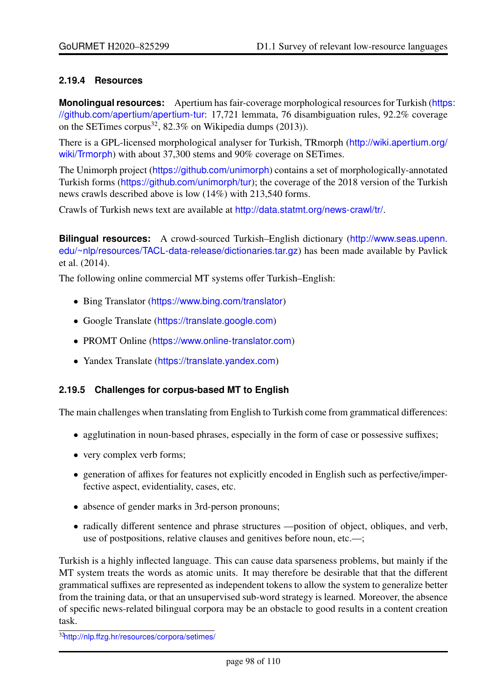## **2.19.4 Resources**

**Monolingual resources:** Apertium has fair-coverage morphological resources for Turkish ([https](https://github.com/apertium/apertium-tur): [//github.com/apertium/apertium-tur](https://github.com/apertium/apertium-tur): 17,721 lemmata, 76 disambiguation rules, 92.2% coverage on the SETimes corpus<sup>32</sup>, 82.3% on Wikipedia dumps (2013)).

There is a GPL-licensed morphological analyser for Turkish, TRmorph ([http://wiki.apertium.org/](http://wiki.apertium.org/wiki/Trmorph) [wiki/Trmorph](http://wiki.apertium.org/wiki/Trmorph)) with about 37,300 stems and 90% coverage on SETimes.

The Unimorph project (<https://github.com/unimorph>) contains a set of morphologically-annotated Turkish forms (<https://github.com/unimorph/tur>); the coverage of the 2018 version of the Turkish news crawls described above is low (14%) with 213,540 forms.

Crawls of Turkish news text are available at <http://data.statmt.org/news-crawl/tr/>.

**Bilingual resources:** A crowd-sourced Turkish–English dictionary ([http://www.seas.upenn.](http://www.seas.upenn.edu/~nlp/resources/TACL-data-release/dictionaries.tar.gz) [edu/~nlp/resources/TACL-data-release/dictionaries.tar.gz](http://www.seas.upenn.edu/~nlp/resources/TACL-data-release/dictionaries.tar.gz)) has been made available by [Pavlick](#page-107-0) [et al.](#page-107-0) [\(2014\)](#page-107-0).

The following online commercial MT systems offer Turkish–English:

- Bing Translator (<https://www.bing.com/translator>)
- Google Translate (<https://translate.google.com>)
- PROMT Online (<https://www.online-translator.com>)
- Yandex Translate (<https://translate.yandex.com>)

#### **2.19.5 Challenges for corpus-based MT to English**

The main challenges when translating from English to Turkish come from grammatical differences:

- agglutination in noun-based phrases, especially in the form of case or possessive suffixes;
- very complex verb forms;
- generation of affixes for features not explicitly encoded in English such as perfective/imperfective aspect, evidentiality, cases, etc.
- absence of gender marks in 3rd-person pronouns;
- radically different sentence and phrase structures —position of object, obliques, and verb, use of postpositions, relative clauses and genitives before noun, etc.—;

Turkish is a highly inflected language. This can cause data sparseness problems, but mainly if the MT system treats the words as atomic units. It may therefore be desirable that that the different grammatical suffixes are represented as independent tokens to allow the system to generalize better from the training data, or that an unsupervised sub-word strategy is learned. Moreover, the absence of specific news-related bilingual corpora may be an obstacle to good results in a content creation task.

<sup>32</sup><http://nlp.ffzg.hr/resources/corpora/setimes/>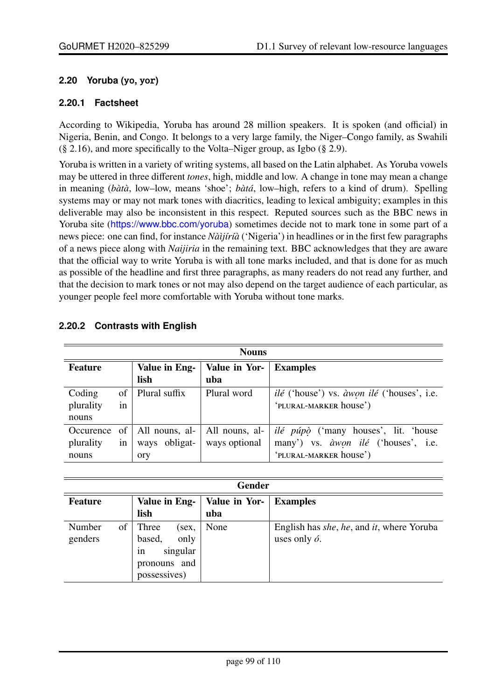# <span id="page-98-0"></span>**2.20 Yoruba (**yo**,** yor**)**

## **2.20.1 Factsheet**

According to Wikipedia, Yoruba has around 28 million speakers. It is spoken (and official) in Nigeria, Benin, and Congo. It belongs to a very large family, the Niger–Congo family, as Swahili (§ [2.16\)](#page-79-0), and more specifically to the Volta–Niger group, as Igbo (§ [2.9\)](#page-49-0).

Yoruba is written in a variety of writing systems, all based on the Latin alphabet. As Yoruba vowels may be uttered in three different *tones*, high, middle and low. A change in tone may mean a change in meaning (*bàtà*, low–low, means 'shoe'; *bàtá*, low–high, refers to a kind of drum). Spelling systems may or may not mark tones with diacritics, leading to lexical ambiguity; examples in this deliverable may also be inconsistent in this respect. Reputed sources such as the BBC news in Yoruba site (<https://www.bbc.com/yoruba>) sometimes decide not to mark tone in some part of a news piece: one can find, for instance *Nàìjíríà* ('Nigeria') in headlines or in the first few paragraphs of a news piece along with *Naijiria* in the remaining text. BBC acknowledges that they are aware that the official way to write Yoruba is with all tone marks included, and that is done for as much as possible of the headline and first three paragraphs, as many readers do not read any further, and that the decision to mark tones or not may also depend on the target audience of each particular, as younger people feel more comfortable with Yoruba without tone marks.

| <b>Nouns</b> |    |                |                |                                                          |  |
|--------------|----|----------------|----------------|----------------------------------------------------------|--|
| Feature      |    | Value in Eng-  | Value in Yor-  | <b>Examples</b>                                          |  |
|              |    | lish           | uba            |                                                          |  |
| Coding       | of | Plural suffix  | Plural word    | <i>ilé</i> ('house') vs. <i>àwon ilé</i> ('houses', i.e. |  |
| plurality    | 1n |                |                | 'PLURAL-MARKER house')                                   |  |
| nouns        |    |                |                |                                                          |  |
| Occurence    | of | All nouns, al- | All nouns, al- | <i>ilé púpò</i> ('many houses', lit. 'house              |  |
| plurality    | 1n | ways obligat-  | ways optional  | many') vs. <i>awon ilé</i> ('houses', i.e.               |  |
| nouns        |    | ory            |                | 'PLURAL-MARKER house')                                   |  |

# <span id="page-98-1"></span>**2.20.2 Contrasts with English**

| <b>Gender</b>  |    |               |          |               |                                                           |  |
|----------------|----|---------------|----------|---------------|-----------------------------------------------------------|--|
| <b>Feature</b> |    | Value in Eng- |          | Value in Yor- | <b>Examples</b>                                           |  |
|                |    | lish          |          | uba           |                                                           |  |
| Number         | of | Three         | (sex,    | None          | English has <i>she</i> , he, and <i>it</i> , where Yoruba |  |
| genders        |    | based,        | only     |               | uses only $\acute{o}$ .                                   |  |
|                |    | 1n            | singular |               |                                                           |  |
|                |    | pronouns and  |          |               |                                                           |  |
|                |    | possessives)  |          |               |                                                           |  |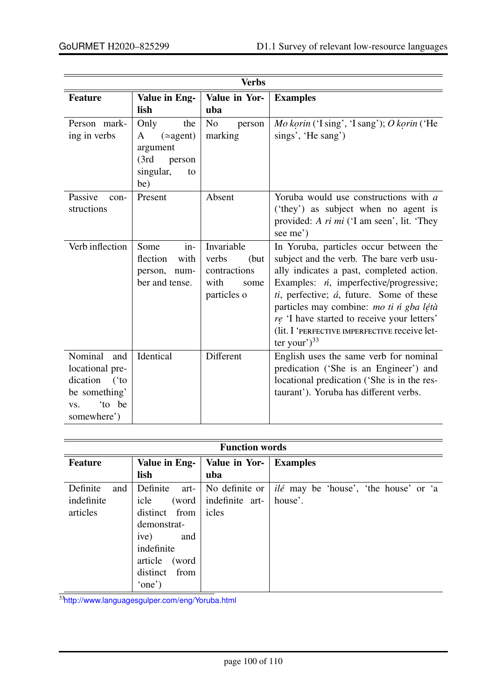| <b>Verbs</b>                                                                                           |                                                                      |                                                                             |                                                                                                                                                                                                                                                                                                                                                                                                             |  |
|--------------------------------------------------------------------------------------------------------|----------------------------------------------------------------------|-----------------------------------------------------------------------------|-------------------------------------------------------------------------------------------------------------------------------------------------------------------------------------------------------------------------------------------------------------------------------------------------------------------------------------------------------------------------------------------------------------|--|
| <b>Feature</b>                                                                                         | Value in Eng-                                                        | Value in Yor-                                                               | <b>Examples</b>                                                                                                                                                                                                                                                                                                                                                                                             |  |
|                                                                                                        | lish                                                                 | uba                                                                         |                                                                                                                                                                                                                                                                                                                                                                                                             |  |
| Person mark-                                                                                           | Only<br>the                                                          | N <sub>o</sub><br>person                                                    | Mo korin ('I sing', 'I sang'); O korin ('He                                                                                                                                                                                                                                                                                                                                                                 |  |
| ing in verbs                                                                                           | $(\simeq$ agent)<br>A                                                | marking                                                                     | sings', 'He sang')                                                                                                                                                                                                                                                                                                                                                                                          |  |
|                                                                                                        | argument                                                             |                                                                             |                                                                                                                                                                                                                                                                                                                                                                                                             |  |
|                                                                                                        | (3rd)<br>person                                                      |                                                                             |                                                                                                                                                                                                                                                                                                                                                                                                             |  |
|                                                                                                        | singular,<br>to<br>be)                                               |                                                                             |                                                                                                                                                                                                                                                                                                                                                                                                             |  |
| Passive<br>con-<br>structions                                                                          | Present                                                              | Absent                                                                      | Yoruba would use constructions with a<br>('they') as subject when no agent is<br>provided: A ri mi ('I am seen', lit. 'They<br>see me')                                                                                                                                                                                                                                                                     |  |
| Verb inflection                                                                                        | Some<br>in-<br>with<br>flection<br>person,<br>num-<br>ber and tense. | Invariable<br>verbs<br>(but)<br>contractions<br>with<br>some<br>particles o | In Yoruba, particles occur between the<br>subject and the verb. The bare verb usu-<br>ally indicates a past, completed action.<br>Examples: <i>ń</i> , imperfective/progressive;<br>$ti$ , perfective; $\acute{a}$ , future. Some of these<br>particles may combine: mo ti ń gba létà<br>re 'I have started to receive your letters'<br>(lit. I 'PERFECTIVE IMPERFECTIVE receive let-<br>ter your' $)^{33}$ |  |
| Nominal<br>and<br>locational pre-<br>dication<br>(tot<br>be something'<br>'to be<br>VS.<br>somewhere') | Identical                                                            | Different                                                                   | English uses the same verb for nominal<br>predication ('She is an Engineer') and<br>locational predication ('She is in the res-<br>taurant'). Yoruba has different verbs.                                                                                                                                                                                                                                   |  |

| <b>Function words</b> |                  |                 |                                              |  |  |
|-----------------------|------------------|-----------------|----------------------------------------------|--|--|
| <b>Feature</b>        | Value in Eng-    | Value in Yor-   | <b>Examples</b>                              |  |  |
|                       | lish             | uba             |                                              |  |  |
| Definite<br>and       | Definite<br>art- | No definite or  | <i>ilé</i> may be 'house', 'the house' or 'a |  |  |
| indefinite            | icle<br>(word    | indefinite art- | house'.                                      |  |  |
| articles              | distinct from    | icles           |                                              |  |  |
|                       | demonstrat-      |                 |                                              |  |  |
|                       | ive)<br>and      |                 |                                              |  |  |
|                       | indefinite       |                 |                                              |  |  |
|                       | article (word    |                 |                                              |  |  |
|                       | distinct from    |                 |                                              |  |  |
|                       | 'one')           |                 |                                              |  |  |

<sup>33</sup><http://www.languagesgulper.com/eng/Yoruba.html>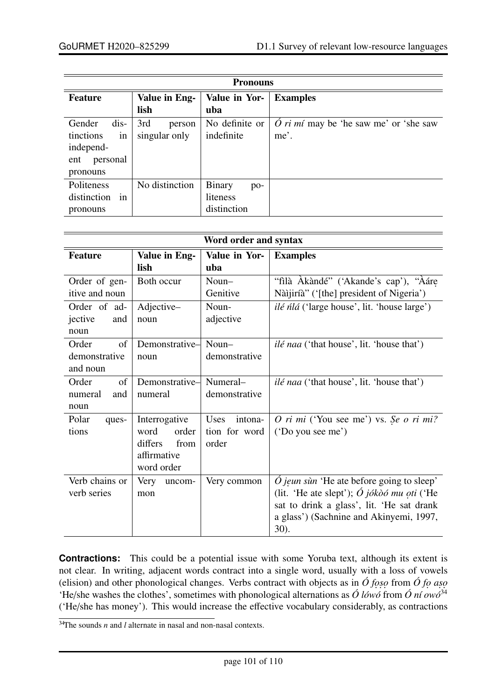| <b>Pronouns</b>   |                |                        |                                                      |  |
|-------------------|----------------|------------------------|------------------------------------------------------|--|
| <b>Feature</b>    | Value in Eng-  | Value in Yor-          | <b>Examples</b>                                      |  |
|                   | lish           | uba                    |                                                      |  |
| $dis-$<br>Gender  | 3rd<br>person  | No definite or         | <i>O</i> ri <i>mi</i> may be 'he saw me' or 'she saw |  |
| in<br>tinctions   | singular only  | indefinite             | me'.                                                 |  |
| independ-         |                |                        |                                                      |  |
| personal<br>ent   |                |                        |                                                      |  |
| pronouns          |                |                        |                                                      |  |
| Politeness        | No distinction | <b>Binary</b><br>$po-$ |                                                      |  |
| distinction<br>in |                | liteness               |                                                      |  |
| pronouns          |                | distinction            |                                                      |  |

| Word order and syntax                    |                                                                                |                                           |                                                                                                                                                                                                             |  |
|------------------------------------------|--------------------------------------------------------------------------------|-------------------------------------------|-------------------------------------------------------------------------------------------------------------------------------------------------------------------------------------------------------------|--|
| <b>Feature</b>                           | Value in Eng-<br>lish                                                          | Value in Yor-<br>uba                      | <b>Examples</b>                                                                                                                                                                                             |  |
| Order of gen-<br>itive and noun          | Both occur                                                                     | Noun-<br>Genitive                         | "filà Àkàndé" ('Akande's cap'), "Àáre<br>Nàijiríà" ('[the] president of Nigeria')                                                                                                                           |  |
| Order of ad-<br>jective<br>and<br>noun   | Adjective-<br>noun                                                             | Noun-<br>adjective                        | <i>ilé n´lá</i> ('large house', lit. 'house large')                                                                                                                                                         |  |
| of<br>Order<br>demonstrative<br>and noun | Demonstrative-<br>noun                                                         | Noun-<br>demonstrative                    | <i>ilé naa</i> ('that house', lit. 'house that')                                                                                                                                                            |  |
| of<br>Order<br>numeral<br>and<br>noun    | Demonstrative-<br>numeral                                                      | Numeral-<br>demonstrative                 | <i>ilé naa</i> ('that house', lit. 'house that')                                                                                                                                                            |  |
| Polar<br>ques-<br>tions                  | Interrogative<br>word<br>order<br>differs<br>from<br>affirmative<br>word order | Uses<br>intona-<br>tion for word<br>order | O ri mi ('You see me') vs. Se o ri mi?<br>('Do you see me')                                                                                                                                                 |  |
| Verb chains or<br>verb series            | Very<br>uncom-<br>mon                                                          | Very common                               | $\acute{o}$ jeun sùn 'He ate before going to sleep'<br>(lit. 'He ate slept'); $\acute{O}$ jókòó mu oti ('He<br>sat to drink a glass', lit. 'He sat drank<br>a glass') (Sachnine and Akinyemi, 1997,<br>30). |  |

**Contractions:** This could be a potential issue with some Yoruba text, although its extent is not clear. In writing, adjacent words contract into a single word, usually with a loss of vowels (elision) and other phonological changes. Verbs contract with objects as in  $\dot{O}$  foso from  $\dot{O}$  fo. aso. 'He/she washes the clothes', sometimes with phonological alternations as *Ó lówó* from *Ó ní owó*<sup>34</sup> ('He/she has money'). This would increase the effective vocabulary considerably, as contractions

 $\frac{34}{10}$  The sounds *n* and *l* alternate in nasal and non-nasal contexts.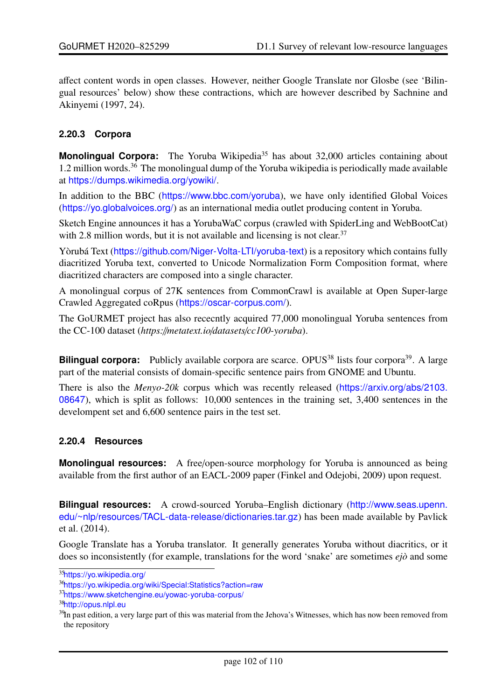affect content words in open classes. However, neither Google Translate nor Glosbe (see 'Bilingual resources' below) show these contractions, which are however described by [Sachnine and](#page-107-4) [Akinyemi](#page-107-4) [\(1997,](#page-107-4) 24).

## **2.20.3 Corpora**

**Monolingual Corpora:** The Yoruba Wikipedia<sup>35</sup> has about 32,000 articles containing about 1.2 million words.<sup>36</sup> The monolingual dump of the Yoruba wikipedia is periodically made available at <https://dumps.wikimedia.org/yowiki/>.

In addition to the BBC (<https://www.bbc.com/yoruba>), we have only identified Global Voices (<https://yo.globalvoices.org/>) as an international media outlet producing content in Yoruba.

Sketch Engine announces it has a YorubaWaC corpus (crawled with SpiderLing and WebBootCat) with 2.8 million words, but it is not available and licensing is not clear.<sup>37</sup>

Yòrubá Text (<https://github.com/Niger-Volta-LTI/yoruba-text>) is a repository which contains fully diacritized Yoruba text, converted to Unicode Normalization Form Composition format, where diacritized characters are composed into a single character.

A monolingual corpus of 27K sentences from CommonCrawl is available at Open Super-large Crawled Aggregated coRpus (<https://oscar-corpus.com/>).

The GoURMET project has also rececntly acquired 77,000 monolingual Yoruba sentences from the CC-100 dataset (*https:*//*metatext.io*/*datasets*/*cc100-yoruba*).

**Bilingual corpora:** Publicly available corpora are scarce. OPUS<sup>38</sup> lists four corpora<sup>39</sup>. A large part of the material consists of domain-specific sentence pairs from GNOME and Ubuntu.

There is also the *Menyo-20k* corpus which was recently released ([https://arxiv.org/abs/2103.](https://arxiv.org/abs/2103.08647) [08647](https://arxiv.org/abs/2103.08647)), which is split as follows: 10,000 sentences in the training set, 3,400 sentences in the develompent set and 6,600 sentence pairs in the test set.

#### **2.20.4 Resources**

**Monolingual resources:** A free/open-source morphology for Yoruba is announced as being available from the first author of an EACL-2009 paper [\(Finkel and Odejobi,](#page-106-4) [2009\)](#page-106-4) upon request.

**Bilingual resources:** A crowd-sourced Yoruba–English dictionary ([http://www.seas.upenn.](http://www.seas.upenn.edu/~nlp/resources/TACL-data-release/dictionaries.tar.gz) [edu/~nlp/resources/TACL-data-release/dictionaries.tar.gz](http://www.seas.upenn.edu/~nlp/resources/TACL-data-release/dictionaries.tar.gz)) has been made available by [Pavlick](#page-107-0) [et al.](#page-107-0) [\(2014\)](#page-107-0).

Google Translate has a Yoruba translator. It generally generates Yoruba without diacritics, or it does so inconsistently (for example, translations for the word 'snake' are sometimes *ejò* and some

<sup>35</sup><https://yo.wikipedia.org/>

<sup>36</sup><https://yo.wikipedia.org/wiki/Special:Statistics?action=raw>

<sup>37</sup><https://www.sketchengine.eu/yowac-yoruba-corpus/>

<sup>38</sup><http://opus.nlpl.eu>

<sup>&</sup>lt;sup>39</sup>In past edition, a very large part of this was material from the Jehova's Witnesses, which has now been removed from the repository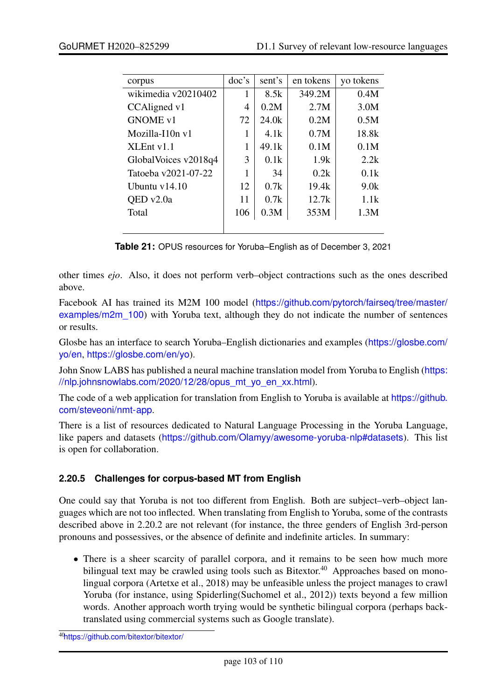| corpus               | doc's | sent's            | en tokens | yo tokens |
|----------------------|-------|-------------------|-----------|-----------|
| wikimedia v20210402  | 1     | 8.5k              | 349.2M    | 0.4M      |
| CCAligned v1         | 4     | 0.2M              | 2.7M      | 3.0M      |
| <b>GNOME v1</b>      | 72    | 24.0 <sub>k</sub> | 0.2M      | 0.5M      |
| Mozilla-I10 $n$ v1   | 1     | 4.1k              | 0.7M      | 18.8k     |
| $X$ LEnt v1.1        | 1     | 49.1k             | 0.1M      | 0.1M      |
| GlobalVoices v2018q4 | 3     | 0.1k              | 1.9k      | 2.2k      |
| Tatoeba v2021-07-22  | 1     | 34                | 0.2k      | 0.1k      |
| Ubuntu $v14.10$      | 12    | 0.7k              | 19.4k     | 9.0k      |
| QED v2.0a            | 11    | 0.7k              | 12.7k     | 1.1k      |
| Total                | 106   | 0.3M              | 353M      | 1.3M      |
|                      |       |                   |           |           |

**Table 21:** OPUS resources for Yoruba–English as of December 3, 2021

other times *ejo*. Also, it does not perform verb–object contractions such as the ones described above.

Facebook AI has trained its M2M 100 model ([https://github.com/pytorch/fairseq/tree/master/](https://github.com/pytorch/fairseq/tree/master/examples/m2m_100) examples/m2m 100) with Yoruba text, although they do not indicate the number of sentences or results.

Glosbe has an interface to search Yoruba–English dictionaries and examples ([https://glosbe.com/](https://glosbe.com/yo/en) [yo/en](https://glosbe.com/yo/en), <https://glosbe.com/en/yo>).

John Snow LABS has published a neural machine translation model from Yoruba to English ([https:](https://nlp.johnsnowlabs.com/2020/12/28/opus_mt_yo_en_xx.html) [//nlp.johnsnowlabs.com/2020/12/28/opus\\_mt\\_yo\\_en\\_xx.html](https://nlp.johnsnowlabs.com/2020/12/28/opus_mt_yo_en_xx.html)).

The code of a web application for translation from English to Yoruba is available at [https://github.](https://github.com/steveoni/nmt-app) [com/steveoni/nmt-app](https://github.com/steveoni/nmt-app).

There is a list of resources dedicated to Natural Language Processing in the Yoruba Language, like papers and datasets (<https://github.com/Olamyy/awesome-yoruba-nlp#datasets>). This list is open for collaboration.

#### **2.20.5 Challenges for corpus-based MT from English**

One could say that Yoruba is not too different from English. Both are subject–verb–object languages which are not too inflected. When translating from English to Yoruba, some of the contrasts described above in [2.20.2](#page-98-1) are not relevant (for instance, the three genders of English 3rd-person pronouns and possessives, or the absence of definite and indefinite articles. In summary:

• There is a sheer scarcity of parallel corpora, and it remains to be seen how much more bilingual text may be crawled using tools such as Bitextor.<sup>40</sup> Approaches based on monolingual corpora [\(Artetxe et al.,](#page-105-1) [2018\)](#page-105-1) may be unfeasible unless the project manages to crawl Yoruba (for instance, using Spiderling[\(Suchomel et al.,](#page-108-3) [2012\)](#page-108-3)) texts beyond a few million words. Another approach worth trying would be synthetic bilingual corpora (perhaps backtranslated using commercial systems such as Google translate).

<sup>40</sup><https://github.com/bitextor/bitextor/>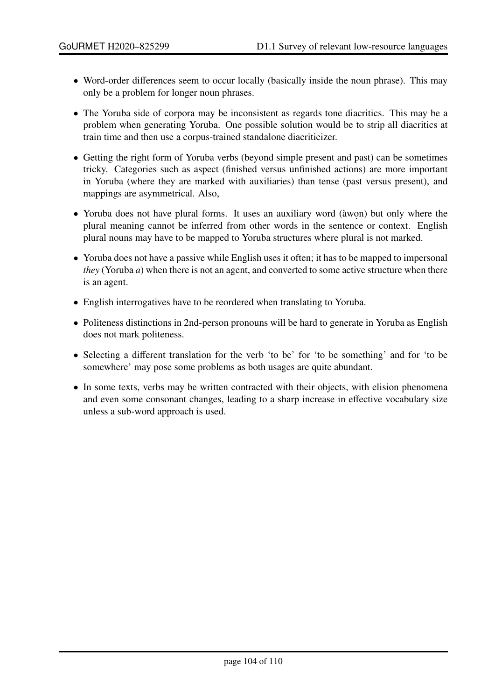- Word-order differences seem to occur locally (basically inside the noun phrase). This may only be a problem for longer noun phrases.
- The Yoruba side of corpora may be inconsistent as regards tone diacritics. This may be a problem when generating Yoruba. One possible solution would be to strip all diacritics at train time and then use a corpus-trained standalone diacriticizer.
- Getting the right form of Yoruba verbs (beyond simple present and past) can be sometimes tricky. Categories such as aspect (finished versus unfinished actions) are more important in Yoruba (where they are marked with auxiliaries) than tense (past versus present), and mappings are asymmetrical. Also,
- Yoruba does not have plural forms. It uses an auxiliary word (àwon) but only where the plural meaning cannot be inferred from other words in the sentence or context. English plural nouns may have to be mapped to Yoruba structures where plural is not marked.
- Yoruba does not have a passive while English uses it often; it has to be mapped to impersonal *they* (Yoruba *a*) when there is not an agent, and converted to some active structure when there is an agent.
- English interrogatives have to be reordered when translating to Yoruba.
- Politeness distinctions in 2nd-person pronouns will be hard to generate in Yoruba as English does not mark politeness.
- Selecting a different translation for the verb 'to be' for 'to be something' and for 'to be somewhere' may pose some problems as both usages are quite abundant.
- In some texts, verbs may be written contracted with their objects, with elision phenomena and even some consonant changes, leading to a sharp increase in effective vocabulary size unless a sub-word approach is used.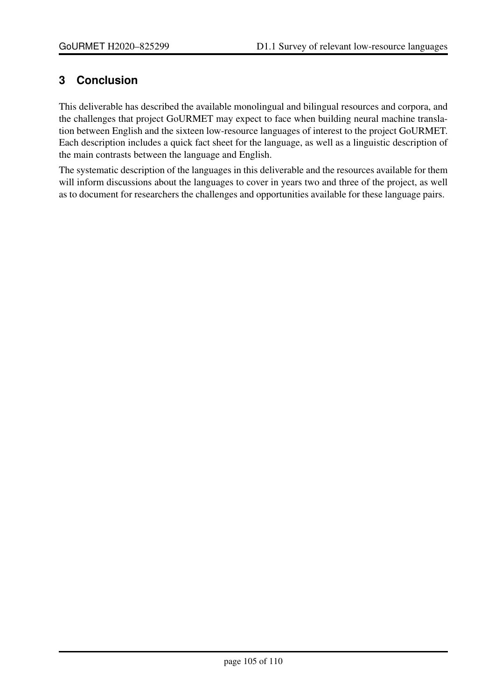# <span id="page-104-0"></span>**3 Conclusion**

This deliverable has described the available monolingual and bilingual resources and corpora, and the challenges that project GoURMET may expect to face when building neural machine translation between English and the sixteen low-resource languages of interest to the project GoURMET. Each description includes a quick fact sheet for the language, as well as a linguistic description of the main contrasts between the language and English.

The systematic description of the languages in this deliverable and the resources available for them will inform discussions about the languages to cover in years two and three of the project, as well as to document for researchers the challenges and opportunities available for these language pairs.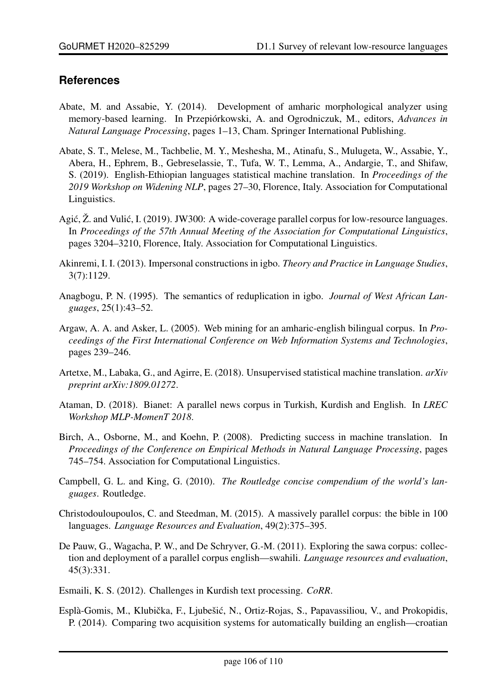# **References**

- Abate, M. and Assabie, Y. (2014). Development of amharic morphological analyzer using memory-based learning. In Przepiórkowski, A. and Ogrodniczuk, M., editors, *Advances in Natural Language Processing*, pages 1–13, Cham. Springer International Publishing.
- Abate, S. T., Melese, M., Tachbelie, M. Y., Meshesha, M., Atinafu, S., Mulugeta, W., Assabie, Y., Abera, H., Ephrem, B., Gebreselassie, T., Tufa, W. T., Lemma, A., Andargie, T., and Shifaw, S. (2019). English-Ethiopian languages statistical machine translation. In *Proceedings of the 2019 Workshop on Widening NLP*, pages 27–30, Florence, Italy. Association for Computational Linguistics.
- Agić, Ž. and Vulić, I. (2019). JW300: A wide-coverage parallel corpus for low-resource languages. In *Proceedings of the 57th Annual Meeting of the Association for Computational Linguistics*, pages 3204–3210, Florence, Italy. Association for Computational Linguistics.
- Akinremi, I. I. (2013). Impersonal constructions in igbo. *Theory and Practice in Language Studies*, 3(7):1129.
- Anagbogu, P. N. (1995). The semantics of reduplication in igbo. *Journal of West African Languages*, 25(1):43–52.
- Argaw, A. A. and Asker, L. (2005). Web mining for an amharic-english bilingual corpus. In *Proceedings of the First International Conference on Web Information Systems and Technologies*, pages 239–246.
- <span id="page-105-1"></span>Artetxe, M., Labaka, G., and Agirre, E. (2018). Unsupervised statistical machine translation. *arXiv preprint arXiv:1809.01272*.
- Ataman, D. (2018). Bianet: A parallel news corpus in Turkish, Kurdish and English. In *LREC Workshop MLP-MomenT 2018*.
- Birch, A., Osborne, M., and Koehn, P. (2008). Predicting success in machine translation. In *Proceedings of the Conference on Empirical Methods in Natural Language Processing*, pages 745–754. Association for Computational Linguistics.
- Campbell, G. L. and King, G. (2010). *The Routledge concise compendium of the world's languages*. Routledge.
- Christodouloupoulos, C. and Steedman, M. (2015). A massively parallel corpus: the bible in 100 languages. *Language Resources and Evaluation*, 49(2):375–395.
- <span id="page-105-0"></span>De Pauw, G., Wagacha, P. W., and De Schryver, G.-M. (2011). Exploring the sawa corpus: collection and deployment of a parallel corpus english—swahili. *Language resources and evaluation*, 45(3):331.
- Esmaili, K. S. (2012). Challenges in Kurdish text processing. *CoRR*.
- Esplà-Gomis, M., Klubička, F., Ljubešić, N., Ortiz-Rojas, S., Papavassiliou, V., and Prokopidis, P. (2014). Comparing two acquisition systems for automatically building an english—croatian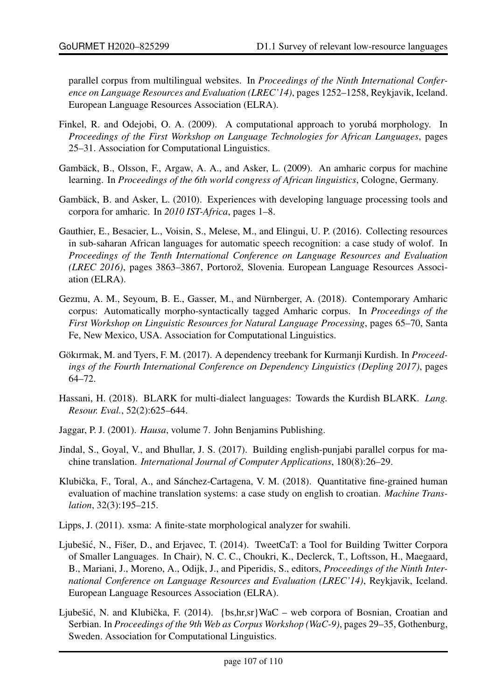parallel corpus from multilingual websites. In *Proceedings of the Ninth International Conference on Language Resources and Evaluation (LREC'14)*, pages 1252–1258, Reykjavik, Iceland. European Language Resources Association (ELRA).

- <span id="page-106-4"></span>Finkel, R. and Odejobi, O. A. (2009). A computational approach to yorubá morphology. In *Proceedings of the First Workshop on Language Technologies for African Languages*, pages 25–31. Association for Computational Linguistics.
- Gambäck, B., Olsson, F., Argaw, A. A., and Asker, L. (2009). An amharic corpus for machine learning. In *Proceedings of the 6th world congress of African linguistics*, Cologne, Germany.
- Gambäck, B. and Asker, L. (2010). Experiences with developing language processing tools and corpora for amharic. In *2010 IST-Africa*, pages 1–8.
- Gauthier, E., Besacier, L., Voisin, S., Melese, M., and Elingui, U. P. (2016). Collecting resources in sub-saharan African languages for automatic speech recognition: a case study of wolof. In *Proceedings of the Tenth International Conference on Language Resources and Evaluation (LREC 2016)*, pages 3863–3867, Portorož, Slovenia. European Language Resources Association (ELRA).
- Gezmu, A. M., Seyoum, B. E., Gasser, M., and Nürnberger, A. (2018). Contemporary Amharic corpus: Automatically morpho-syntactically tagged Amharic corpus. In *Proceedings of the First Workshop on Linguistic Resources for Natural Language Processing*, pages 65–70, Santa Fe, New Mexico, USA. Association for Computational Linguistics.
- Gökırmak, M. and Tyers, F. M. (2017). A dependency treebank for Kurmanji Kurdish. In *Proceedings of the Fourth International Conference on Dependency Linguistics (Depling 2017)*, pages 64–72.
- Hassani, H. (2018). BLARK for multi-dialect languages: Towards the Kurdish BLARK. *Lang. Resour. Eval.*, 52(2):625–644.
- Jaggar, P. J. (2001). *Hausa*, volume 7. John Benjamins Publishing.
- <span id="page-106-0"></span>Jindal, S., Goyal, V., and Bhullar, J. S. (2017). Building english-punjabi parallel corpus for machine translation. *International Journal of Computer Applications*, 180(8):26–29.
- Klubička, F., Toral, A., and Sánchez-Cartagena, V. M. (2018). Quantitative fine-grained human evaluation of machine translation systems: a case study on english to croatian. *Machine Translation*, 32(3):195–215.
- <span id="page-106-3"></span>Lipps, J. (2011). xsma: A finite-state morphological analyzer for swahili.
- <span id="page-106-2"></span>Ljubešic, N., Fišer, D., and Erjavec, T. (2014). TweetCaT: a Tool for Building Twitter Corpora ´ of Smaller Languages. In Chair), N. C. C., Choukri, K., Declerck, T., Loftsson, H., Maegaard, B., Mariani, J., Moreno, A., Odijk, J., and Piperidis, S., editors, *Proceedings of the Ninth International Conference on Language Resources and Evaluation (LREC'14)*, Reykjavik, Iceland. European Language Resources Association (ELRA).
- <span id="page-106-1"></span>Ljubešić, N. and Klubička, F. (2014).  $\{bs, hr, sr\}WaC$  – web corpora of Bosnian, Croatian and Serbian. In *Proceedings of the 9th Web as Corpus Workshop (WaC-9)*, pages 29–35, Gothenburg, Sweden. Association for Computational Linguistics.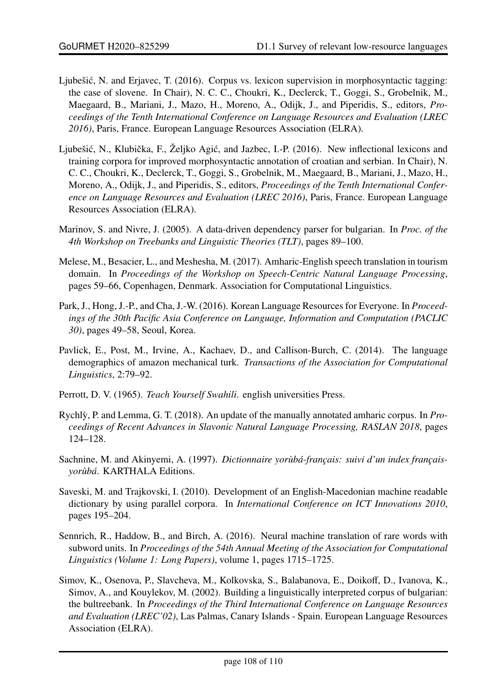- <span id="page-107-2"></span>Ljubešić, N. and Erjavec, T. (2016). Corpus vs. lexicon supervision in morphosyntactic tagging: the case of slovene. In Chair), N. C. C., Choukri, K., Declerck, T., Goggi, S., Grobelnik, M., Maegaard, B., Mariani, J., Mazo, H., Moreno, A., Odijk, J., and Piperidis, S., editors, *Proceedings of the Tenth International Conference on Language Resources and Evaluation (LREC 2016)*, Paris, France. European Language Resources Association (ELRA).
- <span id="page-107-1"></span>Ljubešić, N., Klubička, F., Željko Agić, and Jazbec, I.-P. (2016). New inflectional lexicons and training corpora for improved morphosyntactic annotation of croatian and serbian. In Chair), N. C. C., Choukri, K., Declerck, T., Goggi, S., Grobelnik, M., Maegaard, B., Mariani, J., Mazo, H., Moreno, A., Odijk, J., and Piperidis, S., editors, *Proceedings of the Tenth International Conference on Language Resources and Evaluation (LREC 2016)*, Paris, France. European Language Resources Association (ELRA).
- Marinov, S. and Nivre, J. (2005). A data-driven dependency parser for bulgarian. In *Proc. of the 4th Workshop on Treebanks and Linguistic Theories (TLT)*, pages 89–100.
- Melese, M., Besacier, L., and Meshesha, M. (2017). Amharic-English speech translation in tourism domain. In *Proceedings of the Workshop on Speech-Centric Natural Language Processing*, pages 59–66, Copenhagen, Denmark. Association for Computational Linguistics.
- Park, J., Hong, J.-P., and Cha, J.-W. (2016). Korean Language Resources for Everyone. In *Proceedings of the 30th Pacific Asia Conference on Language, Information and Computation (PACLIC 30)*, pages 49–58, Seoul, Korea.
- <span id="page-107-0"></span>Pavlick, E., Post, M., Irvine, A., Kachaev, D., and Callison-Burch, C. (2014). The language demographics of amazon mechanical turk. *Transactions of the Association for Computational Linguistics*, 2:79–92.
- <span id="page-107-3"></span>Perrott, D. V. (1965). *Teach Yourself Swahili*. english universities Press.
- Rychly, P. and Lemma, G. T. (2018). An update of the manually annotated amharic corpus. In *Proceedings of Recent Advances in Slavonic Natural Language Processing, RASLAN 2018*, pages 124–128.
- <span id="page-107-4"></span>Sachnine, M. and Akinyemi, A. (1997). *Dictionnaire yorùbá-français: suivi d'un index françaisyorùbá*. KARTHALA Editions.
- Saveski, M. and Trajkovski, I. (2010). Development of an English-Macedonian machine readable dictionary by using parallel corpora. In *International Conference on ICT Innovations 2010*, pages 195–204.
- Sennrich, R., Haddow, B., and Birch, A. (2016). Neural machine translation of rare words with subword units. In *Proceedings of the 54th Annual Meeting of the Association for Computational Linguistics (Volume 1: Long Papers)*, volume 1, pages 1715–1725.
- Simov, K., Osenova, P., Slavcheva, M., Kolkovska, S., Balabanova, E., Doikoff, D., Ivanova, K., Simov, A., and Kouylekov, M. (2002). Building a linguistically interpreted corpus of bulgarian: the bultreebank. In *Proceedings of the Third International Conference on Language Resources and Evaluation (LREC'02)*, Las Palmas, Canary Islands - Spain. European Language Resources Association (ELRA).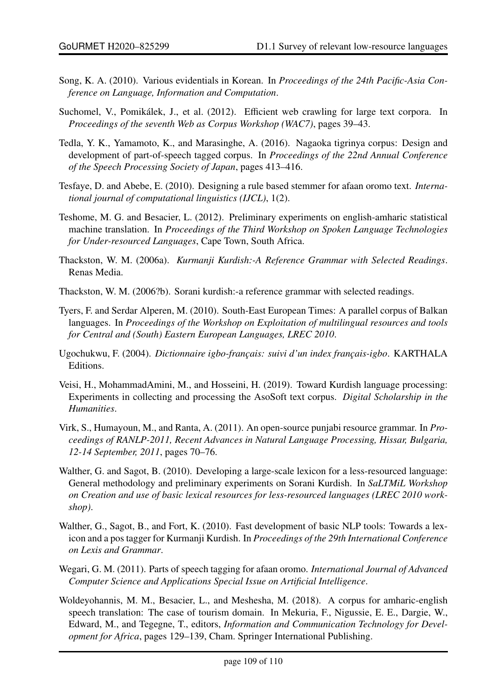- Song, K. A. (2010). Various evidentials in Korean. In *Proceedings of the 24th Pacific-Asia Conference on Language, Information and Computation*.
- Suchomel, V., Pomikálek, J., et al. (2012). Efficient web crawling for large text corpora. In *Proceedings of the seventh Web as Corpus Workshop (WAC7)*, pages 39–43.
- Tedla, Y. K., Yamamoto, K., and Marasinghe, A. (2016). Nagaoka tigrinya corpus: Design and development of part-of-speech tagged corpus. In *Proceedings of the 22nd Annual Conference of the Speech Processing Society of Japan*, pages 413–416.
- Tesfaye, D. and Abebe, E. (2010). Designing a rule based stemmer for afaan oromo text. *International journal of computational linguistics (IJCL)*, 1(2).
- Teshome, M. G. and Besacier, L. (2012). Preliminary experiments on english-amharic statistical machine translation. In *Proceedings of the Third Workshop on Spoken Language Technologies for Under-resourced Languages*, Cape Town, South Africa.
- Thackston, W. M. (2006a). *Kurmanji Kurdish:-A Reference Grammar with Selected Readings*. Renas Media.
- Thackston, W. M. (2006?b). Sorani kurdish:-a reference grammar with selected readings.
- Tyers, F. and Serdar Alperen, M. (2010). South-East European Times: A parallel corpus of Balkan languages. In *Proceedings of the Workshop on Exploitation of multilingual resources and tools for Central and (South) Eastern European Languages, LREC 2010*.
- Ugochukwu, F. (2004). *Dictionnaire igbo-français: suivi d'un index français-igbo*. KARTHALA Editions.
- Veisi, H., MohammadAmini, M., and Hosseini, H. (2019). Toward Kurdish language processing: Experiments in collecting and processing the AsoSoft text corpus. *Digital Scholarship in the Humanities*.
- Virk, S., Humayoun, M., and Ranta, A. (2011). An open-source punjabi resource grammar. In *Proceedings of RANLP-2011, Recent Advances in Natural Language Processing, Hissar, Bulgaria, 12-14 September, 2011*, pages 70–76.
- Walther, G. and Sagot, B. (2010). Developing a large-scale lexicon for a less-resourced language: General methodology and preliminary experiments on Sorani Kurdish. In *SaLTMiL Workshop on Creation and use of basic lexical resources for less-resourced languages (LREC 2010 workshop)*.
- Walther, G., Sagot, B., and Fort, K. (2010). Fast development of basic NLP tools: Towards a lexicon and a pos tagger for Kurmanji Kurdish. In *Proceedings of the 29th International Conference on Lexis and Grammar*.
- Wegari, G. M. (2011). Parts of speech tagging for afaan oromo. *International Journal of Advanced Computer Science and Applications Special Issue on Artificial Intelligence*.
- Woldeyohannis, M. M., Besacier, L., and Meshesha, M. (2018). A corpus for amharic-english speech translation: The case of tourism domain. In Mekuria, F., Nigussie, E. E., Dargie, W., Edward, M., and Tegegne, T., editors, *Information and Communication Technology for Development for Africa*, pages 129–139, Cham. Springer International Publishing.